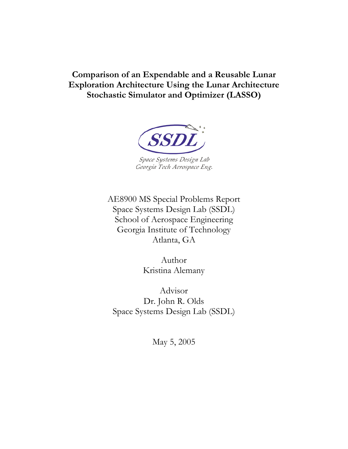**Comparison of an Expendable and a Reusable Lunar Exploration Architecture Using the Lunar Architecture Stochastic Simulator and Optimizer (LASSO)** 



Space Systems Design Lab Georgia Tech Aerospace Eng.

AE8900 MS Special Problems Report Space Systems Design Lab (SSDL) School of Aerospace Engineering Georgia Institute of Technology Atlanta, GA

> Author Kristina Alemany

Advisor Dr. John R. Olds Space Systems Design Lab (SSDL)

May 5, 2005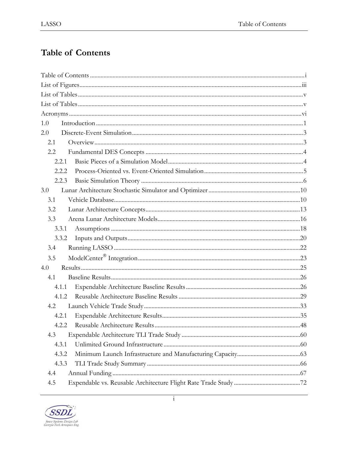# **Table of Contents**

| 1.0   |     |
|-------|-----|
| 2.0   |     |
| 2.1   |     |
| 2.2   |     |
| 2.2.1 |     |
| 2.2.2 |     |
| 2.2.3 |     |
| 3.0   |     |
| 3.1   |     |
| 3.2   |     |
| 3.3   |     |
| 3.3.1 |     |
| 3.3.2 |     |
| 3.4   |     |
| 3.5   |     |
| 4.0   |     |
| 4.1   |     |
| 4.1.1 |     |
| 4.1.2 |     |
| 4.2   |     |
| 4.2.1 |     |
|       | .48 |
| 4.3   |     |
| 4.3.1 |     |
| 4.3.2 |     |
| 4.3.3 |     |
| 4.4   |     |
| 4.5   |     |

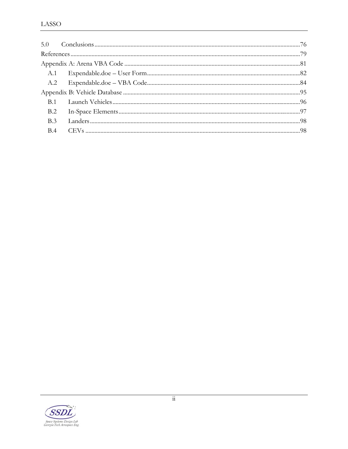| B.2 |  |
|-----|--|
| B.3 |  |
| B.4 |  |

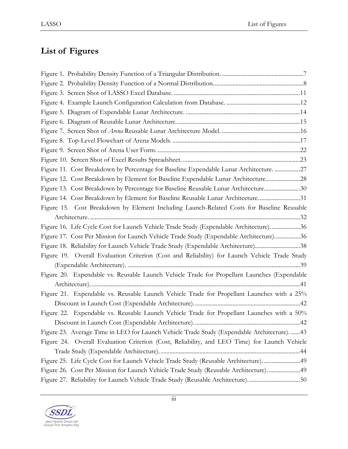# **List of Figures**

| Figure 11. Cost Breakdown by Percentage for Baseline Expendable Lunar Architecture. 27        |
|-----------------------------------------------------------------------------------------------|
| Figure 12. Cost Breakdown by Element for Baseline Expendable Lunar Architecture28             |
| Figure 13. Cost Breakdown by Percentage for Baseline Reusable Lunar Architecture30            |
| Figure 14. Cost Breakdown by Element for Baseline Reusable Lunar Architecture31               |
| Figure 15. Cost Breakdown by Element Including Launch-Related Costs for Baseline Reusable     |
|                                                                                               |
| Figure 16. Life Cycle Cost for Launch Vehicle Trade Study (Expendable Architecture)36         |
| Figure 17. Cost Per Mission for Launch Vehicle Trade Study (Expendable Architecture)36        |
| Figure 18. Reliability for Launch Vehicle Trade Study (Expendable Architecture)38             |
| Figure 19. Overall Evaluation Criterion (Cost and Reliability) for Launch Vehicle Trade Study |
|                                                                                               |
| Figure 20. Expendable vs. Reusable Launch Vehicle Trade for Propellant Launches (Expendable   |
|                                                                                               |
| Figure 21. Expendable vs. Reusable Launch Vehicle Trade for Propellant Launches with a 25%    |
|                                                                                               |
| Figure 22. Expendable vs. Reusable Launch Vehicle Trade for Propellant Launches with a 50%    |
|                                                                                               |
| Figure 23. Average Time in LEO for Launch Vehicle Trade Study (Expendable Architecture).  43  |
| Figure 24. Overall Evaluation Criterion (Cost, Reliability, and LEO Time) for Launch Vehicle  |
|                                                                                               |
| Figure 25. Life Cycle Cost for Launch Vehicle Trade Study (Reusable Architecture). 49         |
| Figure 26. Cost Per Mission for Launch Vehicle Trade Study (Reusable Architecture)49          |
| Figure 27. Reliability for Launch Vehicle Trade Study (Reusable Architecture)50               |

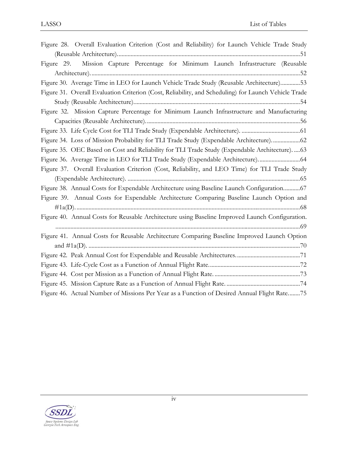| Figure 28. Overall Evaluation Criterion (Cost and Reliability) for Launch Vehicle Trade Study        |
|------------------------------------------------------------------------------------------------------|
|                                                                                                      |
| Figure 29. Mission Capture Percentage for Minimum Launch Infrastructure (Reusable                    |
|                                                                                                      |
| Figure 30. Average Time in LEO for Launch Vehicle Trade Study (Reusable Architecture)53              |
| Figure 31. Overall Evaluation Criterion (Cost, Reliability, and Scheduling) for Launch Vehicle Trade |
|                                                                                                      |
| Figure 32. Mission Capture Percentage for Minimum Launch Infrastructure and Manufacturing            |
|                                                                                                      |
|                                                                                                      |
| Figure 34. Loss of Mission Probability for TLI Trade Study (Expendable Architecture)                 |
| Figure 35. OEC Based on Cost and Reliability for TLI Trade Study (Expendable Architecture).  63      |
| Figure 36. Average Time in LEO for TLI Trade Study (Expendable Architecture)                         |
| Figure 37. Overall Evaluation Criterion (Cost, Reliability, and LEO Time) for TLI Trade Study        |
|                                                                                                      |
| Figure 38. Annual Costs for Expendable Architecture using Baseline Launch Configuration 67           |
| Figure 39. Annual Costs for Expendable Architecture Comparing Baseline Launch Option and             |
|                                                                                                      |
| Figure 40. Annual Costs for Reusable Architecture using Baseline Improved Launch Configuration.      |
|                                                                                                      |
| Figure 41. Annual Costs for Reusable Architecture Comparing Baseline Improved Launch Option          |
|                                                                                                      |
|                                                                                                      |
|                                                                                                      |
|                                                                                                      |
|                                                                                                      |
| Figure 46. Actual Number of Missions Per Year as a Function of Desired Annual Flight Rate75          |

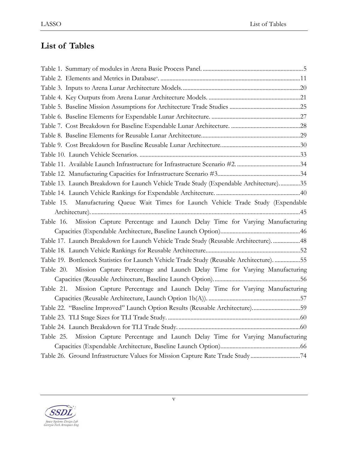# **List of Tables**

| Table 13. Launch Breakdown for Launch Vehicle Trade Study (Expendable Architecture)35      |
|--------------------------------------------------------------------------------------------|
|                                                                                            |
| Table 15. Manufacturing Queue Wait Times for Launch Vehicle Trade Study (Expendable        |
|                                                                                            |
| Table 16. Mission Capture Percentage and Launch Delay Time for Varying Manufacturing       |
|                                                                                            |
| Table 17. Launch Breakdown for Launch Vehicle Trade Study (Reusable Architecture). 48      |
|                                                                                            |
| Table 19. Bottleneck Statistics for Launch Vehicle Trade Study (Reusable Architecture). 55 |
| Table 20. Mission Capture Percentage and Launch Delay Time for Varying Manufacturing       |
|                                                                                            |
| Table 21. Mission Capture Percentage and Launch Delay Time for Varying Manufacturing       |
|                                                                                            |
| Table 22. "Baseline Improved" Launch Option Results (Reusable Architecture)59              |
|                                                                                            |
|                                                                                            |
| Table 25. Mission Capture Percentage and Launch Delay Time for Varying Manufacturing       |
|                                                                                            |
| Table 26. Ground Infrastructure Values for Mission Capture Rate Trade Study74              |

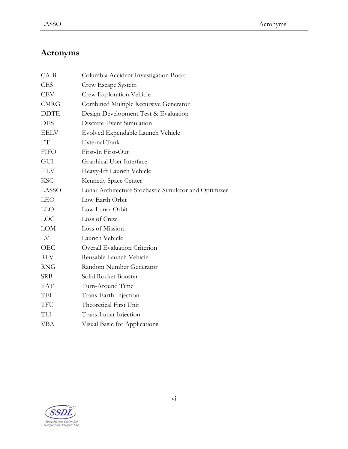# **Acronyms**

| CAIB         | Columbia Accident Investigation Board                 |
|--------------|-------------------------------------------------------|
| <b>CES</b>   | Crew Escape System                                    |
| <b>CEV</b>   | Crew Exploration Vehicle                              |
| <b>CMRG</b>  | <b>Combined Multiple Recursive Generator</b>          |
| <b>DDTE</b>  | Design Development Test & Evaluation                  |
| <b>DES</b>   | Discrete-Event Simulation                             |
| <b>EELV</b>  | Evolved Expendable Launch Vehicle                     |
| EТ           | <b>External Tank</b>                                  |
| <b>FIFO</b>  | First-In First-Out                                    |
| GUI          | Graphical User Interface                              |
| <b>HLV</b>   | Heavy-lift Launch Vehicle                             |
| <b>KSC</b>   | Kennedy Space Center                                  |
| <b>LASSO</b> | Lunar Architecture Stochastic Simulator and Optimizer |
| <b>LEO</b>   | Low Earth Orbit                                       |
| <b>LLO</b>   | Low Lunar Orbit                                       |
| <b>LOC</b>   | Loss of Crew                                          |
| <b>LOM</b>   | Loss of Mission                                       |
| LV           | Launch Vehicle                                        |
| <b>OEC</b>   | Overall Evaluation Criterion                          |
| <b>RLV</b>   | Reusable Launch Vehicle                               |
| <b>RNG</b>   | Random Number Generator                               |
| <b>SRB</b>   | Solid Rocket Booster                                  |
| <b>TAT</b>   | Turn-Around Time                                      |
| TEI          | Trans-Earth Injection                                 |
| <b>TFU</b>   | Theoretical First Unit                                |
| TLI          | Trans-Lunar Injection                                 |
| <b>VBA</b>   | Visual Basic for Applications                         |

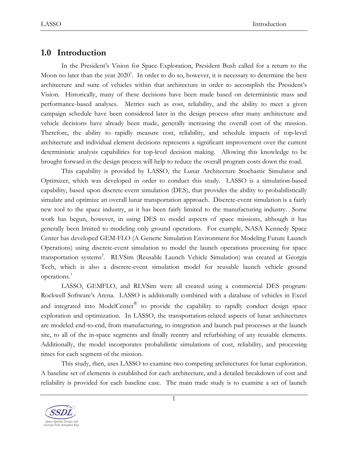# **1.0 Introduction**

In the President's Vision for Space Exploration, President Bush called for a return to the Moon no later than the year  $2020^1$ . In order to do so, however, it is necessary to determine the best architecture and suite of vehicles within that architecture in order to accomplish the President's Vision. Historically, many of these decisions have been made based on deterministic mass and performance-based analyses. Metrics such as cost, reliability, and the ability to meet a given campaign schedule have been considered later in the design process after many architecture and vehicle decisions have already been made, generally increasing the overall cost of the mission. Therefore, the ability to rapidly measure cost, reliability, and schedule impacts of top-level architecture and individual element decisions represents a significant improvement over the current deterministic analysis capabilities for top-level decision making. Allowing this knowledge to be brought forward in the design process will help to reduce the overall program costs down the road.

This capability is provided by LASSO, the Lunar Architecture Stochastic Simulator and Optimizer, which was developed in order to conduct this study. LASSO is a simulation-based capability, based upon discrete-event simulation (DES), that provides the ability to probabilistically simulate and optimize an overall lunar transportation approach. Discrete-event simulation is a fairly new tool to the space industry, as it has been fairly limited to the manufacturing industry. Some work has begun, however, in using DES to model aspects of space missions, although it has generally been limited to modeling only ground operations. For example, NASA Kennedy Space Center has developed GEM-FLO (A Generic Simulation Environment for Modeling Future Launch Operations) using discrete-event simulation to model the launch operations processing for space transportation systems<sup>2</sup>. RLVSim (Reusable Launch Vehicle Simulation) was created at Georgia Tech, which is also a discrete-event simulation model for reusable launch vehicle ground operations.<sup>3</sup>

LASSO, GEMFLO, and RLVSim were all created using a commercial DES program: Rockwell Software's Arena. LASSO is additionally combined with a database of vehicles in Excel and integrated into ModelCenter<sup>®</sup> to provide the capability to rapidly conduct design space exploration and optimization. In LASSO, the transportation-related aspects of lunar architectures are modeled end-to-end, from manufacturing, to integration and launch pad processes at the launch site, to all of the in-space segments and finally reentry and refurbishing of any reusable elements. Additionally, the model incorporates probabilistic simulations of cost, reliability, and processing times for each segment of the mission.

This study, then, uses LASSO to examine two competing architectures for lunar exploration. A baseline set of elements is established for each architecture, and a detailed breakdown of cost and reliability is provided for each baseline case. The main trade study is to examine a set of launch

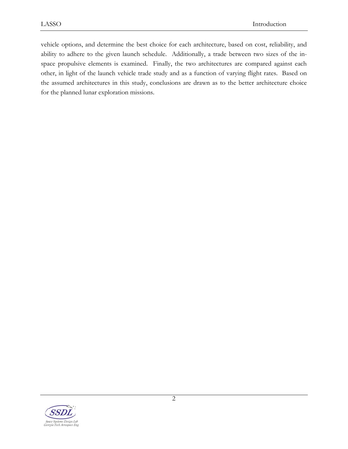vehicle options, and determine the best choice for each architecture, based on cost, reliability, and ability to adhere to the given launch schedule. Additionally, a trade between two sizes of the inspace propulsive elements is examined. Finally, the two architectures are compared against each other, in light of the launch vehicle trade study and as a function of varying flight rates. Based on the assumed architectures in this study, conclusions are drawn as to the better architecture choice for the planned lunar exploration missions.

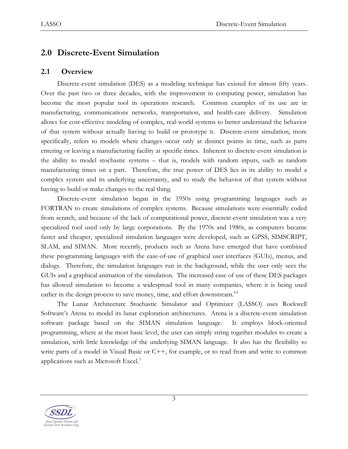# **2.0 Discrete-Event Simulation**

## **2.1 Overview**

Discrete-event simulation (DES) as a modeling technique has existed for almost fifty years. Over the past two or three decades, with the improvement in computing power, simulation has become the most popular tool in operations research. Common examples of its use are in manufacturing, communications networks, transportation, and health-care delivery. Simulation allows for cost-effective modeling of complex, real-world systems to better understand the behavior of that system without actually having to build or prototype it. Discrete-event simulation, more specifically, refers to models where changes occur only at distinct points in time, such as parts entering or leaving a manufacturing facility at specific times. Inherent to discrete-event simulation is the ability to model stochastic systems – that is, models with random inputs, such as random manufacturing times on a part. Therefore, the true power of DES lies in its ability to model a complex system and its underlying uncertainty, and to study the behavior of that system without having to build or make changes to the real thing.

Discrete-event simulation began in the 1950s using programming languages such as FORTRAN to create simulations of complex systems. Because simulations were essentially coded from scratch, and because of the lack of computational power, discrete-event simulation was a very specialized tool used only by large corporations. By the 1970s and 1980s, as computers became faster and cheaper, specialized simulation languages were developed, such as GPSS, SIMSCRIPT, SLAM, and SIMAN. More recently, products such as Arena have emerged that have combined these programming languages with the ease-of-use of graphical user interfaces (GUIs), menus, and dialogs. Therefore, the simulation languages run in the background, while the user only sees the GUIs and a graphical animation of the simulation. The increased ease of use of these DES packages has allowed simulation to become a widespread tool in many companies, where it is being used earlier in the design process to save money, time, and effort downstream.<sup>4,5</sup>

The Lunar Architecture Stochastic Simulator and Optimizer (LASSO) uses Rockwell Software's Arena to model its lunar exploration architectures. Arena is a discrete-event simulation software package based on the SIMAN simulation language. It employs block-oriented programming, where at the most basic level, the user can simply string together modules to create a simulation, with little knowledge of the underlying SIMAN language. It also has the flexibility to write parts of a model in Visual Basic or C++, for example, or to read from and write to common applications such as Microsoft Excel.<sup>5</sup>

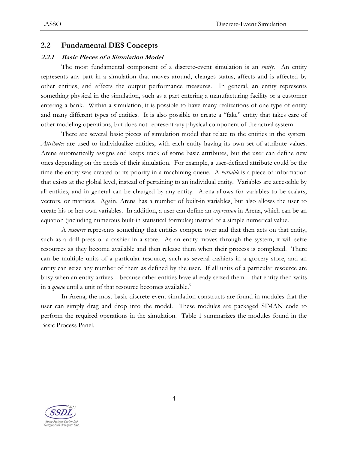## **2.2 Fundamental DES Concepts**

### **2.2.1 Basic Pieces of a Simulation Model**

The most fundamental component of a discrete-event simulation is an *entity*. An entity represents any part in a simulation that moves around, changes status, affects and is affected by other entities, and affects the output performance measures. In general, an entity represents something physical in the simulation, such as a part entering a manufacturing facility or a customer entering a bank. Within a simulation, it is possible to have many realizations of one type of entity and many different types of entities. It is also possible to create a "fake" entity that takes care of other modeling operations, but does not represent any physical component of the actual system.

There are several basic pieces of simulation model that relate to the entities in the system. *Attributes* are used to individualize entities, with each entity having its own set of attribute values. Arena automatically assigns and keeps track of some basic attributes, but the user can define new ones depending on the needs of their simulation. For example, a user-defined attribute could be the time the entity was created or its priority in a machining queue. A *variable* is a piece of information that exists at the global level, instead of pertaining to an individual entity. Variables are accessible by all entities, and in general can be changed by any entity. Arena allows for variables to be scalars, vectors, or matrices. Again, Arena has a number of built-in variables, but also allows the user to create his or her own variables. In addition, a user can define an *expression* in Arena, which can be an equation (including numerous built-in statistical formulas) instead of a simple numerical value.

A *resource* represents something that entities compete over and that then acts on that entity, such as a drill press or a cashier in a store. As an entity moves through the system, it will seize resources as they become available and then release them when their process is completed. There can be multiple units of a particular resource, such as several cashiers in a grocery store, and an entity can seize any number of them as defined by the user. If all units of a particular resource are busy when an entity arrives – because other entities have already seized them – that entity then waits in a *queue* until a unit of that resource becomes available.<sup>5</sup>

In Arena, the most basic discrete-event simulation constructs are found in modules that the user can simply drag and drop into the model. These modules are packaged SIMAN code to perform the required operations in the simulation. Table 1 summarizes the modules found in the Basic Process Panel.

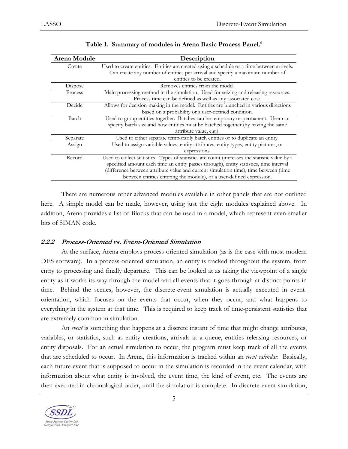| Arena Module | Description                                                                                   |  |  |  |  |
|--------------|-----------------------------------------------------------------------------------------------|--|--|--|--|
| Create       | Used to create entities. Entities are created using a schedule or a time between arrivals.    |  |  |  |  |
|              | Can create any number of entities per arrival and specify a maximum number of                 |  |  |  |  |
|              | entities to be created.                                                                       |  |  |  |  |
| Dispose      | Removes entities from the model.                                                              |  |  |  |  |
| Process      | Main processing method in the simulation. Used for seizing and releasing resources.           |  |  |  |  |
|              | Process time can be defined as well as any associated cost.                                   |  |  |  |  |
| Decide       | Allows for decision-making in the model. Entities are branched in various directions          |  |  |  |  |
|              | based on a probability or a user-defined condition.                                           |  |  |  |  |
| Batch        | Used to group entities together. Batches can be temporary or permanent. User can              |  |  |  |  |
|              | specify batch size and how entities must be batched together (by having the same              |  |  |  |  |
|              | attribute value, e.g.).                                                                       |  |  |  |  |
| Separate     | Used to either separate temporarily batch entities or to duplicate an entity.                 |  |  |  |  |
| Assign       | Used to assign variable values, entity attributes, entity types, entity pictures, or          |  |  |  |  |
|              | expressions.                                                                                  |  |  |  |  |
| Record       | Used to collect statistics. Types of statistics are count (increases the statistic value by a |  |  |  |  |
|              | specified amount each time an entity passes through), entity statistics, time interval        |  |  |  |  |
|              | (difference between attribute value and current simulation time), time between (time          |  |  |  |  |
|              | between entities entering the module), or a user-defined expression.                          |  |  |  |  |

**Table 1. Summary of modules in Arena Basic Process Panel.**<sup>6</sup>

There are numerous other advanced modules available in other panels that are not outlined here. A simple model can be made, however, using just the eight modules explained above. In addition, Arena provides a list of Blocks that can be used in a model, which represent even smaller bits of SIMAN code.

## **2.2.2 Process-Oriented vs. Event-Oriented Simulation**

At the surface, Arena employs process-oriented simulation (as is the case with most modern DES software). In a process-oriented simulation, an entity is tracked throughout the system, from entry to processing and finally departure. This can be looked at as taking the viewpoint of a single entity as it works its way through the model and all events that it goes through at distinct points in time. Behind the scenes, however, the discrete-event simulation is actually executed in eventorientation, which focuses on the events that occur, when they occur, and what happens to everything in the system at that time. This is required to keep track of time-persistent statistics that are extremely common in simulation.

An *event* is something that happens at a discrete instant of time that might change attributes, variables, or statistics, such as entity creations, arrivals at a queue, entities releasing resources, or entity disposals. For an actual simulation to occur, the program must keep track of all the events that are scheduled to occur. In Arena, this information is tracked within an *event calendar*. Basically, each future event that is supposed to occur in the simulation is recorded in the event calendar, with information about what entity is involved, the event time, the kind of event, etc. The events are then executed in chronological order, until the simulation is complete. In discrete-event simulation,

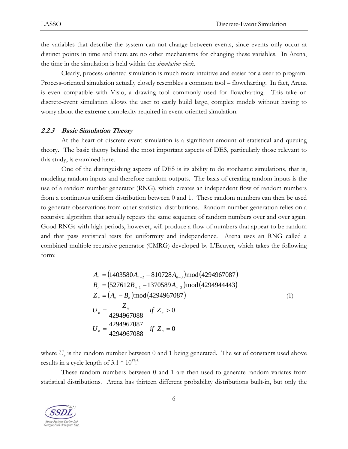the variables that describe the system can not change between events, since events only occur at distinct points in time and there are no other mechanisms for changing these variables. In Arena, the time in the simulation is held within the *simulation clock*.

Clearly, process-oriented simulation is much more intuitive and easier for a user to program. Process-oriented simulation actually closely resembles a common tool – flowcharting. In fact, Arena is even compatible with Visio, a drawing tool commonly used for flowcharting. This take on discrete-event simulation allows the user to easily build large, complex models without having to worry about the extreme complexity required in event-oriented simulation.

### **2.2.3 Basic Simulation Theory**

At the heart of discrete-event simulation is a significant amount of statistical and queuing theory. The basic theory behind the most important aspects of DES, particularly those relevant to this study, is examined here.

One of the distinguishing aspects of DES is its ability to do stochastic simulations, that is, modeling random inputs and therefore random outputs. The basis of creating random inputs is the use of a random number generator (RNG), which creates an independent flow of random numbers from a continuous uniform distribution between 0 and 1. These random numbers can then be used to generate observations from other statistical distributions. Random number generation relies on a recursive algorithm that actually repeats the same sequence of random numbers over and over again. Good RNGs with high periods, however, will produce a flow of numbers that appear to be random and that pass statistical tests for uniformity and independence. Arena uses an RNG called a combined multiple recursive generator (CMRG) developed by L'Ecuyer, which takes the following form:

$$
A_n = (1403580A_{n-2} - 810728A_{n-3})\text{mod}(4294967087)
$$
  
\n
$$
B_n = (527612B_{n-1} - 1370589A_{n-2})\text{mod}(4294944443)
$$
  
\n
$$
Z_n = (A_n - B_n)\text{mod}(4294967087)
$$
  
\n
$$
U_n = \frac{Z_n}{4294967088} \quad \text{if } Z_n > 0
$$
  
\n
$$
U_n = \frac{4294967087}{4294967088} \quad \text{if } Z_n = 0
$$
 (1)

where  $U_n$  is the random number between 0 and 1 being generated. The set of constants used above results in a cycle length of  $3.1 * 10^{57}$ 

These random numbers between 0 and 1 are then used to generate random variates from statistical distributions. Arena has thirteen different probability distributions built-in, but only the

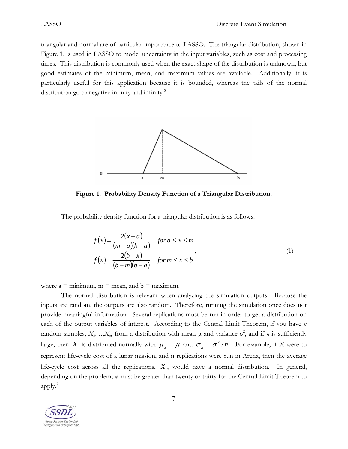triangular and normal are of particular importance to LASSO. The triangular distribution, shown in Figure 1, is used in LASSO to model uncertainty in the input variables, such as cost and processing times. This distribution is commonly used when the exact shape of the distribution is unknown, but good estimates of the minimum, mean, and maximum values are available. Additionally, it is particularly useful for this application because it is bounded, whereas the tails of the normal distribution go to negative infinity and infinity.<sup>5</sup>



**Figure 1. Probability Density Function of a Triangular Distribution.** 

The probability density function for a triangular distribution is as follows:

$$
f(x) = \frac{2(x-a)}{(m-a)(b-a)} \quad \text{for } a \le x \le m
$$
  

$$
f(x) = \frac{2(b-x)}{(b-m)(b-a)} \quad \text{for } m \le x \le b
$$
 (1)

where  $a = \text{minimum}$ ,  $m = \text{mean}$ , and  $b = \text{maximum}$ .

The normal distribution is relevant when analyzing the simulation outputs. Because the inputs are random, the outputs are also random. Therefore, running the simulation once does not provide meaningful information. Several replications must be run in order to get a distribution on each of the output variables of interest. According to the Central Limit Theorem, if you have *n* random samples,  $X_{\rho}$ ..., $X_{\rho}$ , from a distribution with mean  $\mu$  and variance  $\sigma^2$ , and if *n* is sufficiently large, then  $\overline{X}$  is distributed normally with  $\mu_{\overline{X}} = \mu$  and  $\sigma_{\overline{X}} = \sigma^2/n$ . For example, if *X* were to represent life-cycle cost of a lunar mission, and n replications were run in Arena, then the average life-cycle cost across all the replications,  $\overline{X}$ , would have a normal distribution. In general, depending on the problem, *n* must be greater than twenty or thirty for the Central Limit Theorem to apply. $\frac{7}{7}$ 

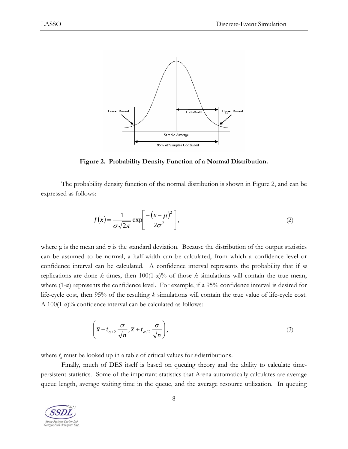

**Figure 2. Probability Density Function of a Normal Distribution.** 

The probability density function of the normal distribution is shown in Figure 2, and can be expressed as follows:

$$
f(x) = \frac{1}{\sigma\sqrt{2\pi}} \exp\left[\frac{-(x-\mu)^2}{2\sigma^2}\right],
$$
 (2)

where  $\mu$  is the mean and  $\sigma$  is the standard deviation. Because the distribution of the output statistics can be assumed to be normal, a half-width can be calculated, from which a confidence level or confidence interval can be calculated. A confidence interval represents the probability that if *m* replications are done *k* times, then 100(1-α)% of those *k* simulations will contain the true mean, where (1-α) represents the confidence level. For example, if a 95% confidence interval is desired for life-cycle cost, then 95% of the resulting *k* simulations will contain the true value of life-cycle cost. A 100(1-α)% confidence interval can be calculated as follows:

$$
\left(\overline{x} - t_{\alpha/2} \frac{\sigma}{\sqrt{n}}, \overline{x} + t_{\alpha/2} \frac{\sigma}{\sqrt{n}}\right),\tag{3}
$$

where *tα* must be looked up in a table of critical values for *t*-distributions.

Finally, much of DES itself is based on queuing theory and the ability to calculate timepersistent statistics. Some of the important statistics that Arena automatically calculates are average queue length, average waiting time in the queue, and the average resource utilization. In queuing

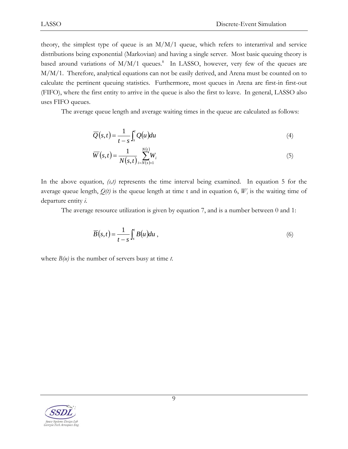theory, the simplest type of queue is an M/M/1 queue, which refers to interarrival and service distributions being exponential (Markovian) and having a single server. Most basic queuing theory is based around variations of  $M/M/1$  queues.<sup>8</sup> In LASSO, however, very few of the queues are M/M/1. Therefore, analytical equations can not be easily derived, and Arena must be counted on to calculate the pertinent queuing statistics. Furthermore, most queues in Arena are first-in first-out (FIFO), where the first entity to arrive in the queue is also the first to leave. In general, LASSO also uses FIFO queues.

The average queue length and average waiting times in the queue are calculated as follows:

$$
\overline{Q}(s,t) = \frac{1}{t-s} \int_{s}^{t} Q(u) du
$$
\n(4)

$$
\overline{W}(s,t) = \frac{1}{N(s,t)} \sum_{i=N(s)+1}^{N(t)} W_i
$$
\n<sup>(5)</sup>

In the above equation, *(s,t)* represents the time interval being examined. In equation 5 for the average queue length,  $Q(t)$  is the queue length at time t and in equation 6,  $W_i$  is the waiting time of departure entity *i*.

The average resource utilization is given by equation 7, and is a number between 0 and 1:

$$
\overline{B}(s,t) = \frac{1}{t-s} \int_{s}^{t} B(u) du , \qquad (6)
$$

where *B(u)* is the number of servers busy at time *t*.

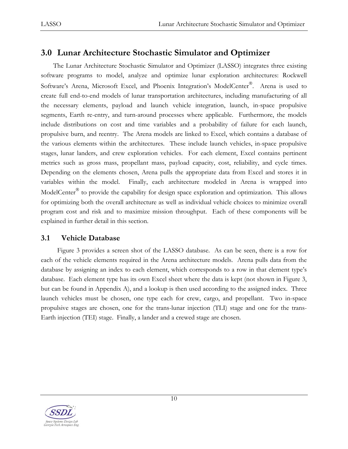# **3.0 Lunar Architecture Stochastic Simulator and Optimizer**

The Lunar Architecture Stochastic Simulator and Optimizer (LASSO) integrates three existing software programs to model, analyze and optimize lunar exploration architectures: Rockwell Software's Arena, Microsoft Excel, and Phoenix Integration's ModelCenter<sup>®</sup>. Arena is used to create full end-to-end models of lunar transportation architectures, including manufacturing of all the necessary elements, payload and launch vehicle integration, launch, in-space propulsive segments, Earth re-entry, and turn-around processes where applicable. Furthermore, the models include distributions on cost and time variables and a probability of failure for each launch, propulsive burn, and reentry. The Arena models are linked to Excel, which contains a database of the various elements within the architectures. These include launch vehicles, in-space propulsive stages, lunar landers, and crew exploration vehicles. For each element, Excel contains pertinent metrics such as gross mass, propellant mass, payload capacity, cost, reliability, and cycle times. Depending on the elements chosen, Arena pulls the appropriate data from Excel and stores it in variables within the model. Finally, each architecture modeled in Arena is wrapped into ModelCenter<sup>®</sup> to provide the capability for design space exploration and optimization. This allows for optimizing both the overall architecture as well as individual vehicle choices to minimize overall program cost and risk and to maximize mission throughput. Each of these components will be explained in further detail in this section.

# **3.1 Vehicle Database**

Figure 3 provides a screen shot of the LASSO database. As can be seen, there is a row for each of the vehicle elements required in the Arena architecture models. Arena pulls data from the database by assigning an index to each element, which corresponds to a row in that element type's database. Each element type has its own Excel sheet where the data is kept (not shown in Figure 3, but can be found in Appendix A), and a lookup is then used according to the assigned index. Three launch vehicles must be chosen, one type each for crew, cargo, and propellant. Two in-space propulsive stages are chosen, one for the trans-lunar injection (TLI) stage and one for the trans-Earth injection (TEI) stage. Finally, a lander and a crewed stage are chosen.

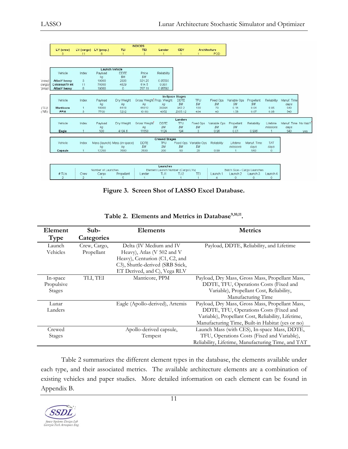|                               |               |                       |                               | <b>INDICES</b>            |                      |                 |                        |              |              |                     |                  |                     |     |
|-------------------------------|---------------|-----------------------|-------------------------------|---------------------------|----------------------|-----------------|------------------------|--------------|--------------|---------------------|------------------|---------------------|-----|
| LV (crew)                     |               | LV (cargo) LV (prop.) | TLI                           | TEI                       | Lander               | <b>CEV</b>      | Architecture           |              |              |                     |                  |                     |     |
| 3                             | 11            | 8                     | $\mathbf{1}$                  | $\overline{3}$            |                      |                 |                        | POD          |              |                     |                  |                     |     |
|                               |               |                       |                               |                           |                      |                 |                        |              |              |                     |                  |                     |     |
|                               |               |                       |                               |                           |                      |                 |                        |              |              |                     |                  |                     |     |
|                               |               | Launch Vehicle        |                               |                           |                      |                 |                        |              |              |                     |                  |                     |     |
| Vehicle                       | Index         | Payload               | <b>DDTE</b>                   | Price                     | Reliability          |                 |                        |              |              |                     |                  |                     |     |
|                               |               | kg<br>19060           | \$M                           | \$M                       | 0.95593              |                 |                        |              |              |                     |                  |                     |     |
| AtlasV heavy<br>Colossus70 mt | 3<br>11       | 70000                 | 2926<br>4829                  | 321.25<br>614.5           | 0.991                |                 |                        |              |              |                     |                  |                     |     |
| AtlasV heavy                  | $\mathbf{a}$  | 19060                 | $\theta$                      | 257 18                    | 0.95593              |                 |                        |              |              |                     |                  |                     |     |
|                               |               |                       |                               |                           |                      |                 |                        |              |              |                     |                  |                     |     |
|                               |               |                       |                               |                           |                      | In-Space Stages |                        |              |              |                     |                  |                     |     |
| Vehicle                       | Index         | Payload               | Dry Weight                    | Gross Weight Prop. Weight |                      | DDTE            | TFU                    | Fixed Ops    | Variable Ops | Propellant          | Reliability      | Manuf. Time         |     |
|                               |               | kg                    | kg                            | kg                        | ka                   | \$M             | \$M                    | <b>SM</b>    | \$M          | \$M                 |                  | days                |     |
| Manticore                     |               | 18000                 | 6418                          | 44812                     | 38394                | 942.2           | 120                    | 70           | 0.14         | 0.04                | 0.95             | 540                 |     |
| <b>PPM</b>                    | 3             | 7700                  | 5232                          | 10183                     | 4952                 | 2335.12         | 434                    | 40           | 1.58         | 0.07                | 0.98             | 540                 |     |
|                               |               |                       |                               |                           |                      | Landers         |                        |              |              |                     |                  |                     |     |
| Vehicle                       | Index         | Pavload               | Drv Weight                    | Gross Weight              | <b>DDTE</b>          | <b>TFU</b>      | Fixed Ops              | Variable Ops | Propellant   | Reliability         | Lifetime         | Manuf. Time No Hab? |     |
|                               |               | ka                    |                               | kq                        | \$M                  | \$M             | SM                     | <b>SM</b>    | <b>SM</b>    |                     | missions         | days                |     |
| Eagle                         |               | 500                   | 4104.6                        | 11550                     | 1124                 | 194             | $\mathbf{3}$           | 0.96         | 0.01         | 0.996               |                  | 540                 | yes |
|                               |               |                       |                               |                           |                      |                 |                        |              |              |                     |                  |                     |     |
|                               |               |                       |                               |                           | <b>Crewed Stages</b> |                 |                        |              |              |                     |                  |                     |     |
|                               |               |                       | Mass (launch) Mass (in-space) | <b>DDTE</b>               | <b>TFU</b>           |                 | Fixed Ops Variable Ops | Reliability  | Lifetime     | Manuf. Time<br>days | TAT              |                     |     |
| Vehicle                       | Index         |                       |                               |                           |                      |                 |                        |              |              |                     |                  |                     |     |
| Capsule                       | $\mathcal{A}$ | kg<br>12200           | kg<br>7600                    | \$M<br>2500               | \$M\$<br>300         | \$M<br>50       | \$M<br>20              | 0.99         | missions     | 540                 | days<br>$\theta$ |                     |     |

**Figure 3. Screen Shot of LASSO Excel Database.** 

| Element       | Sub-         | Elements                         | <b>Metrics</b>                                     |
|---------------|--------------|----------------------------------|----------------------------------------------------|
| Type          | Categories   |                                  |                                                    |
| Launch        | Crew, Cargo, | Delta (IV Medium and IV          | Payload, DDTE, Reliability, and Lifetime           |
| Vehicles      | Propellant   | Heavy), Atlas (V 502 and V       |                                                    |
|               |              | Heavy), Centurion (C1, C2, and   |                                                    |
|               |              | C3), Shuttle-derived (SRB Stick, |                                                    |
|               |              | ET Derived, and C), Vega RLV     |                                                    |
| In-space      | TLI, TEI     | Manticore, PPM                   | Payload, Dry Mass, Gross Mass, Propellant Mass,    |
| Propulsive    |              |                                  | DDTE, TFU, Operations Costs (Fixed and             |
| <b>Stages</b> |              |                                  | Variable), Propellant Cost, Reliability,           |
|               |              |                                  | Manufacturing Time                                 |
| Lunar         |              | Eagle (Apollo-derived), Artemis  | Payload, Dry Mass, Gross Mass, Propellant Mass,    |
| Landers       |              |                                  | DDTE, TFU, Operations Costs (Fixed and             |
|               |              |                                  | Variable), Propellant Cost, Reliability, Lifetime, |
|               |              |                                  | Manufacturing Time, Built-in Habitat (yes or no)   |
| Crewed        |              | Apollo-derived capsule,          | Launch Mass (with CES), In-space Mass, DDTE,       |
| <b>Stages</b> |              | Tempest                          | TFU, Operations Costs (Fixed and Variable),        |
|               |              |                                  | Reliability, Lifetime, Manufacturing Time, and TAT |

|  |  | Table 2. Elements and Metrics in Database <sup>9,10,11</sup> . |  |  |  |
|--|--|----------------------------------------------------------------|--|--|--|
|--|--|----------------------------------------------------------------|--|--|--|

Table 2 summarizes the different element types in the database, the elements available under each type, and their associated metrics. The available architecture elements are a combination of existing vehicles and paper studies. More detailed information on each element can be found in Appendix B.

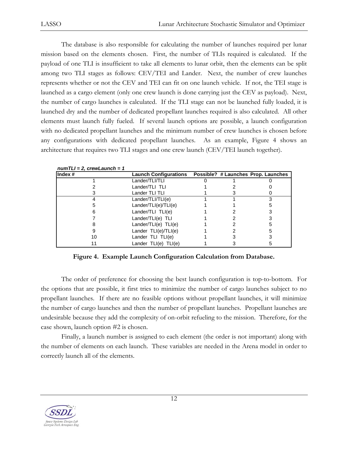The database is also responsible for calculating the number of launches required per lunar mission based on the elements chosen. First, the number of TLIs required is calculated. If the payload of one TLI is insufficient to take all elements to lunar orbit, then the elements can be split among two TLI stages as follows: CEV/TEI and Lander. Next, the number of crew launches represents whether or not the CEV and TEI can fit on one launch vehicle. If not, the TEI stage is launched as a cargo element (only one crew launch is done carrying just the CEV as payload). Next, the number of cargo launches is calculated. If the TLI stage can not be launched fully loaded, it is launched dry and the number of dedicated propellant launches required is also calculated. All other elements must launch fully fueled. If several launch options are possible, a launch configuration with no dedicated propellant launches and the minimum number of crew launches is chosen before any configurations with dedicated propellant launches. As an example, Figure 4 shows an architecture that requires two TLI stages and one crew launch (CEV/TEI launch together).

| $I = L$ , $U$ $\infty$ $I = I$ |                              |  |                                     |
|--------------------------------|------------------------------|--|-------------------------------------|
| Index $#$                      | <b>Launch Configurations</b> |  | Possible? # Launches Prop. Launches |
|                                | Lander/TLI/TLI               |  |                                     |
|                                | Lander/TLI TLI               |  |                                     |
|                                | Lander TLI TLI               |  |                                     |
|                                | Lander/TLI/TLI(e)            |  |                                     |
|                                | Lander/TLI(e)/TLI(e)         |  |                                     |
|                                | Lander/TLI TLI(e)            |  |                                     |
|                                | Lander/TLI(e) TLI            |  |                                     |
|                                | Lander/TLI(e) TLI(e)         |  |                                     |
|                                | Lander TLI(e)/TLI(e)         |  |                                     |
| 10                             | Lander TLI TLI(e)            |  |                                     |
|                                | Lander TLI(e) TLI(e)         |  |                                     |

| $numTLI = 2$ , crewLaunch = 1 |  |
|-------------------------------|--|
|-------------------------------|--|

**Figure 4. Example Launch Configuration Calculation from Database.** 

The order of preference for choosing the best launch configuration is top-to-bottom. For the options that are possible, it first tries to minimize the number of cargo launches subject to no propellant launches. If there are no feasible options without propellant launches, it will minimize the number of cargo launches and then the number of propellant launches. Propellant launches are undesirable because they add the complexity of on-orbit refueling to the mission. Therefore, for the case shown, launch option #2 is chosen.

Finally, a launch number is assigned to each element (the order is not important) along with the number of elements on each launch. These variables are needed in the Arena model in order to correctly launch all of the elements.

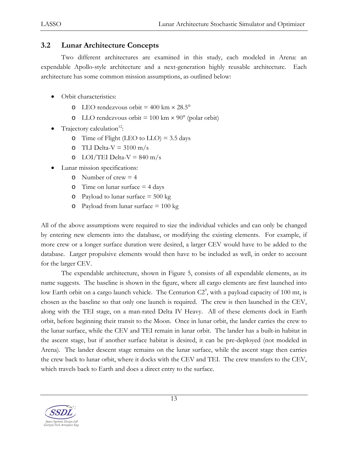# **3.2 Lunar Architecture Concepts**

Two different architectures are examined in this study, each modeled in Arena: an expendable Apollo-style architecture and a next-generation highly reusable architecture. Each architecture has some common mission assumptions, as outlined below:

- Orbit characteristics:
	- o LEO rendezvous orbit =  $400 \text{ km} \times 28.5^{\circ}$
	- o LLO rendezvous orbit =  $100 \text{ km} \times 90^{\circ}$  (polar orbit)
- Trajectory calculation<sup>12</sup>:
	- $\circ$  Time of Flight (LEO to LLO) = 3.5 days
	- o TLI Delta-V =  $3100 \text{ m/s}$
	- o LOI/TEI Delta-V =  $840 \text{ m/s}$
- Lunar mission specifications:
	- o Number of crew  $= 4$
	- $\circ$  Time on lunar surface = 4 days
	- $\degree$  Payload to lunar surface = 500 kg
	- o Payload from lunar surface  $= 100 \text{ kg}$

All of the above assumptions were required to size the individual vehicles and can only be changed by entering new elements into the database, or modifying the existing elements. For example, if more crew or a longer surface duration were desired, a larger CEV would have to be added to the database. Larger propulsive elements would then have to be included as well, in order to account for the larger CEV.

The expendable architecture, shown in Figure 5, consists of all expendable elements, as its name suggests. The baseline is shown in the figure, where all cargo elements are first launched into low Earth orbit on a cargo launch vehicle. The Centurion  $C2^9$ , with a payload capacity of 100 mt, is chosen as the baseline so that only one launch is required. The crew is then launched in the CEV, along with the TEI stage, on a man-rated Delta IV Heavy. All of these elements dock in Earth orbit, before beginning their transit to the Moon. Once in lunar orbit, the lander carries the crew to the lunar surface, while the CEV and TEI remain in lunar orbit. The lander has a built-in habitat in the ascent stage, but if another surface habitat is desired, it can be pre-deployed (not modeled in Arena). The lander descent stage remains on the lunar surface, while the ascent stage then carries the crew back to lunar orbit, where it docks with the CEV and TEI. The crew transfers to the CEV, which travels back to Earth and does a direct entry to the surface.

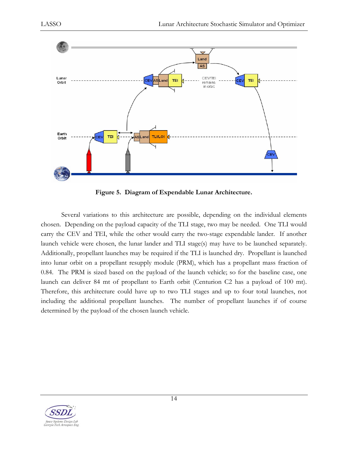

**Figure 5. Diagram of Expendable Lunar Architecture.** 

Several variations to this architecture are possible, depending on the individual elements chosen. Depending on the payload capacity of the TLI stage, two may be needed. One TLI would carry the CEV and TEI, while the other would carry the two-stage expendable lander. If another launch vehicle were chosen, the lunar lander and TLI stage(s) may have to be launched separately. Additionally, propellant launches may be required if the TLI is launched dry. Propellant is launched into lunar orbit on a propellant resupply module (PRM), which has a propellant mass fraction of 0.84. The PRM is sized based on the payload of the launch vehicle; so for the baseline case, one launch can deliver 84 mt of propellant to Earth orbit (Centurion C2 has a payload of 100 mt). Therefore, this architecture could have up to two TLI stages and up to four total launches, not including the additional propellant launches. The number of propellant launches if of course determined by the payload of the chosen launch vehicle.

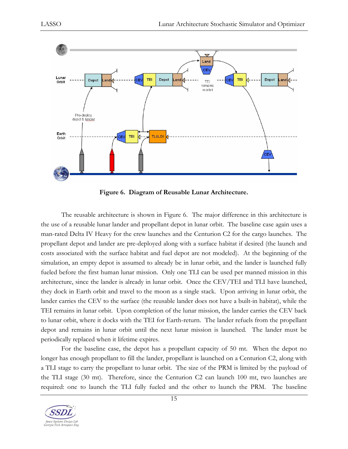

**Figure 6. Diagram of Reusable Lunar Architecture.** 

The reusable architecture is shown in Figure 6. The major difference in this architecture is the use of a reusable lunar lander and propellant depot in lunar orbit. The baseline case again uses a man-rated Delta IV Heavy for the crew launches and the Centurion C2 for the cargo launches. The propellant depot and lander are pre-deployed along with a surface habitat if desired (the launch and costs associated with the surface habitat and fuel depot are not modeled). At the beginning of the simulation, an empty depot is assumed to already be in lunar orbit, and the lander is launched fully fueled before the first human lunar mission. Only one TLI can be used per manned mission in this architecture, since the lander is already in lunar orbit. Once the CEV/TEI and TLI have launched, they dock in Earth orbit and travel to the moon as a single stack. Upon arriving in lunar orbit, the lander carries the CEV to the surface (the reusable lander does not have a built-in habitat), while the TEI remains in lunar orbit. Upon completion of the lunar mission, the lander carries the CEV back to lunar orbit, where it docks with the TEI for Earth-return. The lander refuels from the propellant depot and remains in lunar orbit until the next lunar mission is launched. The lander must be periodically replaced when it lifetime expires.

For the baseline case, the depot has a propellant capacity of 50 mt. When the depot no longer has enough propellant to fill the lander, propellant is launched on a Centurion C2, along with a TLI stage to carry the propellant to lunar orbit. The size of the PRM is limited by the payload of the TLI stage (30 mt). Therefore, since the Centurion C2 can launch 100 mt, two launches are required: one to launch the TLI fully fueled and the other to launch the PRM. The baseline

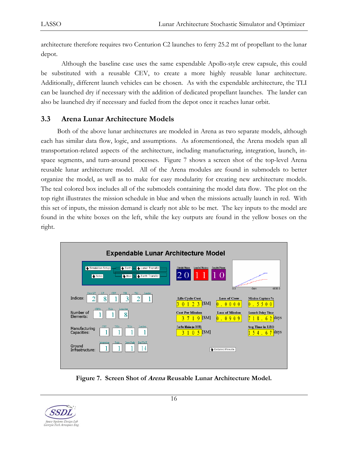architecture therefore requires two Centurion C2 launches to ferry 25.2 mt of propellant to the lunar depot.

Although the baseline case uses the same expendable Apollo-style crew capsule, this could be substituted with a reusable CEV, to create a more highly reusable lunar architecture. Additionally, different launch vehicles can be chosen. As with the expendable architecture, the TLI can be launched dry if necessary with the addition of dedicated propellant launches. The lander can also be launched dry if necessary and fueled from the depot once it reaches lunar orbit.

## **3.3 Arena Lunar Architecture Models**

Both of the above lunar architectures are modeled in Arena as two separate models, although each has similar data flow, logic, and assumptions. As aforementioned, the Arena models span all transportation-related aspects of the architecture, including manufacturing, integration, launch, inspace segments, and turn-around processes. Figure 7 shows a screen shot of the top-level Arena reusable lunar architecture model. All of the Arena modules are found in submodels to better organize the model, as well as to make for easy modularity for creating new architecture models. The teal colored box includes all of the submodels containing the model data flow. The plot on the top right illustrates the mission schedule in blue and when the missions actually launch in red. With this set of inputs, the mission demand is clearly not able to be met. The key inputs to the model are found in the white boxes on the left, while the key outputs are found in the yellow boxes on the right.

| <b>Expendable Lunar Architecture Model</b>                                                                              |                                                                                                                                             |  |  |  |  |  |  |  |
|-------------------------------------------------------------------------------------------------------------------------|---------------------------------------------------------------------------------------------------------------------------------------------|--|--|--|--|--|--|--|
| Simulation Setup<br>$\big\blacktriangleright$ Earth<br>Lunar Transfer<br>Earth Transfer<br>$\bigcup$ Moon<br>Notes<br>∼ | <b>Lamched Missions</b><br>Scheduled Missins<br>Completed Missing<br>$\overline{2}$<br>O<br>6000.0<br>days<br>0.0                           |  |  |  |  |  |  |  |
| Crew LV<br><b>TEI</b><br><b>TLI</b><br>Lander<br>LV<br><b>CEV</b><br>Indices:<br>8<br>3                                 | <b>Loss of Crew</b><br>Mission Capture %<br><b>Life Cycle Cost</b><br>[SM]<br>$\mathbf{R}$<br>$\overline{2}$<br>IO.<br>$0\;0\;0\;0$<br>5500 |  |  |  |  |  |  |  |
| <b>CEVs</b><br><b>TLIs</b><br>Launches<br>Number of<br>8<br>Elements:                                                   | <b>Cost Per Mission</b><br><b>Loss of Mission</b><br>Launch Delay Time<br>$ \text{[SM]}$<br>6 2<br>days<br>0909<br>$\mathbf{R}$<br>$\Omega$ |  |  |  |  |  |  |  |
| CEV<br>TEIs<br>TLIs<br>Landers<br>Manufacturing<br>Capacities:                                                          | Cost Per Mission (no DDTE)<br>Avg Time in LEO<br>$\sqrt{\text{SM}}$<br>5467<br>days<br>3.                                                   |  |  |  |  |  |  |  |
| <b>Drew Pads</b><br>Pad TAT<br>Pads<br>.ntegration<br>Ground<br>Infrastructure:                                         | Detailed Results                                                                                                                            |  |  |  |  |  |  |  |
|                                                                                                                         |                                                                                                                                             |  |  |  |  |  |  |  |

**Figure 7. Screen Shot of Arena Reusable Lunar Architecture Model.** 

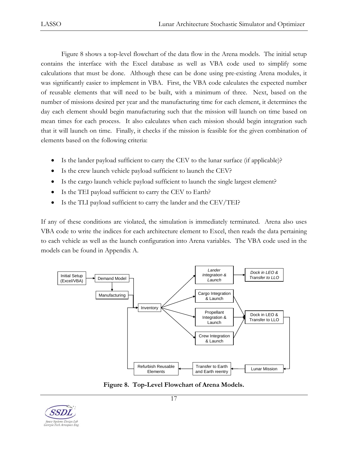Figure 8 shows a top-level flowchart of the data flow in the Arena models. The initial setup contains the interface with the Excel database as well as VBA code used to simplify some calculations that must be done. Although these can be done using pre-existing Arena modules, it was significantly easier to implement in VBA. First, the VBA code calculates the expected number of reusable elements that will need to be built, with a minimum of three. Next, based on the number of missions desired per year and the manufacturing time for each element, it determines the day each element should begin manufacturing such that the mission will launch on time based on mean times for each process. It also calculates when each mission should begin integration such that it will launch on time. Finally, it checks if the mission is feasible for the given combination of elements based on the following criteria:

- Is the lander payload sufficient to carry the CEV to the lunar surface (if applicable)?
- Is the crew launch vehicle payload sufficient to launch the CEV?
- Is the cargo launch vehicle payload sufficient to launch the single largest element?
- Is the TEI payload sufficient to carry the CEV to Earth?
- Is the TLI payload sufficient to carry the lander and the CEV/TEI?

If any of these conditions are violated, the simulation is immediately terminated. Arena also uses VBA code to write the indices for each architecture element to Excel, then reads the data pertaining to each vehicle as well as the launch configuration into Arena variables. The VBA code used in the models can be found in Appendix A.



**Figure 8. Top-Level Flowchart of Arena Models.** 

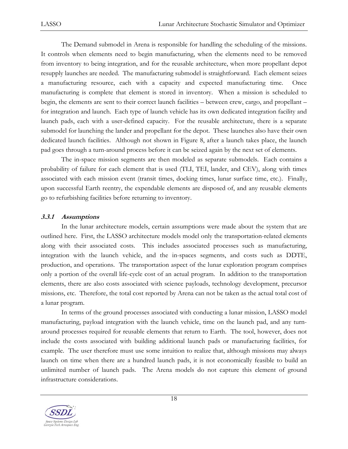The Demand submodel in Arena is responsible for handling the scheduling of the missions. It controls when elements need to begin manufacturing, when the elements need to be removed from inventory to being integration, and for the reusable architecture, when more propellant depot resupply launches are needed. The manufacturing submodel is straightforward. Each element seizes a manufacturing resource, each with a capacity and expected manufacturing time. Once manufacturing is complete that element is stored in inventory. When a mission is scheduled to begin, the elements are sent to their correct launch facilities – between crew, cargo, and propellant – for integration and launch. Each type of launch vehicle has its own dedicated integration facility and launch pads, each with a user-defined capacity. For the reusable architecture, there is a separate submodel for launching the lander and propellant for the depot. These launches also have their own dedicated launch facilities. Although not shown in Figure 8, after a launch takes place, the launch pad goes through a turn-around process before it can be seized again by the next set of elements.

The in-space mission segments are then modeled as separate submodels. Each contains a probability of failure for each element that is used (TLI, TEI, lander, and CEV), along with times associated with each mission event (transit times, docking times, lunar surface time, etc.). Finally, upon successful Earth reentry, the expendable elements are disposed of, and any reusable elements go to refurbishing facilities before returning to inventory.

### **3.3.1 Assumptions**

In the lunar architecture models, certain assumptions were made about the system that are outlined here. First, the LASSO architecture models model only the transportation-related elements along with their associated costs. This includes associated processes such as manufacturing, integration with the launch vehicle, and the in-spaces segments, and costs such as DDTE, production, and operations. The transportation aspect of the lunar exploration program comprises only a portion of the overall life-cycle cost of an actual program. In addition to the transportation elements, there are also costs associated with science payloads, technology development, precursor missions, etc. Therefore, the total cost reported by Arena can not be taken as the actual total cost of a lunar program.

In terms of the ground processes associated with conducting a lunar mission, LASSO model manufacturing, payload integration with the launch vehicle, time on the launch pad, and any turnaround processes required for reusable elements that return to Earth. The tool, however, does not include the costs associated with building additional launch pads or manufacturing facilities, for example. The user therefore must use some intuition to realize that, although missions may always launch on time when there are a hundred launch pads, it is not economically feasible to build an unlimited number of launch pads. The Arena models do not capture this element of ground infrastructure considerations.

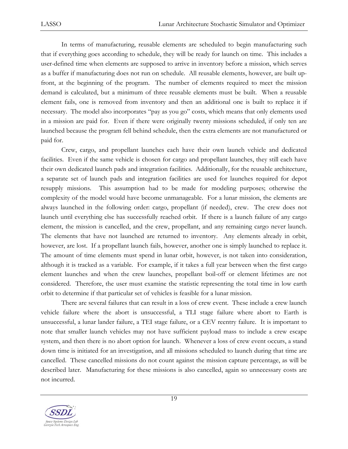In terms of manufacturing, reusable elements are scheduled to begin manufacturing such that if everything goes according to schedule, they will be ready for launch on time. This includes a user-defined time when elements are supposed to arrive in inventory before a mission, which serves as a buffer if manufacturing does not run on schedule. All reusable elements, however, are built upfront, at the beginning of the program. The number of elements required to meet the mission demand is calculated, but a minimum of three reusable elements must be built. When a reusable element fails, one is removed from inventory and then an additional one is built to replace it if necessary. The model also incorporates "pay as you go" costs, which means that only elements used in a mission are paid for. Even if there were originally twenty missions scheduled, if only ten are launched because the program fell behind schedule, then the extra elements are not manufactured or paid for.

Crew, cargo, and propellant launches each have their own launch vehicle and dedicated facilities. Even if the same vehicle is chosen for cargo and propellant launches, they still each have their own dedicated launch pads and integration facilities. Additionally, for the reusable architecture, a separate set of launch pads and integration facilities are used for launches required for depot resupply missions. This assumption had to be made for modeling purposes; otherwise the complexity of the model would have become unmanageable. For a lunar mission, the elements are always launched in the following order: cargo, propellant (if needed), crew. The crew does not launch until everything else has successfully reached orbit. If there is a launch failure of any cargo element, the mission is cancelled, and the crew, propellant, and any remaining cargo never launch. The elements that have not launched are returned to inventory. Any elements already in orbit, however, are lost. If a propellant launch fails, however, another one is simply launched to replace it. The amount of time elements must spend in lunar orbit, however, is not taken into consideration, although it is tracked as a variable. For example, if it takes a full year between when the first cargo element launches and when the crew launches, propellant boil-off or element lifetimes are not considered. Therefore, the user must examine the statistic representing the total time in low earth orbit to determine if that particular set of vehicles is feasible for a lunar mission.

There are several failures that can result in a loss of crew event. These include a crew launch vehicle failure where the abort is unsuccessful, a TLI stage failure where abort to Earth is unsuccessful, a lunar lander failure, a TEI stage failure, or a CEV reentry failure. It is important to note that smaller launch vehicles may not have sufficient payload mass to include a crew escape system, and then there is no abort option for launch. Whenever a loss of crew event occurs, a stand down time is initiated for an investigation, and all missions scheduled to launch during that time are cancelled. These cancelled missions do not count against the mission capture percentage, as will be described later. Manufacturing for these missions is also cancelled, again so unnecessary costs are not incurred.

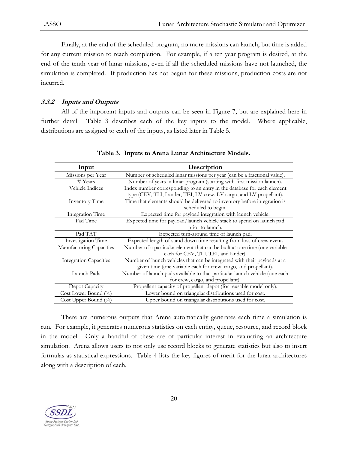Finally, at the end of the scheduled program, no more missions can launch, but time is added for any current mission to reach completion. For example, if a ten year program is desired, at the end of the tenth year of lunar missions, even if all the scheduled missions have not launched, the simulation is completed. If production has not begun for these missions, production costs are not incurred.

## **3.3.2 Inputs and Outputs**

All of the important inputs and outputs can be seen in Figure 7, but are explained here in further detail. Table 3 describes each of the key inputs to the model. Where applicable, distributions are assigned to each of the inputs, as listed later in Table 5.

| Input                         | Description                                                                 |
|-------------------------------|-----------------------------------------------------------------------------|
| Missions per Year             | Number of scheduled lunar missions per year (can be a fractional value).    |
| # Years                       | Number of years in lunar program (starting with first mission launch).      |
| Vehicle Indices               | Index number corresponding to an entry in the database for each element     |
|                               | type (CEV, TLI, Lander, TEI, LV crew, LV cargo, and LV propellant).         |
| Inventory Time                | Time that elements should be delivered to inventory before integration is   |
|                               | scheduled to begin.                                                         |
| Integration Time              | Expected time for payload integration with launch vehicle.                  |
| Pad Time                      | Expected time for payload/launch vehicle stack to spend on launch pad       |
|                               | prior to launch.                                                            |
| Pad TAT                       | Expected turn-around time of launch pad.                                    |
| Investigation Time            | Expected length of stand down time resulting from loss of crew event.       |
| Manufacturing Capacities      | Number of a particular element that can be built at one time (one variable  |
|                               | each for CEV, TLI, TEI, and lander).                                        |
| <b>Integration Capacities</b> | Number of launch vehicles that can be integrated with their payloads at a   |
|                               | given time (one variable each for crew, cargo, and propellant).             |
| Launch Pads                   | Number of launch pads available to that particular launch vehicle (one each |
|                               | for crew, cargo, and propellant).                                           |
| Depot Capacity                | Propellant capacity of propellant depot (for reusable model only).          |
| Cost Lower Bound $(\% )$      | Lower bound on triangular distributions used for cost.                      |
| Cost Upper Bound (%)          | Upper bound on triangular distributions used for cost.                      |

## **Table 3. Inputs to Arena Lunar Architecture Models.**

There are numerous outputs that Arena automatically generates each time a simulation is run. For example, it generates numerous statistics on each entity, queue, resource, and record block in the model. Only a handful of these are of particular interest in evaluating an architecture simulation. Arena allows users to not only use record blocks to generate statistics but also to insert formulas as statistical expressions. Table 4 lists the key figures of merit for the lunar architectures along with a description of each.

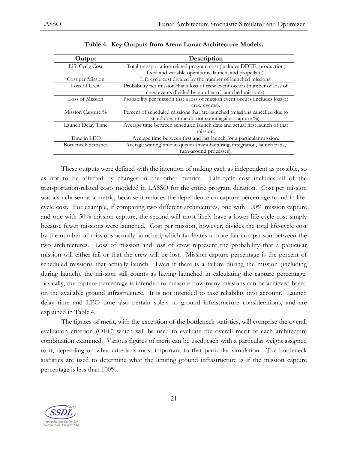| Output                       | Description                                                                   |
|------------------------------|-------------------------------------------------------------------------------|
| Life Cycle Cost              | Total transportation-related program cost (includes DDTE, production,         |
|                              | fixed and variable operations, launch, and propellant).                       |
| Cost per Mission             | Life cycle cost divided by the number of launched missions.                   |
| Loss of Crew                 | Probability per mission that a loss of crew event occurs (number of loss of   |
|                              | crew events divided by number of launched missions).                          |
| Loss of Mission              | Probability per mission that a loss of mission event occurs (includes loss of |
|                              | crew events).                                                                 |
| Mission Capture %            | Percent of scheduled missions that are launched (missions cancelled due to    |
|                              | stand down time do not count against capture %).                              |
| Launch Delay Time            | Average time between scheduled launch date and actual first launch of that    |
|                              | m <sub>1</sub> ss <sub>1</sub>                                                |
| Time in LEO                  | Average time between first and last launch for a particular mission.          |
| <b>Bottleneck Statistics</b> | Average waiting time in queues (manufacturing, integration, launch pads,      |
|                              | turn-around processes).                                                       |

**Table 4. Key Outputs from Arena Lunar Architecture Models.** 

These outputs were defined with the intention of making each as independent as possible, so as not to be affected by changes in the other metrics. Life-cycle cost includes all of the transportation-related costs modeled in LASSO for the entire program duration. Cost per mission was also chosen as a metric, because it reduces the dependence on capture percentage found in lifecycle cost. For example, if comparing two different architectures, one with 100% mission capture and one with 50% mission capture, the second will most likely have a lower life-cycle cost simply because fewer missions were launched. Cost per mission, however, divides the total life-cycle cost by the number of missions actually launched, which facilitates a more fair comparison between the two architectures. Loss of mission and loss of crew represent the probability that a particular mission will either fail or that the crew will be lost. Mission capture percentage is the percent of scheduled missions that actually launch. Even if there is a failure during the mission (including during launch), the mission still counts as having launched in calculating the capture percentage. Basically, the capture percentage is intended to measure how many missions can be achieved based on the available ground infrastructure. It is not intended to take reliability into account. Launch delay time and LEO time also pertain solely to ground infrastructure considerations, and are explained in Table 4.

The figures of merit, with the exception of the bottleneck statistics, will comprise the overall evaluation criterion (OEC) which will be used to evaluate the overall merit of each architecture combination examined. Various figures of merit can be used, each with a particular weight assigned to it, depending on what criteria is most important to that particular simulation. The bottleneck statistics are used to determine what the limiting ground infrastructure is if the mission capture percentage is less than 100%.

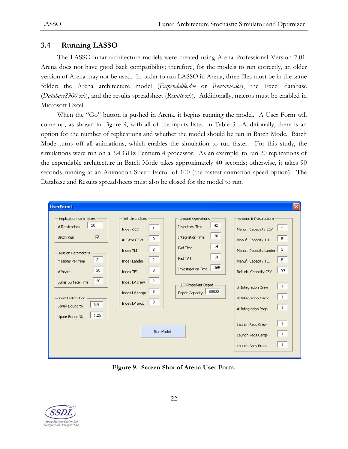# **3.4 Running LASSO**

The LASSO lunar architecture models were created using Arena Professional Version 7.01. Arena does not have good back compatibility; therefore, for the models to run correctly, an older version of Arena may not be used. In order to run LASSO in Arena, three files must be in the same folder: the Arena architecture model (*Expendable.doe* or *Reusable.doe*), the Excel database (*Database8900.xls*), and the results spreadsheet (*Results.xls*). Additionally, macros must be enabled in Microsoft Excel.

When the "Go" button is pushed in Arena, it begins running the model. A User Form will come up, as shown in Figure 9, with all of the inputs listed in Table 3. Additionally, there is an option for the number of replications and whether the model should be run in Batch Mode. Batch Mode turns off all animations, which enables the simulation to run faster. For this study, the simulations were run on a 3.4 GHz Pentium 4 processor. As an example, to run 20 replications of the expendable architecture in Batch Mode takes approximately 40 seconds; otherwise, it takes 90 seconds running at an Animation Speed Factor of 100 (the fastest animation speed option). The Database and Results spreadsheets must also be closed for the model to run.

| Keplication Parameters -             | Vehcle Indices -                   | Ground Operations                        | - Ground Infrastructure                  |
|--------------------------------------|------------------------------------|------------------------------------------|------------------------------------------|
| 20<br># Replications                 | $\overline{1}$<br>Index CEV        | 42 <sup>°</sup><br><b>Irventory Tine</b> | $\overline{2}$<br>Manuf, Capacaity CEV   |
| $\overline{\mathbf{v}}$<br>Batch Run | $\Omega$<br># Extra CEVs           | 28<br>Irtegration Time                   | 5 <sup>1</sup><br>Manuf. Capacity T.I    |
| Nission Parameters                   | $\overline{2}$<br>Index TLI        | :4<br>Pad Time                           | $\overline{2}$<br>Manuf, Capacity Lander |
| $\overline{2}$<br>Mssions Per Year   | $\overline{2}$<br>Index Lander     | :4<br>Pad TAT                            | 5<br>Manuf, Capacity TEI                 |
| 20<br>$# Y \leq$                     | $\mathbf{3}$<br>Index TEI          | 365<br><b>Irvestigation Time</b>         | 99<br>Refurb. Capacity CEV               |
| 30<br>Lunar Surface Time             | $\overline{2}$<br>Index LV crew    | LLO Propellant Depot                     | $\mathbf{1}$<br># Integration Crew       |
|                                      | $\boldsymbol{8}$<br>Index LV cargo | 50000<br>Depot Capacity                  |                                          |
| Cost Distribution -                  | $\mathbf{8}$                       |                                          | 1<br># Integration Cargo                 |
| 0.9<br>Lower Bounc %                 | Index LV prop.                     |                                          | $\overline{1}$<br># Integration Prop.    |
| 1.25<br>Upper Bounc %                |                                    |                                          |                                          |
|                                      |                                    |                                          | $\mathbf{1}$<br>Launch Pads Crew         |
|                                      | Run Model                          |                                          | $\overline{1}$<br>Launch Pads Cargo      |
|                                      |                                    |                                          | $\mathbf{1}$<br>Launch Pads Prop.        |

**Figure 9. Screen Shot of Arena User Form.** 

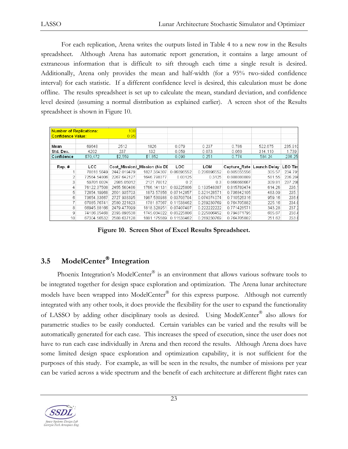For each replication, Arena writes the outputs listed in Table 4 to a new row in the Results spreadsheet. Although Arena has automatic report generation, it contains a large amount of extraneous information that is difficult to sift through each time a single result is desired. Additionally, Arena only provides the mean and half-width (for a 95% two-sided confidence interval) for each statistic. If a different confidence level is desired, this calculation must be done offline. The results spreadsheet is set up to calculate the mean, standard deviation, and confidence level desired (assuming a normal distribution as explained earlier). A screen shot of the Results spreadsheet is shown in Figure 10.

| Number of Replications:   |             | 100         |                              |            |             |              |              |                |
|---------------------------|-------------|-------------|------------------------------|------------|-------------|--------------|--------------|----------------|
| <u> Confidence Value:</u> |             | 0.95        |                              |            |             |              |              |                |
|                           |             |             |                              |            |             |              |              |                |
| Mean                      | 69648       | 2512        | 1826                         | 0.079      | 0.237       | 0.786        | 522.675      | 235.910        |
| Std. Dev.                 | 4202        | 237         | 132                          | 0.059      | 0.073       | 0.060        | 314.110      | 1.739          |
| Confidence                | \$70,472    | \$2,559     | \$1,852                      | 0.090      | 0.251       | 0.774        | 584.24       | 236.25         |
|                           |             |             |                              |            |             |              |              |                |
| Rep. #                    | LCC         |             | Cost_Mission)_Mission (No DI | LOC        | LOM         | Capture_Rate | Launch Delav | <b>LEO Tim</b> |
|                           | 70818.5649  | 2442.019479 | 1827.364307                  | 0.06896552 | 0.206896552 | 0.805555556  | 305.57       | 234.791        |
|                           | 72564.54806 | 2267.642127 | 1646.798377                  | 0.03125    | 0.3125      | 0.88888889   | 581.55       | 236.284        |
| 3                         | 59701.0024  | 2985.05012  | 2121.70012                   | 0.2        | 0.3         | 0.666666667  | 309.81       | 237.298        |
| 4                         | 76122.37508 | 2455.560486 | 1766.141131                  | 0.03225806 | 0.193548387 | 0.815789474  | 614.26       | 236.           |
| 5                         | 72854.19968 | 2601.935703 | 1873.57856                   | 0.07142857 | 0.321428571 | 0.736842105  | 483.09       | 235.           |
| 6                         | 73654.33667 | 2727.938395 | 1987.530988                  | 0.03703704 | 0.074074074 | 0.710526316  | 959.16       | 236.6          |
|                           | 67085.76741 | 2580.221823 | 1781.87567                   | 0.11538462 | 0.269230769 | 0.764705882  | 225.16       | 234.           |
| 8                         | 66945.88166 | 2479 477099 | 1818.328951                  | 0.07407407 | 0.222222222 | 0.771428571  | 343.28       | 237.2          |
| 9                         | 74186.05468 | 2393.098538 | 1745.034022                  | 0.03225806 | 0.225806452 | 0.794871795  | 665.67       | 236.4          |
| 10                        | 67304.56532 | 2588.637128 | 1881.175589                  | 0.11538462 | 0.269230769 | 0.764705882  | 251.62       | 233.8          |

**Figure 10. Screen Shot of Excel Results Spreadsheet.** 

# **3.5 ModelCenter**® **Integration**

Phoenix Integration's ModelCenter<sup>®</sup> is an environment that allows various software tools to be integrated together for design space exploration and optimization. The Arena lunar architecture models have been wrapped into ModelCenter® for this express purpose. Although not currently integrated with any other tools, it does provide the flexibility for the user to expand the functionality of LASSO by adding other disciplinary tools as desired. Using ModelCenter® also allows for parametric studies to be easily conducted. Certain variables can be varied and the results will be automatically generated for each case. This increases the speed of execution, since the user does not have to run each case individually in Arena and then record the results. Although Arena does have some limited design space exploration and optimization capability, it is not sufficient for the purposes of this study. For example, as will be seen in the results, the number of missions per year can be varied across a wide spectrum and the benefit of each architecture at different flight rates can

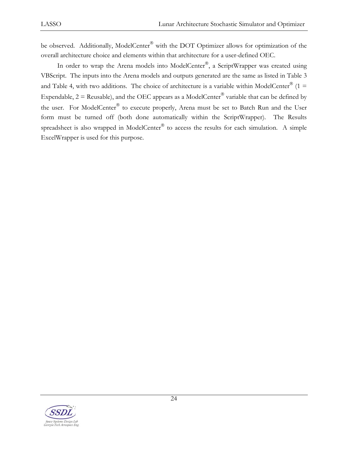be observed. Additionally, ModelCenter® with the DOT Optimizer allows for optimization of the overall architecture choice and elements within that architecture for a user-defined OEC.

In order to wrap the Arena models into ModelCenter<sup>®</sup>, a ScriptWrapper was created using VBScript. The inputs into the Arena models and outputs generated are the same as listed in Table 3 and Table 4, with two additions. The choice of architecture is a variable within ModelCenter<sup>®</sup> (1 = Expendable,  $2 =$  Reusable), and the OEC appears as a ModelCenter<sup>®</sup> variable that can be defined by the user. For ModelCenter<sup>®</sup> to execute properly, Arena must be set to Batch Run and the User form must be turned off (both done automatically within the ScriptWrapper). The Results spreadsheet is also wrapped in ModelCenter® to access the results for each simulation. A simple ExcelWrapper is used for this purpose.

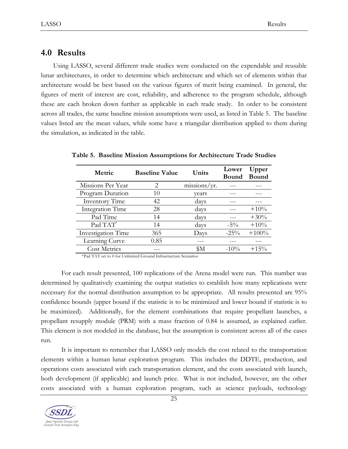# **4.0 Results**

Using LASSO, several different trade studies were conducted on the expendable and reusable lunar architectures, in order to determine which architecture and which set of elements within that architecture would be best based on the various figures of merit being examined. In general, the figures of merit of interest are cost, reliability, and adherence to the program schedule, although these are each broken down further as applicable in each trade study. In order to be consistent across all trades, the same baseline mission assumptions were used, as listed in Table 5. The baseline values listed are the mean values, while some have a triangular distribution applied to them during the simulation, as indicated in the table.

| Metric                | <b>Baseline Value</b>       | Units        | Lower<br><b>Bound</b> | Upper<br><b>Bound</b> |
|-----------------------|-----------------------------|--------------|-----------------------|-----------------------|
| Missions Per Year     | $\mathcal{D}_{\mathcal{L}}$ | missions/yr. |                       |                       |
| Program Duration      | 10                          | vears        |                       |                       |
| <b>Inventory Time</b> | 42.                         | days         |                       |                       |
| Integration Time      | 28                          | days         |                       | $+10\%$               |
| Pad Time              | 14                          | days         |                       | $+30%$                |
| Pad TAT*              | 14                          | days         | $-5\%$                | $+10%$                |
| Investigation Time    | 365                         | Days         | $-25\%$               | $+100%$               |
| Learning Curve        | 0.85                        |              |                       |                       |
| <b>Cost Metrics</b>   |                             | $\$M$        | $-10\%$               | $+15%$                |

**Table 5. Baseline Mission Assumptions for Architecture Trade Studies** 

\*Pad TAT set to 0 for Unlimited Ground Infrastructure Scenarios

For each result presented, 100 replications of the Arena model were run. This number was determined by qualitatively examining the output statistics to establish how many replications were necessary for the normal distribution assumption to be appropriate. All results presented are 95% confidence bounds (upper bound if the statistic is to be minimized and lower bound if statistic is to be maximized). Additionally, for the element combinations that require propellant launches, a propellant resupply module (PRM) with a mass fraction of 0.84 is assumed, as explained earlier. This element is not modeled in the database, but the assumption is consistent across all of the cases run.

It is important to remember that LASSO only models the cost related to the transportation elements within a human lunar exploration program. This includes the DDTE, production, and operations costs associated with each transportation element, and the costs associated with launch, both development (if applicable) and launch price. What is not included, however, are the other costs associated with a human exploration program, such as science payloads, technology

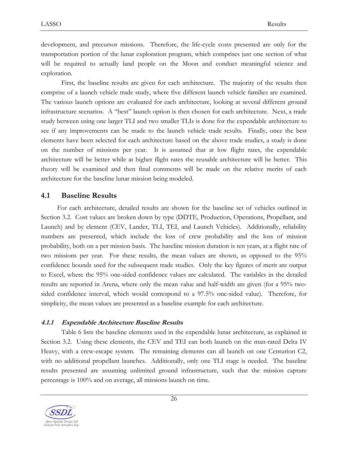development, and precursor missions. Therefore, the life-cycle costs presented are only for the transportation portion of the lunar exploration program, which comprises just one section of what will be required to actually land people on the Moon and conduct meaningful science and exploration.

First, the baseline results are given for each architecture. The majority of the results then comprise of a launch vehicle trade study, where five different launch vehicle families are examined. The various launch options are evaluated for each architecture, looking at several different ground infrastructure scenarios. A "best" launch option is then chosen for each architecture. Next, a trade study between using one larger TLI and two smaller TLIs is done for the expendable architecture to see if any improvements can be made to the launch vehicle trade results. Finally, once the best elements have been selected for each architecture based on the above trade studies, a study is done on the number of missions per year. It is assumed that at low flight rates, the expendable architecture will be better while at higher flight rates the reusable architecture will be better. This theory will be examined and then final comments will be made on the relative merits of each architecture for the baseline lunar mission being modeled.

### **4.1 Baseline Results**

For each architecture, detailed results are shown for the baseline set of vehicles outlined in Section 3.2. Cost values are broken down by type (DDTE, Production, Operations, Propellant, and Launch) and by element (CEV, Lander, TLI, TEI, and Launch Vehicles). Additionally, reliability numbers are presented, which include the loss of crew probability and the loss of mission probability, both on a per mission basis. The baseline mission duration is ten years, at a flight rate of two missions per year. For these results, the mean values are shown, as opposed to the 95% confidence bounds used for the subsequent trade studies. Only the key figures of merit are output to Excel, where the 95% one-sided confidence values are calculated. The variables in the detailed results are reported in Arena, where only the mean value and half-width are given (for a 95% twosided confidence interval, which would correspond to a 97.5% one-sided value). Therefore, for simplicity, the mean values are presented as a baseline example for each architecture.

### **4.1.1 Expendable Architecture Baseline Results**

Table 6 lists the baseline elements used in the expendable lunar architecture, as explained in Section 3.2. Using these elements, the CEV and TEI can both launch on the man-rated Delta IV Heavy, with a crew-escape system. The remaining elements can all launch on one Centurion C2, with no additional propellant launches. Additionally, only one TLI stage is needed. The baseline results presented are assuming unlimited ground infrastructure, such that the mission capture percentage is 100% and on average, all missions launch on time.

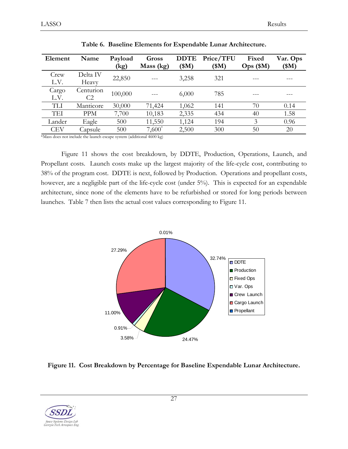| Element       | Name              | Payload<br>(kg) | Gross<br>Mass (kg) | <b>DDTE</b><br>(\$M) | Price/TFU<br>\$M\$ | Fixed<br>$Ops($ \$M $)$ | Var. Ops<br>\$M\$) |
|---------------|-------------------|-----------------|--------------------|----------------------|--------------------|-------------------------|--------------------|
| Crew<br>L.V.  | Delta IV<br>Heavy | 22,850          |                    | 3,258                | 321                |                         |                    |
| Cargo<br>L.V. | Centurion<br>C2   | 100,000         |                    | 6,000                | 785                |                         |                    |
| TLI           | Manticore         | 30,000          | 71,424             | 1,062                | 141                | 70                      | 0.14               |
| TEI           | <b>PPM</b>        | 7,700           | 10,183             | 2,335                | 434                | 40                      | 1.58               |
| Lander        | Eagle             | 500             | 11,550             | 1,124                | 194                | 3                       | 0.96               |
| <b>CEV</b>    | Capsule           | 500             | $7,600^*$          | 2,500                | 300                | 50                      | 20                 |

**Table 6. Baseline Elements for Expendable Lunar Architecture.** 

\*Mass does not include the launch escape system (additional 4600 kg)

Figure 11 shows the cost breakdown, by DDTE, Production, Operations, Launch, and Propellant costs. Launch costs make up the largest majority of the life-cycle cost, contributing to 38% of the program cost. DDTE is next, followed by Production. Operations and propellant costs, however, are a negligible part of the life-cycle cost (under 5%). This is expected for an expendable architecture, since none of the elements have to be refurbished or stored for long periods between launches. Table 7 then lists the actual cost values corresponding to Figure 11.



**Figure 11. Cost Breakdown by Percentage for Baseline Expendable Lunar Architecture.** 

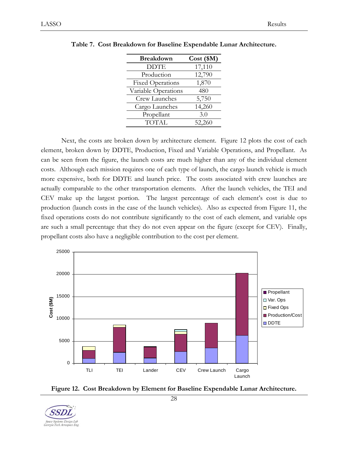| <b>Breakdown</b>        | Cost (\$M) |
|-------------------------|------------|
| <b>DDTE</b>             | 17,110     |
| Production              | 12,790     |
| <b>Fixed Operations</b> | 1,870      |
| Variable Operations     | 480        |
| Crew Launches           | 5,750      |
| Cargo Launches          | 14,260     |
| Propellant              | 3.0        |
| <b>TOTAL</b>            | 52,260     |

**Table 7. Cost Breakdown for Baseline Expendable Lunar Architecture.** 

Next, the costs are broken down by architecture element. Figure 12 plots the cost of each element, broken down by DDTE, Production, Fixed and Variable Operations, and Propellant. As can be seen from the figure, the launch costs are much higher than any of the individual element costs. Although each mission requires one of each type of launch, the cargo launch vehicle is much more expensive, both for DDTE and launch price. The costs associated with crew launches are actually comparable to the other transportation elements. After the launch vehicles, the TEI and CEV make up the largest portion. The largest percentage of each element's cost is due to production (launch costs in the case of the launch vehicles). Also as expected from Figure 11, the fixed operations costs do not contribute significantly to the cost of each element, and variable ops are such a small percentage that they do not even appear on the figure (except for CEV). Finally, propellant costs also have a negligible contribution to the cost per element.



**Figure 12. Cost Breakdown by Element for Baseline Expendable Lunar Architecture.** 

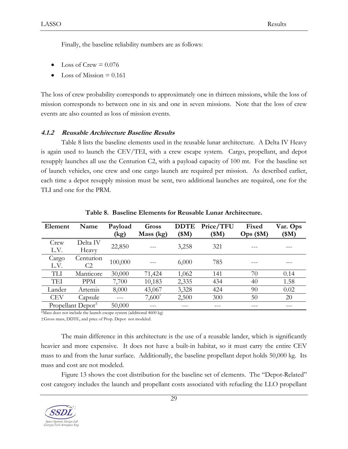Finally, the baseline reliability numbers are as follows:

- Loss of Crew  $= 0.076$
- Loss of Mission  $= 0.161$

The loss of crew probability corresponds to approximately one in thirteen missions, while the loss of mission corresponds to between one in six and one in seven missions. Note that the loss of crew events are also counted as loss of mission events.

### **4.1.2 Reusable Architecture Baseline Results**

Table 8 lists the baseline elements used in the reusable lunar architecture. A Delta IV Heavy is again used to launch the CEV/TEI, with a crew escape system. Cargo, propellant, and depot resupply launches all use the Centurion C2, with a payload capacity of 100 mt. For the baseline set of launch vehicles, one crew and one cargo launch are required per mission. As described earlier, each time a depot resupply mission must be sent, two additional launches are required, one for the TLI and one for the PRM.

| Element       | Name                          | Payload<br>(kg) | Gross<br>Mass (kg) | <b>DDTE</b><br>\$M\$ | Price/TFU<br>(\$M) | Fixed<br>$Ops($ \$M $)$ | Var. Ops<br>\$M\$) |
|---------------|-------------------------------|-----------------|--------------------|----------------------|--------------------|-------------------------|--------------------|
| Crew<br>L.V.  | Delta IV<br>Heavy             | 22,850          |                    | 3,258                | 321                |                         |                    |
| Cargo<br>L.V. | Centurion<br>C2               | 100,000         |                    | 6,000                | 785                |                         |                    |
| <b>TLI</b>    | Manticore                     | 30,000          | 71,424             | 1,062                | 141                | 70                      | 0.14               |
| TEI           | <b>PPM</b>                    | 7,700           | 10,183             | 2,335                | 434                | 40                      | 1.58               |
| Lander        | Artemis                       | 8,000           | 43,067             | 3,328                | 424                | 90                      | 0.02               |
| <b>CEV</b>    | Capsule                       | ---             | $7,600^*$          | 2,500                | 300                | 50                      | 20                 |
|               | Propellant Depot <sup>+</sup> | 50,000          |                    |                      |                    |                         |                    |

**Table 8. Baseline Elements for Reusable Lunar Architecture.** 

\*Mass does not include the launch escape system (additional 4600 kg)

±Gross mass, DDTE, and price of Prop. Depot not modeled.

The main difference in this architecture is the use of a reusable lander, which is significantly heavier and more expensive. It does not have a built-in habitat, so it must carry the entire CEV mass to and from the lunar surface. Additionally, the baseline propellant depot holds 50,000 kg. Its mass and cost are not modeled.

Figure 13 shows the cost distribution for the baseline set of elements. The "Depot-Related" cost category includes the launch and propellant costs associated with refueling the LLO propellant

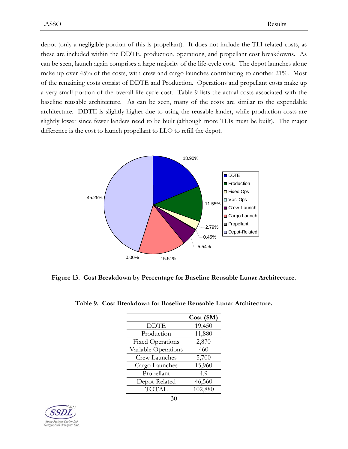depot (only a negligible portion of this is propellant). It does not include the TLI-related costs, as these are included within the DDTE, production, operations, and propellant cost breakdowns. As can be seen, launch again comprises a large majority of the life-cycle cost. The depot launches alone make up over 45% of the costs, with crew and cargo launches contributing to another 21%. Most of the remaining costs consist of DDTE and Production. Operations and propellant costs make up a very small portion of the overall life-cycle cost. Table 9 lists the actual costs associated with the baseline reusable architecture. As can be seen, many of the costs are similar to the expendable architecture. DDTE is slightly higher due to using the reusable lander, while production costs are slightly lower since fewer landers need to be built (although more TLIs must be built). The major difference is the cost to launch propellant to LLO to refill the depot.



**Figure 13. Cost Breakdown by Percentage for Baseline Reusable Lunar Architecture.** 

|                         | $Cost ($ \$M $)$ |
|-------------------------|------------------|
| <b>DDTE</b>             | 19,450           |
| Production              | 11,880           |
| <b>Fixed Operations</b> | 2,870            |
| Variable Operations     | 460              |
| Crew Launches           | 5,700            |
| Cargo Launches          | 15,960           |
| Propellant              | 4.9              |
| Depot-Related           | 46,560           |
| <b>TOTAL</b>            | 102,880          |

**Table 9. Cost Breakdown for Baseline Reusable Lunar Architecture.** 

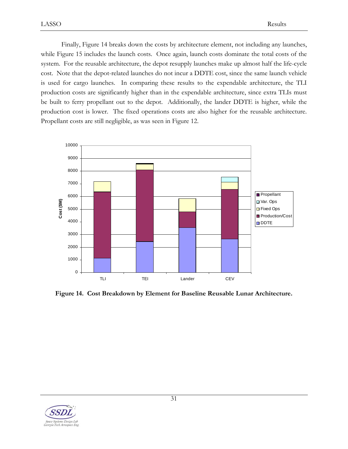Finally, Figure 14 breaks down the costs by architecture element, not including any launches, while Figure 15 includes the launch costs. Once again, launch costs dominate the total costs of the system. For the reusable architecture, the depot resupply launches make up almost half the life-cycle cost. Note that the depot-related launches do not incur a DDTE cost, since the same launch vehicle is used for cargo launches. In comparing these results to the expendable architecture, the TLI production costs are significantly higher than in the expendable architecture, since extra TLIs must be built to ferry propellant out to the depot. Additionally, the lander DDTE is higher, while the production cost is lower. The fixed operations costs are also higher for the reusable architecture. Propellant costs are still negligible, as was seen in Figure 12.



**Figure 14. Cost Breakdown by Element for Baseline Reusable Lunar Architecture.** 

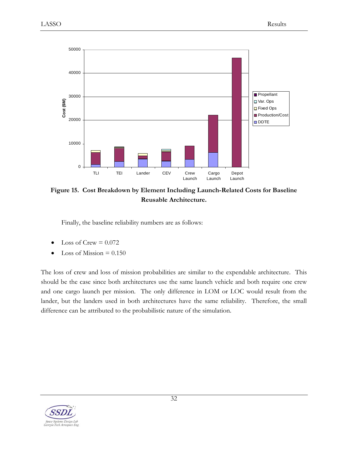

**Figure 15. Cost Breakdown by Element Including Launch-Related Costs for Baseline Reusable Architecture.** 

Finally, the baseline reliability numbers are as follows:

- Loss of Crew  $= 0.072$
- Loss of Mission  $= 0.150$

The loss of crew and loss of mission probabilities are similar to the expendable architecture. This should be the case since both architectures use the same launch vehicle and both require one crew and one cargo launch per mission. The only difference in LOM or LOC would result from the lander, but the landers used in both architectures have the same reliability. Therefore, the small difference can be attributed to the probabilistic nature of the simulation.

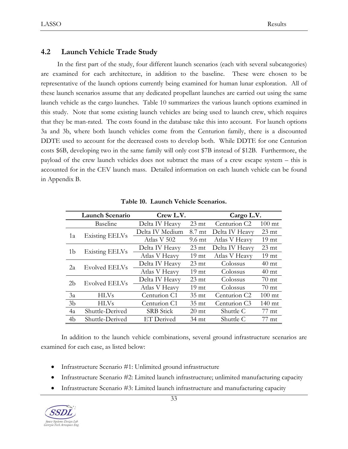# **4.2 Launch Vehicle Trade Study**

In the first part of the study, four different launch scenarios (each with several subcategories) are examined for each architecture, in addition to the baseline. These were chosen to be representative of the launch options currently being examined for human lunar exploration. All of these launch scenarios assume that any dedicated propellant launches are carried out using the same launch vehicle as the cargo launches. Table 10 summarizes the various launch options examined in this study. Note that some existing launch vehicles are being used to launch crew, which requires that they be man-rated. The costs found in the database take this into account. For launch options 3a and 3b, where both launch vehicles come from the Centurion family, there is a discounted DDTE used to account for the decreased costs to develop both. While DDTE for one Centurion costs \$6B, developing two in the same family will only cost \$7B instead of \$12B. Furthermore, the payload of the crew launch vehicles does not subtract the mass of a crew escape system – this is accounted for in the CEV launch mass. Detailed information on each launch vehicle can be found in Appendix B.

|                      | <b>Launch Scenario</b> | Crew L.V.        |                  | Cargo L.V.               |                  |
|----------------------|------------------------|------------------|------------------|--------------------------|------------------|
|                      | <b>Baseline</b>        | Delta IV Heavy   | $23 \text{ mt}$  | Centurion C <sub>2</sub> | $100$ mt         |
| 1a                   | Existing EELVs         | Delta IV Medium  | 8.7 mt           | Delta IV Heavy           | $23$ mt          |
|                      |                        | Atlas V 502      | $9.6$ mt         | Atlas V Heavy            | 19 <sub>mt</sub> |
| 1b                   |                        | Delta IV Heavy   | $23$ mt          | Delta IV Heavy           | $23$ mt          |
|                      | <b>Existing EELVs</b>  | Atlas V Heavy    | 19 <sub>mt</sub> | Atlas V Heavy            | 19 <sub>mt</sub> |
| <b>Evolved EELVs</b> |                        | Delta IV Heavy   | $23$ mt          | Colossus                 | $40$ mt          |
| 2a                   |                        | Atlas V Heavy    | 19 <sub>mt</sub> | Colossus                 | $40$ mt          |
| 2 <sub>b</sub>       | <b>Evolved EELVs</b>   | Delta IV Heavy   | $23$ mt          | Colossus                 | $70$ mt          |
|                      |                        | Atlas V Heavy    | 19 <sub>mt</sub> | Colossus                 | $70$ mt          |
| 3a                   | <b>HLVs</b>            | Centurion C1     | $35$ mt          | Centurion C <sub>2</sub> | $100$ mt         |
| 3 <sub>b</sub>       | <b>HLVs</b>            | Centurion C1     | $35$ mt          | Centurion C <sub>3</sub> | $140$ mt         |
| 4a                   | Shuttle-Derived        | <b>SRB</b> Stick | $20 \text{ mt}$  | Shuttle C                | $77$ mt          |
| 4b                   | Shuttle-Derived        | ET Derived       | 34 mt            | Shuttle C                | $77$ mt          |

**Table 10. Launch Vehicle Scenarios.** 

In addition to the launch vehicle combinations, several ground infrastructure scenarios are examined for each case, as listed below:

- Infrastructure Scenario #1: Unlimited ground infrastructure
- Infrastructure Scenario #2: Limited launch infrastructure; unlimited manufacturing capacity
- Infrastructure Scenario #3: Limited launch infrastructure and manufacturing capacity

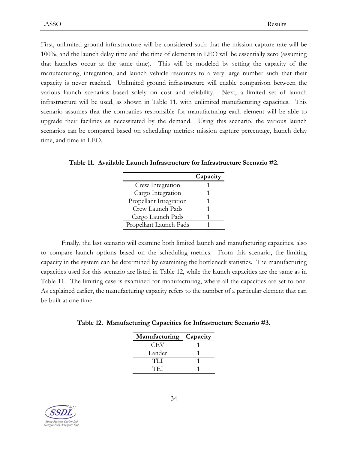First, unlimited ground infrastructure will be considered such that the mission capture rate will be 100%, and the launch delay time and the time of elements in LEO will be essentially zero (assuming that launches occur at the same time). This will be modeled by setting the capacity of the manufacturing, integration, and launch vehicle resources to a very large number such that their capacity is never reached. Unlimited ground infrastructure will enable comparison between the various launch scenarios based solely on cost and reliability. Next, a limited set of launch infrastructure will be used, as shown in Table 11, with unlimited manufacturing capacities. This scenario assumes that the companies responsible for manufacturing each element will be able to upgrade their facilities as necessitated by the demand. Using this scenario, the various launch scenarios can be compared based on scheduling metrics: mission capture percentage, launch delay time, and time in LEO.

|                        | Capacity |
|------------------------|----------|
| Crew Integration       |          |
| Cargo Integration      |          |
| Propellant Integration |          |
| Crew Launch Pads       |          |
| Cargo Launch Pads      |          |
| Propellant Launch Pads |          |

**Table 11. Available Launch Infrastructure for Infrastructure Scenario #2.** 

Finally, the last scenario will examine both limited launch and manufacturing capacities, also to compare launch options based on the scheduling metrics. From this scenario, the limiting capacity in the system can be determined by examining the bottleneck statistics. The manufacturing capacities used for this scenario are listed in Table 12, while the launch capacities are the same as in Table 11. The limiting case is examined for manufacturing, where all the capacities are set to one. As explained earlier, the manufacturing capacity refers to the number of a particular element that can be built at one time.

**Table 12. Manufacturing Capacities for Infrastructure Scenario #3.** 

| Manufacturing | Capacity |
|---------------|----------|
| CEV           |          |
| Lander        |          |
| TH J          |          |
| TEI           |          |

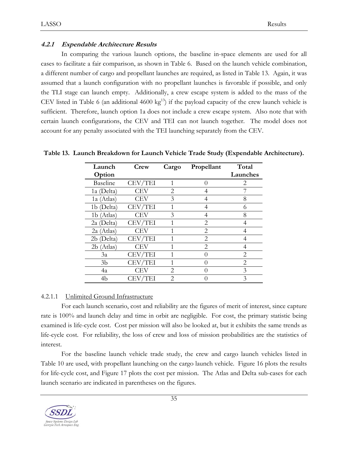## **4.2.1 Expendable Architecture Results**

In comparing the various launch options, the baseline in-space elements are used for all cases to facilitate a fair comparison, as shown in Table 6. Based on the launch vehicle combination, a different number of cargo and propellant launches are required, as listed in Table 13. Again, it was assumed that a launch configuration with no propellant launches is favorable if possible, and only the TLI stage can launch empty. Additionally, a crew escape system is added to the mass of the CEV listed in Table 6 (an additional  $4600 \text{ kg}^{13}$ ) if the payload capacity of the crew launch vehicle is sufficient. Therefore, launch option 1a does not include a crew escape system. Also note that with certain launch configurations, the CEV and TEI can not launch together. The model does not account for any penalty associated with the TEI launching separately from the CEV.

| Launch<br>Option | Crew       | Cargo                  | Propellant                  | Total<br>Launches             |
|------------------|------------|------------------------|-----------------------------|-------------------------------|
| Baseline         | CEV/TEI    |                        | $\theta$                    | 2                             |
| 1a (Delta)       | <b>CEV</b> | $\mathfrak{D}_{\cdot}$ | 4                           |                               |
| 1a (Atlas)       | CEV        | 3                      |                             | 8                             |
| 1b (Delta)       | CEV/TEI    |                        | 4                           | 6                             |
| 1b (Atlas)       | CEV        | 3                      |                             | 8                             |
| 2a (Delta)       | CEV/TEI    |                        | $\mathcal{D}_{\mathcal{L}}$ |                               |
| 2a (Atlas)       | <b>CEV</b> |                        | 2                           |                               |
| 2b (Delta)       | CEV/TEI    |                        | 2                           |                               |
| $2b$ (Atlas)     | <b>CEV</b> |                        | $\mathcal{D}_{\mathcal{L}}$ |                               |
| 3a               | CEV/TEI    |                        | $\left( \right)$            | $\mathfrak{D}_{\mathfrak{p}}$ |
| 3 <sub>b</sub>   | CEV/TEI    |                        |                             | $\mathfrak{D}_{\mathfrak{p}}$ |
| 4a               | CEV        | $\mathcal{D}_{\cdot}$  |                             | 3                             |
| 4b               | CEV/TEI    | 2                      |                             | 3                             |

**Table 13. Launch Breakdown for Launch Vehicle Trade Study (Expendable Architecture).** 

# 4.2.1.1 Unlimited Ground Infrastructure

For each launch scenario, cost and reliability are the figures of merit of interest, since capture rate is 100% and launch delay and time in orbit are negligible. For cost, the primary statistic being examined is life-cycle cost. Cost per mission will also be looked at, but it exhibits the same trends as life-cycle cost. For reliability, the loss of crew and loss of mission probabilities are the statistics of interest.

For the baseline launch vehicle trade study, the crew and cargo launch vehicles listed in Table 10 are used, with propellant launching on the cargo launch vehicle. Figure 16 plots the results for life-cycle cost, and Figure 17 plots the cost per mission. The Atlas and Delta sub-cases for each launch scenario are indicated in parentheses on the figures.

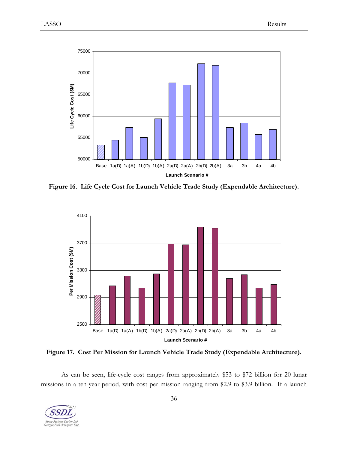

**Figure 16. Life Cycle Cost for Launch Vehicle Trade Study (Expendable Architecture).** 



**Figure 17. Cost Per Mission for Launch Vehicle Trade Study (Expendable Architecture).** 

As can be seen, life-cycle cost ranges from approximately \$53 to \$72 billion for 20 lunar missions in a ten-year period, with cost per mission ranging from \$2.9 to \$3.9 billion. If a launch

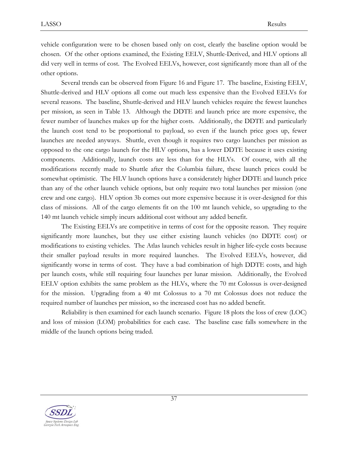vehicle configuration were to be chosen based only on cost, clearly the baseline option would be chosen. Of the other options examined, the Existing EELV, Shuttle-Derived, and HLV options all did very well in terms of cost. The Evolved EELVs, however, cost significantly more than all of the other options.

Several trends can be observed from Figure 16 and Figure 17. The baseline, Existing EELV, Shuttle-derived and HLV options all come out much less expensive than the Evolved EELVs for several reasons. The baseline, Shuttle-derived and HLV launch vehicles require the fewest launches per mission, as seen in Table 13. Although the DDTE and launch price are more expensive, the fewer number of launches makes up for the higher costs. Additionally, the DDTE and particularly the launch cost tend to be proportional to payload, so even if the launch price goes up, fewer launches are needed anyways. Shuttle, even though it requires two cargo launches per mission as opposed to the one cargo launch for the HLV options, has a lower DDTE because it uses existing components. Additionally, launch costs are less than for the HLVs. Of course, with all the modifications recently made to Shuttle after the Columbia failure, these launch prices could be somewhat optimistic. The HLV launch options have a considerately higher DDTE and launch price than any of the other launch vehicle options, but only require two total launches per mission (one crew and one cargo). HLV option 3b comes out more expensive because it is over-designed for this class of missions. All of the cargo elements fit on the 100 mt launch vehicle, so upgrading to the 140 mt launch vehicle simply incurs additional cost without any added benefit.

The Existing EELVs are competitive in terms of cost for the opposite reason. They require significantly more launches, but they use either existing launch vehicles (no DDTE cost) or modifications to existing vehicles. The Atlas launch vehicles result in higher life-cycle costs because their smaller payload results in more required launches. The Evolved EELVs, however, did significantly worse in terms of cost. They have a bad combination of high DDTE costs, and high per launch costs, while still requiring four launches per lunar mission. Additionally, the Evolved EELV option exhibits the same problem as the HLVs, where the 70 mt Colossus is over-designed for the mission. Upgrading from a 40 mt Colossus to a 70 mt Colossus does not reduce the required number of launches per mission, so the increased cost has no added benefit.

Reliability is then examined for each launch scenario. Figure 18 plots the loss of crew (LOC) and loss of mission (LOM) probabilities for each case. The baseline case falls somewhere in the middle of the launch options being traded.

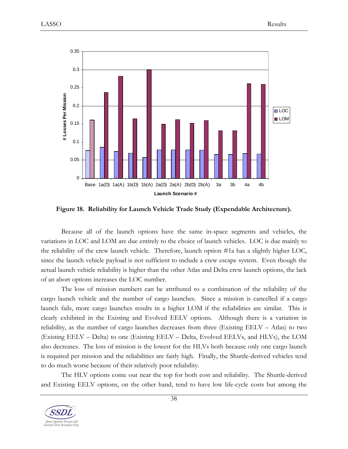

**Figure 18. Reliability for Launch Vehicle Trade Study (Expendable Architecture).** 

Because all of the launch options have the same in-space segments and vehicles, the variations in LOC and LOM are due entirely to the choice of launch vehicles. LOC is due mainly to the reliability of the crew launch vehicle. Therefore, launch option #1a has a slightly higher LOC, since the launch vehicle payload is not sufficient to include a crew escape system. Even though the actual launch vehicle reliability is higher than the other Atlas and Delta crew launch options, the lack of an abort options increases the LOC number.

The loss of mission numbers can be attributed to a combination of the reliability of the cargo launch vehicle and the number of cargo launches. Since a mission is cancelled if a cargo launch fails, more cargo launches results in a higher LOM if the reliabilities are similar. This is clearly exhibited in the Existing and Evolved EELV options. Although there is a variation in reliability, as the number of cargo launches decreases from three (Existing EELV – Atlas) to two (Existing EELV – Delta) to one (Existing EELV – Delta, Evolved EELVs, and HLVs), the LOM also decreases. The loss of mission is the lowest for the HLVs both because only one cargo launch is required per mission and the reliabilities are fairly high. Finally, the Shuttle-derived vehicles tend to do much worse because of their relatively poor reliability.

The HLV options come out near the top for both cost and reliability. The Shuttle-derived and Existing EELV options, on the other hand, tend to have low life-cycle costs but among the

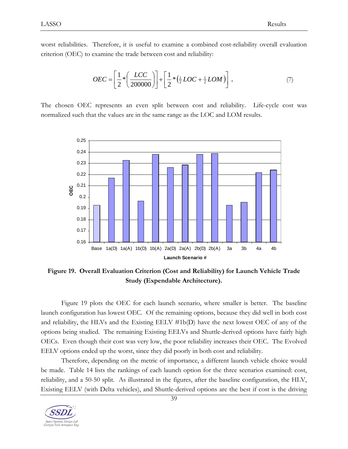worst reliabilities. Therefore, it is useful to examine a combined cost-reliability overall evaluation criterion (OEC) to examine the trade between cost and reliability:

$$
OEC = \left[\frac{1}{2} * \left(\frac{LCC}{200000}\right)\right] + \left[\frac{1}{2} * \left(\frac{1}{2} LOC + \frac{1}{2}LOM\right)\right].
$$
 (7)

The chosen OEC represents an even split between cost and reliability. Life-cycle cost was normalized such that the values are in the same range as the LOC and LOM results.



**Figure 19. Overall Evaluation Criterion (Cost and Reliability) for Launch Vehicle Trade Study (Expendable Architecture).** 

Figure 19 plots the OEC for each launch scenario, where smaller is better. The baseline launch configuration has lowest OEC. Of the remaining options, because they did well in both cost and reliability, the HLVs and the Existing EELV #1b(D) have the next lowest OEC of any of the options being studied. The remaining Existing EELVs and Shuttle-derived options have fairly high OECs. Even though their cost was very low, the poor reliability increases their OEC. The Evolved EELV options ended up the worst, since they did poorly in both cost and reliability.

Therefore, depending on the metric of importance, a different launch vehicle choice would be made. Table 14 lists the rankings of each launch option for the three scenarios examined: cost, reliability, and a 50-50 split. As illustrated in the figures, after the baseline configuration, the HLV, Existing EELV (with Delta vehicles), and Shuttle-derived options are the best if cost is the driving

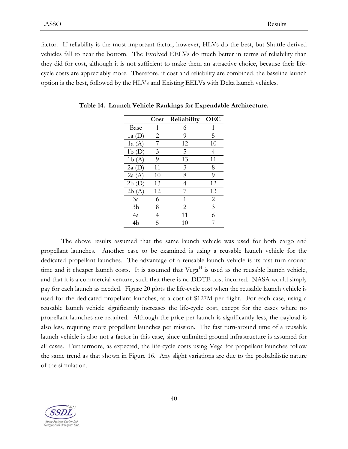factor. If reliability is the most important factor, however, HLVs do the best, but Shuttle-derived vehicles fall to near the bottom. The Evolved EELVs do much better in terms of reliability than they did for cost, although it is not sufficient to make them an attractive choice, because their lifecycle costs are appreciably more. Therefore, if cost and reliability are combined, the baseline launch option is the best, followed by the HLVs and Existing EELVs with Delta launch vehicles.

|           | Cost | Reliability | <b>OEC</b> |
|-----------|------|-------------|------------|
| Base      | 1    | 6           | 1          |
| 1a(D)     | 2    | 9           | 5          |
| 1a(A)     | 7    | 12          | 10         |
| 1b(D)     | 3    | 5           | 4          |
| 1b(A)     | 9    | 13          | 11         |
| 2a(D)     | 11   | 3           | 8          |
| 2a(A)     | 10   | 8           | 9          |
| 2b<br>(D) | 13   | 4           | 12         |
| 2b<br>(A) | 12   |             | 13         |
| 3a        | 6    | 1           | 2          |
| 3b        | 8    | 2           | 3          |
| 4a        | 4    | 11          | 6          |
| 4b        | 5    | 10          |            |

**Table 14. Launch Vehicle Rankings for Expendable Architecture.** 

The above results assumed that the same launch vehicle was used for both cargo and propellant launches. Another case to be examined is using a reusable launch vehicle for the dedicated propellant launches. The advantage of a reusable launch vehicle is its fast turn-around time and it cheaper launch costs. It is assumed that  $Vega^{14}$  is used as the reusable launch vehicle, and that it is a commercial venture, such that there is no DDTE cost incurred. NASA would simply pay for each launch as needed. Figure 20 plots the life-cycle cost when the reusable launch vehicle is used for the dedicated propellant launches, at a cost of \$127M per flight. For each case, using a reusable launch vehicle significantly increases the life-cycle cost, except for the cases where no propellant launches are required. Although the price per launch is significantly less, the payload is also less, requiring more propellant launches per mission. The fast turn-around time of a reusable launch vehicle is also not a factor in this case, since unlimited ground infrastructure is assumed for all cases. Furthermore, as expected, the life-cycle costs using Vega for propellant launches follow the same trend as that shown in Figure 16. Any slight variations are due to the probabilistic nature of the simulation.

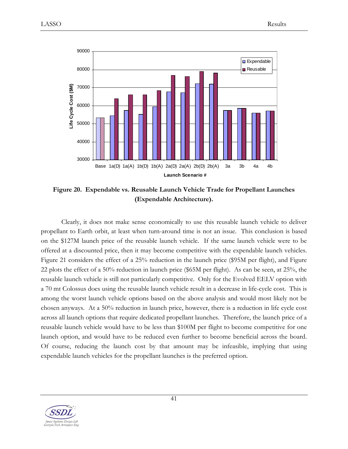

**Figure 20. Expendable vs. Reusable Launch Vehicle Trade for Propellant Launches (Expendable Architecture).** 

 Clearly, it does not make sense economically to use this reusable launch vehicle to deliver propellant to Earth orbit, at least when turn-around time is not an issue. This conclusion is based on the \$127M launch price of the reusable launch vehicle. If the same launch vehicle were to be offered at a discounted price, then it may become competitive with the expendable launch vehicles. Figure 21 considers the effect of a 25% reduction in the launch price (\$95M per flight), and Figure 22 plots the effect of a 50% reduction in launch price (\$65M per flight). As can be seen, at 25%, the reusable launch vehicle is still not particularly competitive. Only for the Evolved EELV option with a 70 mt Colossus does using the reusable launch vehicle result in a decrease in life-cycle cost. This is among the worst launch vehicle options based on the above analysis and would most likely not be chosen anyways. At a 50% reduction in launch price, however, there is a reduction in life cycle cost across all launch options that require dedicated propellant launches. Therefore, the launch price of a reusable launch vehicle would have to be less than \$100M per flight to become competitive for one launch option, and would have to be reduced even further to become beneficial across the board. Of course, reducing the launch cost by that amount may be infeasible, implying that using expendable launch vehicles for the propellant launches is the preferred option.

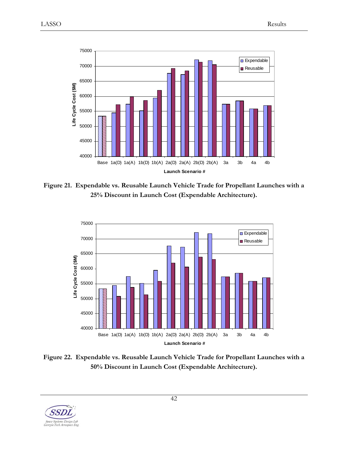

**Figure 21. Expendable vs. Reusable Launch Vehicle Trade for Propellant Launches with a 25% Discount in Launch Cost (Expendable Architecture).** 



**Figure 22. Expendable vs. Reusable Launch Vehicle Trade for Propellant Launches with a 50% Discount in Launch Cost (Expendable Architecture).** 

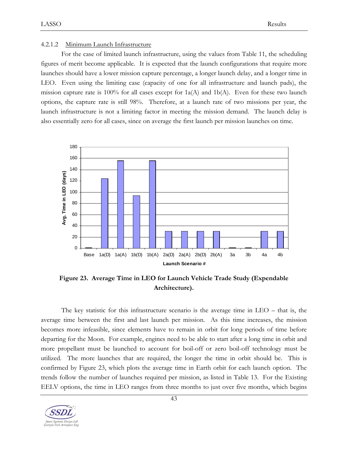#### 4.2.1.2 Minimum Launch Infrastructure

For the case of limited launch infrastructure, using the values from Table 11, the scheduling figures of merit become applicable. It is expected that the launch configurations that require more launches should have a lower mission capture percentage, a longer launch delay, and a longer time in LEO. Even using the limiting case (capacity of one for all infrastructure and launch pads), the mission capture rate is 100% for all cases except for  $1a(A)$  and  $1b(A)$ . Even for these two launch options, the capture rate is still 98%. Therefore, at a launch rate of two missions per year, the launch infrastructure is not a limiting factor in meeting the mission demand. The launch delay is also essentially zero for all cases, since on average the first launch per mission launches on time.



**Figure 23. Average Time in LEO for Launch Vehicle Trade Study (Expendable Architecture).** 

The key statistic for this infrastructure scenario is the average time in LEO – that is, the average time between the first and last launch per mission. As this time increases, the mission becomes more infeasible, since elements have to remain in orbit for long periods of time before departing for the Moon. For example, engines need to be able to start after a long time in orbit and more propellant must be launched to account for boil-off or zero boil-off technology must be utilized. The more launches that are required, the longer the time in orbit should be. This is confirmed by Figure 23, which plots the average time in Earth orbit for each launch option. The trends follow the number of launches required per mission, as listed in Table 13. For the Existing EELV options, the time in LEO ranges from three months to just over five months, which begins

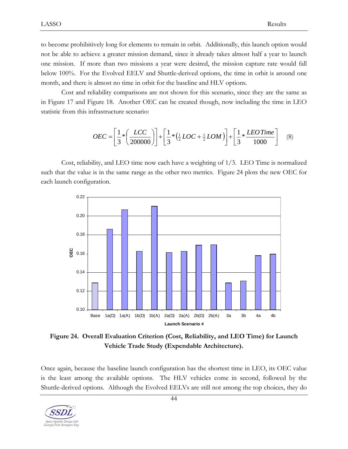to become prohibitively long for elements to remain in orbit. Additionally, this launch option would not be able to achieve a greater mission demand, since it already takes almost half a year to launch one mission. If more than two missions a year were desired, the mission capture rate would fall below 100%. For the Evolved EELV and Shuttle-derived options, the time in orbit is around one month, and there is almost no time in orbit for the baseline and HLV options.

Cost and reliability comparisons are not shown for this scenario, since they are the same as in Figure 17 and Figure 18. Another OEC can be created though, now including the time in LEO statistic from this infrastructure scenario:

$$
OEC = \left[\frac{1}{3} * \left(\frac{LCC}{200000}\right)\right] + \left[\frac{1}{3} * \left(\frac{1}{2} LOC + \frac{1}{2}LOM\right)\right] + \left[\frac{1}{3} * \frac{LEOTime}{1000}\right] \tag{8}
$$

Cost, reliability, and LEO time now each have a weighting of 1/3. LEO Time is normalized such that the value is in the same range as the other two metrics. Figure 24 plots the new OEC for each launch configuration.



**Figure 24. Overall Evaluation Criterion (Cost, Reliability, and LEO Time) for Launch Vehicle Trade Study (Expendable Architecture).** 

Once again, because the baseline launch configuration has the shortest time in LEO, its OEC value is the least among the available options. The HLV vehicles come in second, followed by the Shuttle-derived options. Although the Evolved EELVs are still not among the top choices, they do

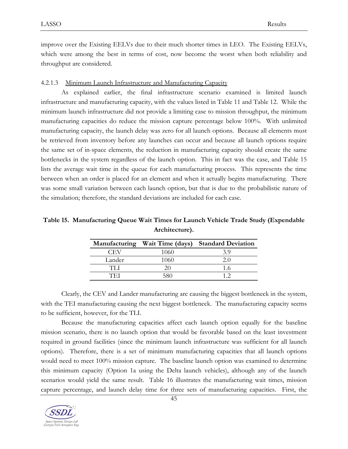improve over the Existing EELVs due to their much shorter times in LEO. The Existing EELVs, which were among the best in terms of cost, now become the worst when both reliability and throughput are considered.

#### 4.2.1.3 Minimum Launch Infrastructure and Manufacturing Capacity

As explained earlier, the final infrastructure scenario examined is limited launch infrastructure and manufacturing capacity, with the values listed in Table 11 and Table 12. While the minimum launch infrastructure did not provide a limiting case to mission throughput, the minimum manufacturing capacities do reduce the mission capture percentage below 100%. With unlimited manufacturing capacity, the launch delay was zero for all launch options. Because all elements must be retrieved from inventory before any launches can occur and because all launch options require the same set of in-space elements, the reduction in manufacturing capacity should create the same bottlenecks in the system regardless of the launch option. This in fact was the case, and Table 15 lists the average wait time in the queue for each manufacturing process. This represents the time between when an order is placed for an element and when it actually begins manufacturing. There was some small variation between each launch option, but that is due to the probabilistic nature of the simulation; therefore, the standard deviations are included for each case.

|        |      | Manufacturing Wait Time (days) Standard Deviation |
|--------|------|---------------------------------------------------|
| CEV    | 1060 | 39                                                |
| Lander | 1060 | 2.0                                               |
| TI I   | 20.  | 16                                                |
| TEI    |      |                                                   |

**Table 15. Manufacturing Queue Wait Times for Launch Vehicle Trade Study (Expendable Architecture).** 

Clearly, the CEV and Lander manufacturing are causing the biggest bottleneck in the system, with the TEI manufacturing causing the next biggest bottleneck. The manufacturing capacity seems to be sufficient, however, for the TLI.

Because the manufacturing capacities affect each launch option equally for the baseline mission scenario, there is no launch option that would be favorable based on the least investment required in ground facilities (since the minimum launch infrastructure was sufficient for all launch options). Therefore, there is a set of minimum manufacturing capacities that all launch options would need to meet 100% mission capture. The baseline launch option was examined to determine this minimum capacity (Option 1a using the Delta launch vehicles), although any of the launch scenarios would yield the same result. Table 16 illustrates the manufacturing wait times, mission capture percentage, and launch delay time for three sets of manufacturing capacities. First, the

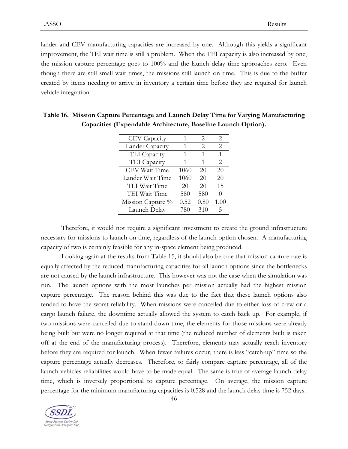lander and CEV manufacturing capacities are increased by one. Although this yields a significant improvement, the TEI wait time is still a problem. When the TEI capacity is also increased by one, the mission capture percentage goes to 100% and the launch delay time approaches zero. Even though there are still small wait times, the missions still launch on time. This is due to the buffer created by items needing to arrive in inventory a certain time before they are required for launch vehicle integration.

| CEV Capacity      |      | $\mathcal{D}_{\mathcal{L}}$ | 2.   |
|-------------------|------|-----------------------------|------|
| Lander Capacity   |      | $\mathcal{D}_{\cdot}$       | 2    |
| TLI Capacity      | 1    | 1                           | 1    |
| TEI Capacity      | 1    | 1                           | 2    |
| CEV Wait Time     | 1060 | 20                          | 20   |
| Lander Wait Time  | 1060 | 20                          | 20   |
| TLI Wait Time     | 20   | 20                          | 15   |
| TEI Wait Time     | 580  | 580                         |      |
| Mission Capture % | 0.52 | 0.80                        | 1.00 |
| Launch Delay      | 780  | 310                         | 5    |

**Table 16. Mission Capture Percentage and Launch Delay Time for Varying Manufacturing Capacities (Expendable Architecture, Baseline Launch Option).** 

Therefore, it would not require a significant investment to create the ground infrastructure necessary for missions to launch on time, regardless of the launch option chosen. A manufacturing capacity of two is certainly feasible for any in-space element being produced.

Looking again at the results from Table 15, it should also be true that mission capture rate is equally affected by the reduced manufacturing capacities for all launch options since the bottlenecks are not caused by the launch infrastructure. This however was not the case when the simulation was run. The launch options with the most launches per mission actually had the highest mission capture percentage. The reason behind this was due to the fact that these launch options also tended to have the worst reliability. When missions were cancelled due to either loss of crew or a cargo launch failure, the downtime actually allowed the system to catch back up. For example, if two missions were cancelled due to stand-down time, the elements for those missions were already being built but were no longer required at that time (the reduced number of elements built is taken off at the end of the manufacturing process). Therefore, elements may actually reach inventory before they are required for launch. When fewer failures occur, there is less "catch-up" time so the capture percentage actually decreases. Therefore, to fairly compare capture percentage, all of the launch vehicles reliabilities would have to be made equal. The same is true of average launch delay time, which is inversely proportional to capture percentage. On average, the mission capture percentage for the minimum manufacturing capacities is 0.528 and the launch delay time is 752 days.

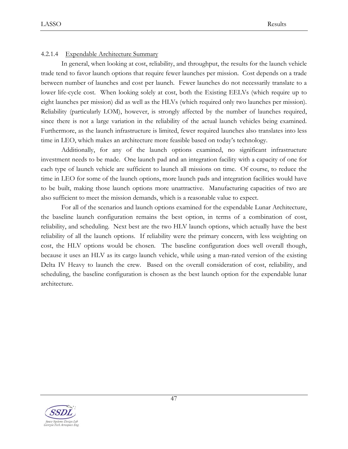### 4.2.1.4 Expendable Architecture Summary

In general, when looking at cost, reliability, and throughput, the results for the launch vehicle trade tend to favor launch options that require fewer launches per mission. Cost depends on a trade between number of launches and cost per launch. Fewer launches do not necessarily translate to a lower life-cycle cost. When looking solely at cost, both the Existing EELVs (which require up to eight launches per mission) did as well as the HLVs (which required only two launches per mission). Reliability (particularly LOM), however, is strongly affected by the number of launches required, since there is not a large variation in the reliability of the actual launch vehicles being examined. Furthermore, as the launch infrastructure is limited, fewer required launches also translates into less time in LEO, which makes an architecture more feasible based on today's technology.

Additionally, for any of the launch options examined, no significant infrastructure investment needs to be made. One launch pad and an integration facility with a capacity of one for each type of launch vehicle are sufficient to launch all missions on time. Of course, to reduce the time in LEO for some of the launch options, more launch pads and integration facilities would have to be built, making those launch options more unattractive. Manufacturing capacities of two are also sufficient to meet the mission demands, which is a reasonable value to expect.

For all of the scenarios and launch options examined for the expendable Lunar Architecture, the baseline launch configuration remains the best option, in terms of a combination of cost, reliability, and scheduling. Next best are the two HLV launch options, which actually have the best reliability of all the launch options. If reliability were the primary concern, with less weighting on cost, the HLV options would be chosen. The baseline configuration does well overall though, because it uses an HLV as its cargo launch vehicle, while using a man-rated version of the existing Delta IV Heavy to launch the crew. Based on the overall consideration of cost, reliability, and scheduling, the baseline configuration is chosen as the best launch option for the expendable lunar architecture.

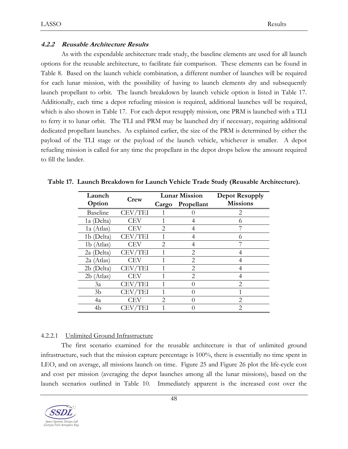#### **4.2.2 Reusable Architecture Results**

As with the expendable architecture trade study, the baseline elements are used for all launch options for the reusable architecture, to facilitate fair comparison. These elements can be found in Table 8. Based on the launch vehicle combination, a different number of launches will be required for each lunar mission, with the possibility of having to launch elements dry and subsequently launch propellant to orbit. The launch breakdown by launch vehicle option is listed in Table 17. Additionally, each time a depot refueling mission is required, additional launches will be required, which is also shown in Table 17. For each depot resupply mission, one PRM is launched with a TLI to ferry it to lunar orbit. The TLI and PRM may be launched dry if necessary, requiring additional dedicated propellant launches. As explained earlier, the size of the PRM is determined by either the payload of the TLI stage or the payload of the launch vehicle, whichever is smaller. A depot refueling mission is called for any time the propellant in the depot drops below the amount required to fill the lander.

| Launch         | Crew       | <b>Lunar Mission</b> |                               | <b>Depot Resupply</b>       |
|----------------|------------|----------------------|-------------------------------|-----------------------------|
| Option         |            |                      | Cargo Propellant              | <b>Missions</b>             |
| Baseline       | CEV/TEI    |                      |                               | 2                           |
| 1a (Delta)     | CEV        |                      | 4                             | 6                           |
| 1a (Atlas)     | CEV        | 2.                   |                               |                             |
| 1b (Delta)     | CEV/TEI    | 1                    |                               | 6                           |
| 1b (Atlas)     | CEV        | $\mathfrak{D}$       |                               |                             |
| 2a (Delta)     | CEV/TEI    |                      | $\mathfrak{D}_{\mathfrak{p}}$ |                             |
| 2a (Atlas)     | CEV        | 1                    | $\mathfrak{D}_{\mathfrak{p}}$ | 4                           |
| 2b (Delta)     | CEV/TEI    |                      | 2.                            |                             |
| 2b (Atlas)     | CEV        | 1                    | $\mathcal{D}_{\mathcal{L}}$   | 4                           |
| 3a             | CEV/TEI    | 1                    |                               | $\mathcal{D}_{\mathcal{L}}$ |
| 3 <sub>b</sub> | CEV/TEI    | 1                    |                               | 1                           |
| 4a             | <b>CEV</b> | $\mathfrak{D}$       |                               | $\overline{2}$              |
| 4b             | CEV/TEI    |                      |                               | $\mathcal{D}_{\mathcal{L}}$ |

**Table 17. Launch Breakdown for Launch Vehicle Trade Study (Reusable Architecture).** 

## 4.2.2.1 Unlimited Ground Infrastructure

The first scenario examined for the reusable architecture is that of unlimited ground infrastructure, such that the mission capture percentage is 100%, there is essentially no time spent in LEO, and on average, all missions launch on time. Figure 25 and Figure 26 plot the life-cycle cost and cost per mission (averaging the depot launches among all the lunar missions), based on the launch scenarios outlined in Table 10. Immediately apparent is the increased cost over the

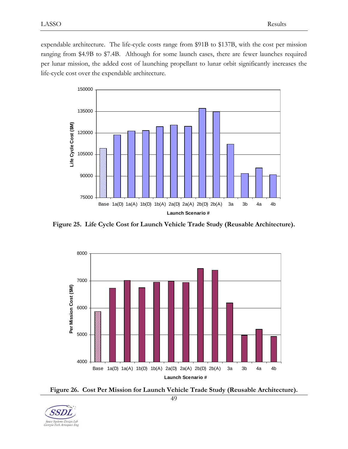expendable architecture. The life-cycle costs range from \$91B to \$137B, with the cost per mission ranging from \$4.9B to \$7.4B. Although for some launch cases, there are fewer launches required per lunar mission, the added cost of launching propellant to lunar orbit significantly increases the life-cycle cost over the expendable architecture.



**Figure 25. Life Cycle Cost for Launch Vehicle Trade Study (Reusable Architecture).** 



**Figure 26. Cost Per Mission for Launch Vehicle Trade Study (Reusable Architecture).** 

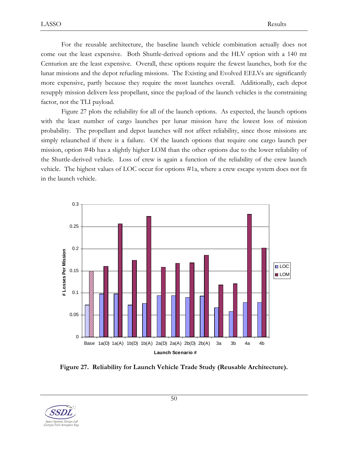For the reusable architecture, the baseline launch vehicle combination actually does not come out the least expensive. Both Shuttle-derived options and the HLV option with a 140 mt Centurion are the least expensive. Overall, these options require the fewest launches, both for the lunar missions and the depot refueling missions. The Existing and Evolved EELVs are significantly more expensive, partly because they require the most launches overall. Additionally, each depot resupply mission delivers less propellant, since the payload of the launch vehicles is the constraining factor, not the TLI payload.

Figure 27 plots the reliability for all of the launch options. As expected, the launch options with the least number of cargo launches per lunar mission have the lowest loss of mission probability. The propellant and depot launches will not affect reliability, since those missions are simply relaunched if there is a failure. Of the launch options that require one cargo launch per mission, option #4b has a slightly higher LOM than the other options due to the lower reliability of the Shuttle-derived vehicle. Loss of crew is again a function of the reliability of the crew launch vehicle. The highest values of LOC occur for options #1a, where a crew escape system does not fit in the launch vehicle.



**Figure 27. Reliability for Launch Vehicle Trade Study (Reusable Architecture).** 

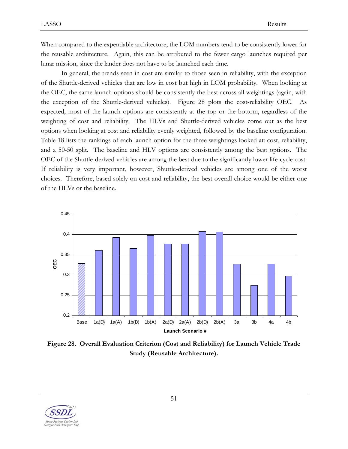When compared to the expendable architecture, the LOM numbers tend to be consistently lower for the reusable architecture. Again, this can be attributed to the fewer cargo launches required per lunar mission, since the lander does not have to be launched each time.

In general, the trends seen in cost are similar to those seen in reliability, with the exception of the Shuttle-derived vehicles that are low in cost but high in LOM probability. When looking at the OEC, the same launch options should be consistently the best across all weightings (again, with the exception of the Shuttle-derived vehicles). Figure 28 plots the cost-reliability OEC. As expected, most of the launch options are consistently at the top or the bottom, regardless of the weighting of cost and reliability. The HLVs and Shuttle-derived vehicles come out as the best options when looking at cost and reliability evenly weighted, followed by the baseline configuration. Table 18 lists the rankings of each launch option for the three weightings looked at: cost, reliability, and a 50-50 split. The baseline and HLV options are consistently among the best options. The OEC of the Shuttle-derived vehicles are among the best due to the significantly lower life-cycle cost. If reliability is very important, however, Shuttle-derived vehicles are among one of the worst choices. Therefore, based solely on cost and reliability, the best overall choice would be either one of the HLVs or the baseline.



**Figure 28. Overall Evaluation Criterion (Cost and Reliability) for Launch Vehicle Trade Study (Reusable Architecture).** 

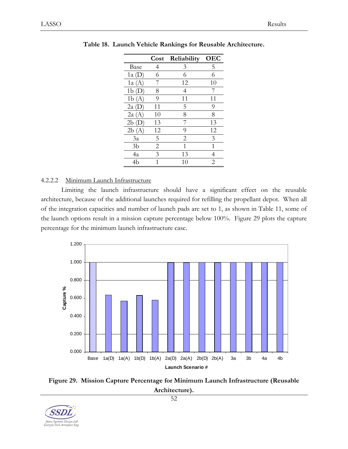|       | Cost | Reliability | <b>OEC</b> |
|-------|------|-------------|------------|
| Base  | 4    | 3           | 5          |
| 1a(D) | 6    | 6           | 6          |
| 1a(A) | 7    | 12          | 10         |
| 1b(D) | 8    | 4           |            |
| 1b(A) | 9    | 11          | 11         |
| 2a(D) | 11   | 5           | 9          |
| 2a(A) | 10   | 8           | 8          |
| 2b(D) | 13   |             | 13         |
| 2b(A) | 12   | 9           | 12         |
| 3a    | 5    | 2           | 3          |
| 3b    | 2    | 1           | 1          |
| 4a    | 3    | 13          |            |
| 4b    |      | 10          | 2          |

**Table 18. Launch Vehicle Rankings for Reusable Architecture.** 

#### 4.2.2.2 Minimum Launch Infrastructure

Limiting the launch infrastructure should have a significant effect on the reusable architecture, because of the additional launches required for refilling the propellant depot. When all of the integration capacities and number of launch pads are set to 1, as shown in Table 11, some of the launch options result in a mission capture percentage below 100%. Figure 29 plots the capture percentage for the minimum launch infrastructure case.



**Figure 29. Mission Capture Percentage for Minimum Launch Infrastructure (Reusable Architecture).** 

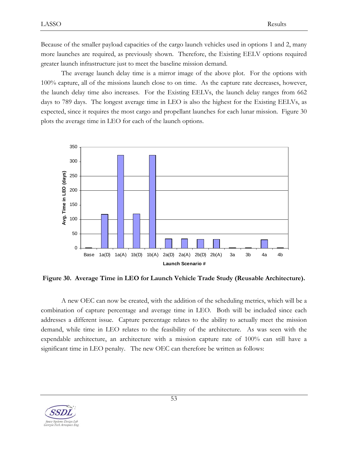Because of the smaller payload capacities of the cargo launch vehicles used in options 1 and 2, many more launches are required, as previously shown. Therefore, the Existing EELV options required greater launch infrastructure just to meet the baseline mission demand.

The average launch delay time is a mirror image of the above plot. For the options with 100% capture, all of the missions launch close to on time. As the capture rate decreases, however, the launch delay time also increases. For the Existing EELVs, the launch delay ranges from 662 days to 789 days. The longest average time in LEO is also the highest for the Existing EELVs, as expected, since it requires the most cargo and propellant launches for each lunar mission. Figure 30 plots the average time in LEO for each of the launch options.



**Figure 30. Average Time in LEO for Launch Vehicle Trade Study (Reusable Architecture).** 

A new OEC can now be created, with the addition of the scheduling metrics, which will be a combination of capture percentage and average time in LEO. Both will be included since each addresses a different issue. Capture percentage relates to the ability to actually meet the mission demand, while time in LEO relates to the feasibility of the architecture. As was seen with the expendable architecture, an architecture with a mission capture rate of 100% can still have a significant time in LEO penalty. The new OEC can therefore be written as follows:

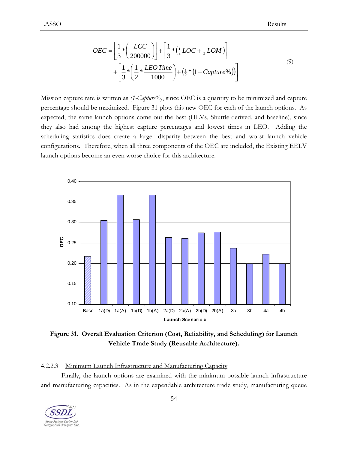$$
OEC = \left[\frac{1}{3} * \left(\frac{LCC}{200000}\right)\right] + \left[\frac{1}{3} * \left(\frac{1}{2} LOC + \frac{1}{2}LOM\right)\right] + \left[\frac{1}{3} * \left(\frac{1}{2} * \frac{LEOTime}{1000}\right) + \left(\frac{1}{2} * \left(1 - Capture\% \right)\right)\right]
$$
\n(9)

Mission capture rate is written as *(1-Capture%)*, since OEC is a quantity to be minimized and capture percentage should be maximized. Figure 31 plots this new OEC for each of the launch options. As expected, the same launch options come out the best (HLVs, Shuttle-derived, and baseline), since they also had among the highest capture percentages and lowest times in LEO. Adding the scheduling statistics does create a larger disparity between the best and worst launch vehicle configurations. Therefore, when all three components of the OEC are included, the Existing EELV launch options become an even worse choice for this architecture.



**Figure 31. Overall Evaluation Criterion (Cost, Reliability, and Scheduling) for Launch Vehicle Trade Study (Reusable Architecture).** 

4.2.2.3 Minimum Launch Infrastructure and Manufacturing Capacity

Finally, the launch options are examined with the minimum possible launch infrastructure and manufacturing capacities. As in the expendable architecture trade study, manufacturing queue

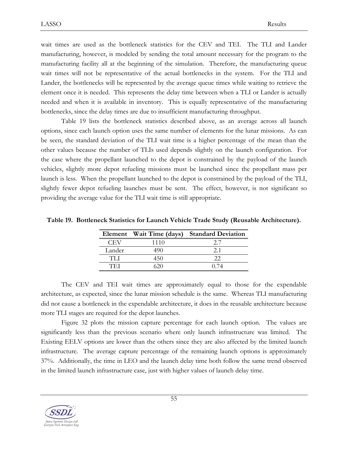wait times are used as the bottleneck statistics for the CEV and TEI. The TLI and Lander manufacturing, however, is modeled by sending the total amount necessary for the program to the manufacturing facility all at the beginning of the simulation. Therefore, the manufacturing queue wait times will not be representative of the actual bottlenecks in the system. For the TLI and Lander, the bottlenecks will be represented by the average queue times while waiting to retrieve the element once it is needed. This represents the delay time between when a TLI or Lander is actually needed and when it is available in inventory. This is equally representative of the manufacturing bottlenecks, since the delay times are due to insufficient manufacturing throughput.

Table 19 lists the bottleneck statistics described above, as an average across all launch options, since each launch option uses the same number of elements for the lunar missions. As can be seen, the standard deviation of the TLI wait time is a higher percentage of the mean than the other values because the number of TLIs used depends slightly on the launch configuration. For the case where the propellant launched to the depot is constrained by the payload of the launch vehicles, slightly more depot refueling missions must be launched since the propellant mass per launch is less. When the propellant launched to the depot is constrained by the payload of the TLI, slightly fewer depot refueling launches must be sent. The effect, however, is not significant so providing the average value for the TLI wait time is still appropriate.

|        |      | Element Wait Time (days) Standard Deviation |
|--------|------|---------------------------------------------|
| C EV   | 1110 |                                             |
| Lander | 19O  | 21                                          |
|        | 15O  |                                             |
|        |      |                                             |

**Table 19. Bottleneck Statistics for Launch Vehicle Trade Study (Reusable Architecture).** 

The CEV and TEI wait times are approximately equal to those for the expendable architecture, as expected, since the lunar mission schedule is the same. Whereas TLI manufacturing did not cause a bottleneck in the expendable architecture, it does in the reusable architecture because more TLI stages are required for the depot launches.

Figure 32 plots the mission capture percentage for each launch option. The values are significantly less than the previous scenario where only launch infrastructure was limited. The Existing EELV options are lower than the others since they are also affected by the limited launch infrastructure. The average capture percentage of the remaining launch options is approximately 37%. Additionally, the time in LEO and the launch delay time both follow the same trend observed in the limited launch infrastructure case, just with higher values of launch delay time.

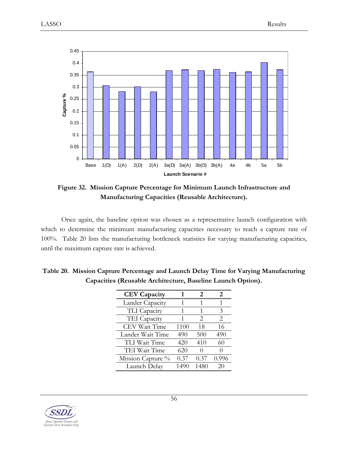

**Figure 32. Mission Capture Percentage for Minimum Launch Infrastructure and Manufacturing Capacities (Reusable Architecture).** 

Once again, the baseline option was chosen as a representative launch configuration with which to determine the minimum manufacturing capacities necessary to reach a capture rate of 100%. Table 20 lists the manufacturing bottleneck statistics for varying manufacturing capacities, until the maximum capture rate is achieved.

| <b>CEV Capacity</b> |      | 2    | 2.                    |
|---------------------|------|------|-----------------------|
| Lander Capacity     |      |      |                       |
| TLI Capacity        |      | 1    | 3                     |
| TEI Capacity        |      | 2.   | $\mathcal{D}_{\cdot}$ |
| CEV Wait Time       | 1100 | 18   | 16                    |
| Lander Wait Time    | 490  | 500  | 490                   |
| TLI Wait Time       | 420  | 410  | 60                    |
| TEI Wait Time       | 620  |      |                       |
| Mission Capture %   | 0.37 | 0.37 | 0.996                 |
| Launch Delay        | 1490 | 1480 | 20                    |

**Table 20. Mission Capture Percentage and Launch Delay Time for Varying Manufacturing Capacities (Reusable Architecture, Baseline Launch Option).** 

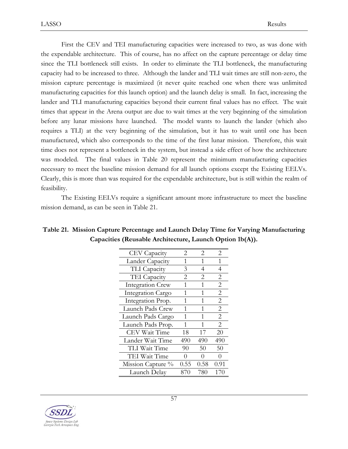First the CEV and TEI manufacturing capacities were increased to two, as was done with the expendable architecture. This of course, has no affect on the capture percentage or delay time since the TLI bottleneck still exists. In order to eliminate the TLI bottleneck, the manufacturing capacity had to be increased to three. Although the lander and TLI wait times are still non-zero, the mission capture percentage is maximized (it never quite reached one when there was unlimited manufacturing capacities for this launch option) and the launch delay is small. In fact, increasing the lander and TLI manufacturing capacities beyond their current final values has no effect. The wait times that appear in the Arena output are due to wait times at the very beginning of the simulation before any lunar missions have launched. The model wants to launch the lander (which also requires a TLI) at the very beginning of the simulation, but it has to wait until one has been manufactured, which also corresponds to the time of the first lunar mission. Therefore, this wait time does not represent a bottleneck in the system, but instead a side effect of how the architecture was modeled. The final values in Table 20 represent the minimum manufacturing capacities necessary to meet the baseline mission demand for all launch options except the Existing EELVs. Clearly, this is more than was required for the expendable architecture, but is still within the realm of feasibility.

The Existing EELVs require a significant amount more infrastructure to meet the baseline mission demand, as can be seen in Table 21.

| <b>CEV Capacity</b> | 2.               | $\mathcal{D}_{\cdot}$ | $\mathcal{D}_{\mathcal{L}}$ |
|---------------------|------------------|-----------------------|-----------------------------|
| Lander Capacity     | 1                | 1                     | 1                           |
| TLI Capacity        | 3                | 4                     | 4                           |
| TEI Capacity        | 2                | 2                     | 2                           |
| Integration Crew    | 1                | 1                     | 2                           |
| Integration Cargo   | 1                | 1                     | 2                           |
| Integration Prop.   | 1                | 1                     | 2                           |
| Launch Pads Crew    | 1                | 1                     | 2                           |
| Launch Pads Cargo   | 1                | 1                     | 2                           |
| Launch Pads Prop.   | 1                | 1                     | $\overline{2}$              |
| CEV Wait Time       | 18               | 17                    | 20                          |
| Lander Wait Time    | 490              | 490                   | 490                         |
| TLI Wait Time       | 90               | 50                    | 50                          |
| TEI Wait Time       | $\left( \right)$ | $\mathbf{0}$          | $\mathbf{0}$                |
| Mission Capture %   | 0.55             | 0.58                  | 0.91                        |
| Launch Delay        | 870              | 780                   | 170                         |

**Table 21. Mission Capture Percentage and Launch Delay Time for Varying Manufacturing Capacities (Reusable Architecture, Launch Option 1b(A)).** 

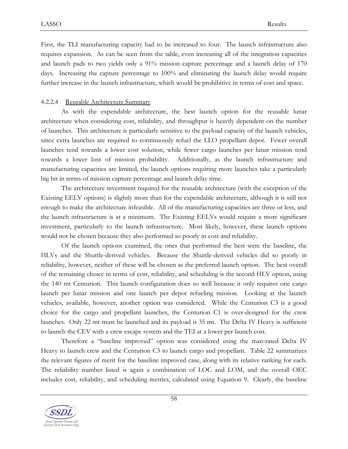First, the TLI manufacturing capacity had to be increased to four. The launch infrastructure also requires expansion. As can be seen from the table, even increasing all of the integration capacities and launch pads to two yields only a 91% mission capture percentage and a launch delay of 170 days. Increasing the capture percentage to 100% and eliminating the launch delay would require further increase in the launch infrastructure, which would be prohibitive in terms of cost and space.

#### 4.2.2.4 Reusable Architecture Summary

As with the expendable architecture, the best launch option for the reusable lunar architecture when considering cost, reliability, and throughput is heavily dependent on the number of launches. This architecture is particularly sensitive to the payload capacity of the launch vehicles, since extra launches are required to continuously refuel the LLO propellant depot. Fewer overall launches tend towards a lower cost solution, while fewer cargo launches per lunar mission tend towards a lower loss of mission probability. Additionally, as the launch infrastructure and manufacturing capacities are limited, the launch options requiring more launches take a particularly big hit in terms of mission capture percentage and launch delay time.

The architecture investment required for the reusable architecture (with the exception of the Existing EELV options) is slightly more than for the expendable architecture, although it is still not enough to make the architecture infeasible. All of the manufacturing capacities are three or less, and the launch infrastructure is at a minimum. The Existing EELVs would require a more significant investment, particularly to the launch infrastructure. Most likely, however, these launch options would not be chosen because they also performed so poorly in cost and reliability.

Of the launch options examined, the ones that performed the best were the baseline, the HLVs and the Shuttle-derived vehicles. Because the Shuttle-derived vehicles did so poorly in reliability, however, neither of these will be chosen as the preferred launch option. The best overall of the remaining choice in terms of cost, reliability, and scheduling is the second HLV option, using the 140 mt Centurion. This launch configuration does so well because it only requires one cargo launch per lunar mission and one launch per depot refueling mission. Looking at the launch vehicles, available, however, another option was considered. While the Centurion C3 is a good choice for the cargo and propellant launches, the Centurion C1 is over-designed for the crew launches. Only 22 mt must be launched and its payload is 35 mt. The Delta IV Heavy is sufficient to launch the CEV with a crew escape system and the TEI at a lower per launch cost.

Therefore a "baseline improved" option was considered using the man-rated Delta IV Heavy to launch crew and the Centurion C3 to launch cargo and propellant. Table 22 summarizes the relevant figures of merit for the baseline improved case, along with its relative ranking for each. The reliability number listed is again a combination of LOC and LOM, and the overall OEC includes cost, reliability, and scheduling metrics, calculated using Equation 9. Clearly, the baseline

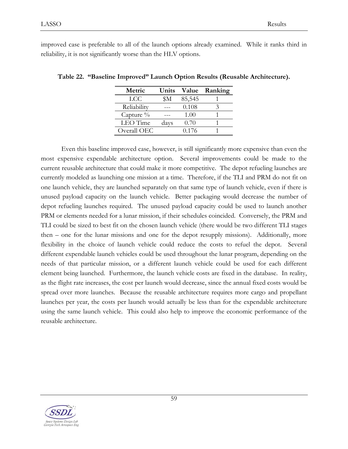improved case is preferable to all of the launch options already examined. While it ranks third in reliability, it is not significantly worse than the HLV options.

| Metric      | Units | Value  | Ranking |
|-------------|-------|--------|---------|
| LCC.        | \$M   | 85,545 |         |
| Reliability |       | 0.108  |         |
| Capture %   |       | 1.00   |         |
| LEO Time    | days  | 0.70   |         |
| Overall OEC |       | 0.176  |         |

**Table 22. "Baseline Improved" Launch Option Results (Reusable Architecture).** 

 Even this baseline improved case, however, is still significantly more expensive than even the most expensive expendable architecture option. Several improvements could be made to the current reusable architecture that could make it more competitive. The depot refueling launches are currently modeled as launching one mission at a time. Therefore, if the TLI and PRM do not fit on one launch vehicle, they are launched separately on that same type of launch vehicle, even if there is unused payload capacity on the launch vehicle. Better packaging would decrease the number of depot refueling launches required. The unused payload capacity could be used to launch another PRM or elements needed for a lunar mission, if their schedules coincided. Conversely, the PRM and TLI could be sized to best fit on the chosen launch vehicle (there would be two different TLI stages then – one for the lunar missions and one for the depot resupply missions). Additionally, more flexibility in the choice of launch vehicle could reduce the costs to refuel the depot. Several different expendable launch vehicles could be used throughout the lunar program, depending on the needs of that particular mission, or a different launch vehicle could be used for each different element being launched. Furthermore, the launch vehicle costs are fixed in the database. In reality, as the flight rate increases, the cost per launch would decrease, since the annual fixed costs would be spread over more launches. Because the reusable architecture requires more cargo and propellant launches per year, the costs per launch would actually be less than for the expendable architecture using the same launch vehicle. This could also help to improve the economic performance of the reusable architecture.

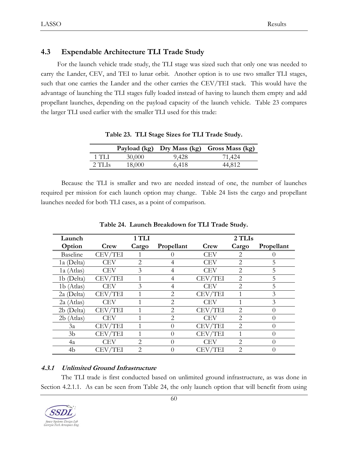# **4.3 Expendable Architecture TLI Trade Study**

For the launch vehicle trade study, the TLI stage was sized such that only one was needed to carry the Lander, CEV, and TEI to lunar orbit. Another option is to use two smaller TLI stages, such that one carries the Lander and the other carries the CEV/TEI stack. This would have the advantage of launching the TLI stages fully loaded instead of having to launch them empty and add propellant launches, depending on the payload capacity of the launch vehicle. Table 23 compares the larger TLI used earlier with the smaller TLI used for this trade:

|          |        |       | Payload (kg) Dry Mass (kg) Gross Mass (kg) |
|----------|--------|-------|--------------------------------------------|
| 1 TI J   | 30,000 | 9,428 | 71.424                                     |
| $2$ TLIs | 18,000 | 6,418 | 44.812                                     |

**Table 23. TLI Stage Sizes for TLI Trade Study.** 

Because the TLI is smaller and two are needed instead of one, the number of launches required per mission for each launch option may change. Table 24 lists the cargo and propellant launches needed for both TLI cases, as a point of comparison.

| Launch         |            | 1 TLI                                                                                                                                                           |                       |                                                       | 2 TLIs                                                                                                                                                                                                                                                                                                                                                                                                                                                                              |                  |
|----------------|------------|-----------------------------------------------------------------------------------------------------------------------------------------------------------------|-----------------------|-------------------------------------------------------|-------------------------------------------------------------------------------------------------------------------------------------------------------------------------------------------------------------------------------------------------------------------------------------------------------------------------------------------------------------------------------------------------------------------------------------------------------------------------------------|------------------|
| Option         | Crew       | Cargo                                                                                                                                                           | Propellant            | Crew                                                  | Cargo                                                                                                                                                                                                                                                                                                                                                                                                                                                                               | Propellant       |
| Baseline       | CEV/TEI    |                                                                                                                                                                 |                       | CEV                                                   |                                                                                                                                                                                                                                                                                                                                                                                                                                                                                     | U                |
| 1a (Delta)     | CEV        | 2                                                                                                                                                               |                       | CEV                                                   | 2                                                                                                                                                                                                                                                                                                                                                                                                                                                                                   | 5                |
| 1a (Atlas)     | <b>CEV</b> | 3                                                                                                                                                               |                       | CEV                                                   | 2                                                                                                                                                                                                                                                                                                                                                                                                                                                                                   | 5                |
| 1b (Delta)     | CEV/TEI    |                                                                                                                                                                 |                       | $\ensuremath{\mathrm{CEV}}/\ensuremath{\mathrm{TEI}}$ | $\mathfrak{D}$                                                                                                                                                                                                                                                                                                                                                                                                                                                                      | 5                |
| 1b (Atlas)     | CEV        | 3                                                                                                                                                               |                       | <b>CEV</b>                                            | $\mathfrak{D}$                                                                                                                                                                                                                                                                                                                                                                                                                                                                      | 5                |
| 2a (Delta)     | CEV/TEI    |                                                                                                                                                                 | $\mathcal{D}_{\cdot}$ | CEV/TEI                                               |                                                                                                                                                                                                                                                                                                                                                                                                                                                                                     | 3                |
| 2a (Atlas)     | CEV        |                                                                                                                                                                 | 2                     | <b>CEV</b>                                            |                                                                                                                                                                                                                                                                                                                                                                                                                                                                                     | 3                |
| 2b (Delta)     | CEV/TEI    |                                                                                                                                                                 | 2                     | CEV/TEI                                               | $\mathcal{D}_{\mathcal{L}}$                                                                                                                                                                                                                                                                                                                                                                                                                                                         |                  |
| 2b (Atlas)     | CEV        |                                                                                                                                                                 | 2                     | <b>CEV</b>                                            | $\mathfrak{D}$                                                                                                                                                                                                                                                                                                                                                                                                                                                                      | $\left( \right)$ |
| 3a             | CEV/TEI    |                                                                                                                                                                 | $\left( \right)$      | CEV/TEI                                               | $\mathcal{D}_{\mathcal{L}}$                                                                                                                                                                                                                                                                                                                                                                                                                                                         | $\Omega$         |
| 3 <sub>b</sub> | CEV/TEI    |                                                                                                                                                                 | $\left( \right)$      | CEV/TEI                                               |                                                                                                                                                                                                                                                                                                                                                                                                                                                                                     | $\left( \right)$ |
| 4a             | CEV        | $\mathcal{D}_{\mathcal{L}}$                                                                                                                                     | $\left( \right)$      | CEV                                                   | $\mathfrak{D}$                                                                                                                                                                                                                                                                                                                                                                                                                                                                      | $\left( \right)$ |
| 4b             | CEV/TEI    | $\mathcal{D}_{\mathcal{L}}^{\mathcal{L}}(\mathcal{L})=\mathcal{L}_{\mathcal{L}}^{\mathcal{L}}(\mathcal{L})\mathcal{L}_{\mathcal{L}}^{\mathcal{L}}(\mathcal{L})$ |                       | CEV/TEI                                               | $\mathcal{D}_{\mathcal{A}}^{\mathcal{A}}(\mathcal{A}) = \mathcal{D}_{\mathcal{A}}^{\mathcal{A}}(\mathcal{A}) = \mathcal{D}_{\mathcal{A}}^{\mathcal{A}}(\mathcal{A}) = \mathcal{D}_{\mathcal{A}}^{\mathcal{A}}(\mathcal{A}) = \mathcal{D}_{\mathcal{A}}^{\mathcal{A}}(\mathcal{A}) = \mathcal{D}_{\mathcal{A}}^{\mathcal{A}}(\mathcal{A}) = \mathcal{D}_{\mathcal{A}}^{\mathcal{A}}(\mathcal{A}) = \mathcal{D}_{\mathcal{A}}^{\mathcal{A}}(\mathcal{A}) = \mathcal{D}_{\mathcal{A}}$ | $\left( \right)$ |

**Table 24. Launch Breakdown for TLI Trade Study.** 

### **4.3.1 Unlimited Ground Infrastructure**

The TLI trade is first conducted based on unlimited ground infrastructure, as was done in Section 4.2.1.1. As can be seen from Table 24, the only launch option that will benefit from using

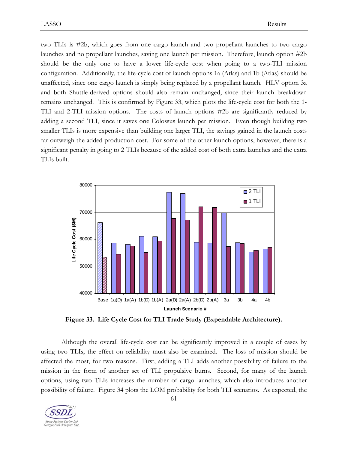two TLIs is #2b, which goes from one cargo launch and two propellant launches to two cargo launches and no propellant launches, saving one launch per mission. Therefore, launch option #2b should be the only one to have a lower life-cycle cost when going to a two-TLI mission configuration. Additionally, the life-cycle cost of launch options 1a (Atlas) and 1b (Atlas) should be unaffected, since one cargo launch is simply being replaced by a propellant launch. HLV option 3a and both Shuttle-derived options should also remain unchanged, since their launch breakdown remains unchanged. This is confirmed by Figure 33, which plots the life-cycle cost for both the 1- TLI and 2-TLI mission options. The costs of launch options #2b are significantly reduced by adding a second TLI, since it saves one Colossus launch per mission. Even though building two smaller TLIs is more expensive than building one larger TLI, the savings gained in the launch costs far outweigh the added production cost. For some of the other launch options, however, there is a significant penalty in going to 2 TLIs because of the added cost of both extra launches and the extra TLIs built.



**Figure 33. Life Cycle Cost for TLI Trade Study (Expendable Architecture).** 

Although the overall life-cycle cost can be significantly improved in a couple of cases by using two TLIs, the effect on reliability must also be examined. The loss of mission should be affected the most, for two reasons. First, adding a TLI adds another possibility of failure to the mission in the form of another set of TLI propulsive burns. Second, for many of the launch options, using two TLIs increases the number of cargo launches, which also introduces another possibility of failure. Figure 34 plots the LOM probability for both TLI scenarios. As expected, the

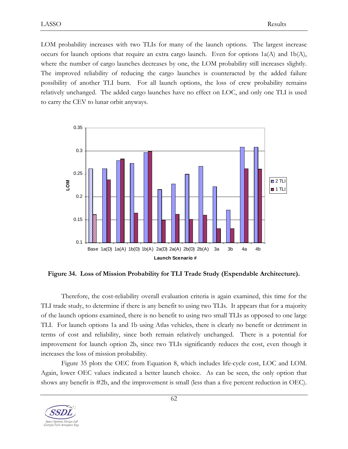LOM probability increases with two TLIs for many of the launch options. The largest increase occurs for launch options that require an extra cargo launch. Even for options  $1a(A)$  and  $1b(A)$ , where the number of cargo launches decreases by one, the LOM probability still increases slightly. The improved reliability of reducing the cargo launches is counteracted by the added failure possibility of another TLI burn. For all launch options, the loss of crew probability remains relatively unchanged. The added cargo launches have no effect on LOC, and only one TLI is used to carry the CEV to lunar orbit anyways.



**Figure 34. Loss of Mission Probability for TLI Trade Study (Expendable Architecture).** 

Therefore, the cost-reliability overall evaluation criteria is again examined, this time for the TLI trade study, to determine if there is any benefit to using two TLIs. It appears that for a majority of the launch options examined, there is no benefit to using two small TLIs as opposed to one large TLI. For launch options 1a and 1b using Atlas vehicles, there is clearly no benefit or detriment in terms of cost and reliability, since both remain relatively unchanged. There is a potential for improvement for launch option 2b, since two TLIs significantly reduces the cost, even though it increases the loss of mission probability.

Figure 35 plots the OEC from Equation 8, which includes life-cycle cost, LOC and LOM. Again, lower OEC values indicated a better launch choice. As can be seen, the only option that shows any benefit is #2b, and the improvement is small (less than a five percent reduction in OEC).

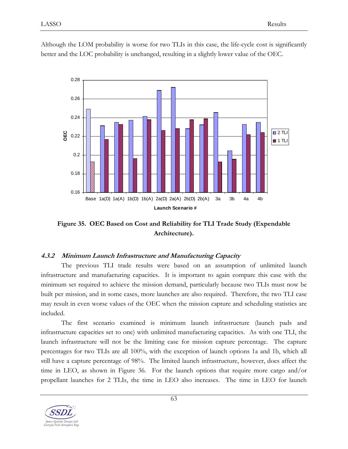

Although the LOM probability is worse for two TLIs in this case, the life-cycle cost is significantly better and the LOC probability is unchanged, resulting in a slightly lower value of the OEC.

**Figure 35. OEC Based on Cost and Reliability for TLI Trade Study (Expendable Architecture).** 

## **4.3.2 Minimum Launch Infrastructure and Manufacturing Capacity**

The previous TLI trade results were based on an assumption of unlimited launch infrastructure and manufacturing capacities. It is important to again compare this case with the minimum set required to achieve the mission demand, particularly because two TLIs must now be built per mission, and in some cases, more launches are also required. Therefore, the two TLI case may result in even worse values of the OEC when the mission capture and scheduling statistics are included.

The first scenario examined is minimum launch infrastructure (launch pads and infrastructure capacities set to one) with unlimited manufacturing capacities. As with one TLI, the launch infrastructure will not be the limiting case for mission capture percentage. The capture percentages for two TLIs are all 100%, with the exception of launch options 1a and 1b, which all still have a capture percentage of 98%. The limited launch infrastructure, however, does affect the time in LEO, as shown in Figure 36. For the launch options that require more cargo and/or propellant launches for 2 TLIs, the time in LEO also increases. The time in LEO for launch

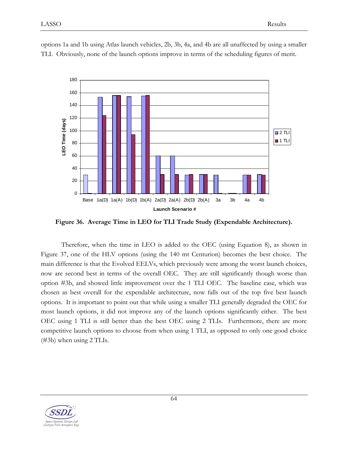

options 1a and 1b using Atlas launch vehicles, 2b, 3b, 4a, and 4b are all unaffected by using a smaller TLI. Obviously, none of the launch options improve in terms of the scheduling figures of merit.

**Figure 36. Average Time in LEO for TLI Trade Study (Expendable Architecture).** 

Therefore, when the time in LEO is added to the OEC (using Equation 8), as shown in Figure 37, one of the HLV options (using the 140 mt Centurion) becomes the best choice. The main difference is that the Evolved EELVs, which previously were among the worst launch choices, now are second best in terms of the overall OEC. They are still significantly though worse than option #3b, and showed little improvement over the 1 TLI OEC. The baseline case, which was chosen as best overall for the expendable architecture, now falls out of the top five best launch options. It is important to point out that while using a smaller TLI generally degraded the OEC for most launch options, it did not improve any of the launch options significantly either. The best OEC using 1 TLI is still better than the best OEC using 2 TLIs. Furthermore, there are more competitive launch options to choose from when using 1 TLI, as opposed to only one good choice (#3b) when using 2 TLIs.

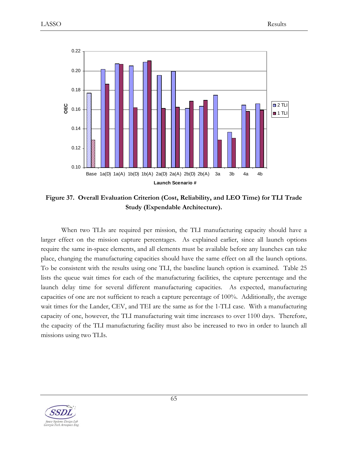

**Figure 37. Overall Evaluation Criterion (Cost, Reliability, and LEO Time) for TLI Trade Study (Expendable Architecture).** 

When two TLIs are required per mission, the TLI manufacturing capacity should have a larger effect on the mission capture percentages. As explained earlier, since all launch options require the same in-space elements, and all elements must be available before any launches can take place, changing the manufacturing capacities should have the same effect on all the launch options. To be consistent with the results using one TLI, the baseline launch option is examined. Table 25 lists the queue wait times for each of the manufacturing facilities, the capture percentage and the launch delay time for several different manufacturing capacities. As expected, manufacturing capacities of one are not sufficient to reach a capture percentage of 100%. Additionally, the average wait times for the Lander, CEV, and TEI are the same as for the 1-TLI case. With a manufacturing capacity of one, however, the TLI manufacturing wait time increases to over 1100 days. Therefore, the capacity of the TLI manufacturing facility must also be increased to two in order to launch all missions using two TLIs.

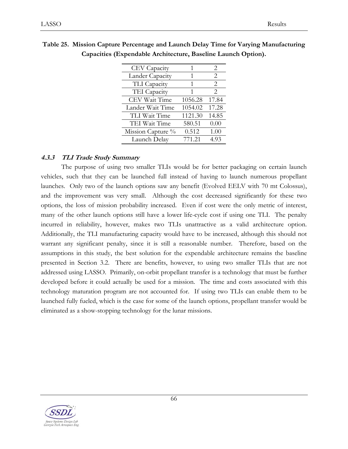| CEV Capacity      |         | 2                           |
|-------------------|---------|-----------------------------|
| Lander Capacity   | 1       | 2                           |
| TLI Capacity      | 1       | 2                           |
| TEI Capacity      | 1       | $\mathcal{D}_{\mathcal{L}}$ |
| CEV Wait Time     | 1056.28 | 17.84                       |
| Lander Wait Time  | 1054.02 | 17.28                       |
| TLI Wait Time     | 1121.30 | 14.85                       |
| TEI Wait Time     | 580.51  | 0.00                        |
| Mission Capture % | 0.512   | 1.00                        |
| Launch Delay      | 771.21  | 4.93                        |

**Table 25. Mission Capture Percentage and Launch Delay Time for Varying Manufacturing Capacities (Expendable Architecture, Baseline Launch Option).** 

#### **4.3.3 TLI Trade Study Summary**

The purpose of using two smaller TLIs would be for better packaging on certain launch vehicles, such that they can be launched full instead of having to launch numerous propellant launches. Only two of the launch options saw any benefit (Evolved EELV with 70 mt Colossus), and the improvement was very small. Although the cost decreased significantly for these two options, the loss of mission probability increased. Even if cost were the only metric of interest, many of the other launch options still have a lower life-cycle cost if using one TLI. The penalty incurred in reliability, however, makes two TLIs unattractive as a valid architecture option. Additionally, the TLI manufacturing capacity would have to be increased, although this should not warrant any significant penalty, since it is still a reasonable number. Therefore, based on the assumptions in this study, the best solution for the expendable architecture remains the baseline presented in Section 3.2. There are benefits, however, to using two smaller TLIs that are not addressed using LASSO. Primarily, on-orbit propellant transfer is a technology that must be further developed before it could actually be used for a mission. The time and costs associated with this technology maturation program are not accounted for. If using two TLIs can enable them to be launched fully fueled, which is the case for some of the launch options, propellant transfer would be eliminated as a show-stopping technology for the lunar missions.

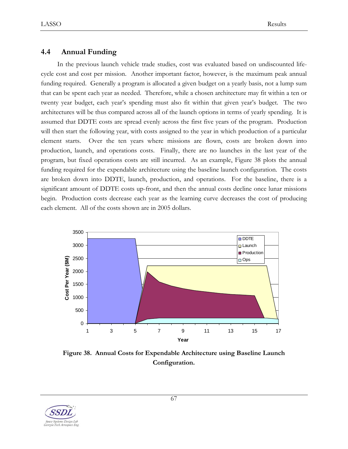### **4.4 Annual Funding**

In the previous launch vehicle trade studies, cost was evaluated based on undiscounted lifecycle cost and cost per mission. Another important factor, however, is the maximum peak annual funding required. Generally a program is allocated a given budget on a yearly basis, not a lump sum that can be spent each year as needed. Therefore, while a chosen architecture may fit within a ten or twenty year budget, each year's spending must also fit within that given year's budget. The two architectures will be thus compared across all of the launch options in terms of yearly spending. It is assumed that DDTE costs are spread evenly across the first five years of the program. Production will then start the following year, with costs assigned to the year in which production of a particular element starts. Over the ten years where missions are flown, costs are broken down into production, launch, and operations costs. Finally, there are no launches in the last year of the program, but fixed operations costs are still incurred. As an example, Figure 38 plots the annual funding required for the expendable architecture using the baseline launch configuration. The costs are broken down into DDTE, launch, production, and operations. For the baseline, there is a significant amount of DDTE costs up-front, and then the annual costs decline once lunar missions begin. Production costs decrease each year as the learning curve decreases the cost of producing each element. All of the costs shown are in 2005 dollars.



**Figure 38. Annual Costs for Expendable Architecture using Baseline Launch Configuration.** 

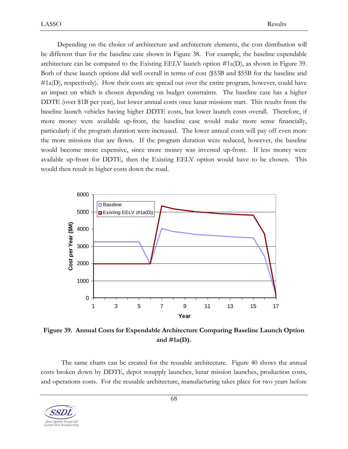Depending on the choice of architecture and architecture elements, the cost distribution will be different than for the baseline case shown in Figure 38. For example, the baseline expendable architecture can be compared to the Existing EELV launch option #1a(D), as shown in Figure 39. Both of these launch options did well overall in terms of cost (\$53B and \$55B for the baseline and #1a(D), respectively). How their costs are spread out over the entire program, however, could have an impact on which is chosen depending on budget constraints. The baseline case has a higher DDTE (over \$1B per year), but lower annual costs once lunar missions start. This results from the baseline launch vehicles having higher DDTE costs, but lower launch costs overall. Therefore, if more money were available up-front, the baseline case would make more sense financially, particularly if the program duration were increased. The lower annual costs will pay off even more the more missions that are flown. If the program duration were reduced, however, the baseline would become more expensive, since more money was invested up-front. If less money were available up-front for DDTE, then the Existing EELV option would have to be chosen. This would then result in higher costs down the road.



**Figure 39. Annual Costs for Expendable Architecture Comparing Baseline Launch Option and #1a(D).** 

 The same charts can be created for the reusable architecture. Figure 40 shows the annual costs broken down by DDTE, depot resupply launches, lunar mission launches, production costs, and operations costs. For the reusable architecture, manufacturing takes place for two years before

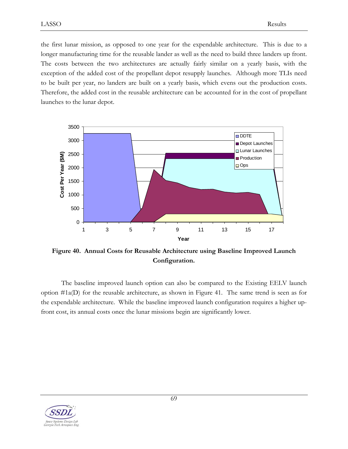the first lunar mission, as opposed to one year for the expendable architecture. This is due to a longer manufacturing time for the reusable lander as well as the need to build three landers up front. The costs between the two architectures are actually fairly similar on a yearly basis, with the exception of the added cost of the propellant depot resupply launches. Although more TLIs need to be built per year, no landers are built on a yearly basis, which evens out the production costs. Therefore, the added cost in the reusable architecture can be accounted for in the cost of propellant launches to the lunar depot.



**Figure 40. Annual Costs for Reusable Architecture using Baseline Improved Launch Configuration.** 

 The baseline improved launch option can also be compared to the Existing EELV launch option #1a(D) for the reusable architecture, as shown in Figure 41. The same trend is seen as for the expendable architecture. While the baseline improved launch configuration requires a higher upfront cost, its annual costs once the lunar missions begin are significantly lower.

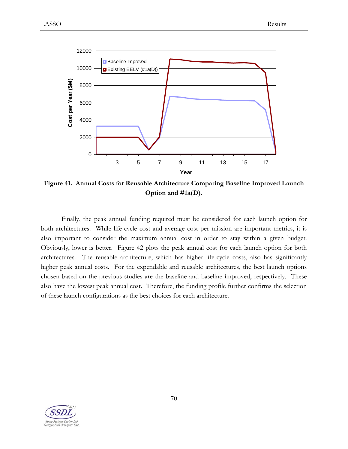

**Figure 41. Annual Costs for Reusable Architecture Comparing Baseline Improved Launch Option and #1a(D).** 

 Finally, the peak annual funding required must be considered for each launch option for both architectures. While life-cycle cost and average cost per mission are important metrics, it is also important to consider the maximum annual cost in order to stay within a given budget. Obviously, lower is better. Figure 42 plots the peak annual cost for each launch option for both architectures. The reusable architecture, which has higher life-cycle costs, also has significantly higher peak annual costs. For the expendable and reusable architectures, the best launch options chosen based on the previous studies are the baseline and baseline improved, respectively. These also have the lowest peak annual cost. Therefore, the funding profile further confirms the selection of these launch configurations as the best choices for each architecture.

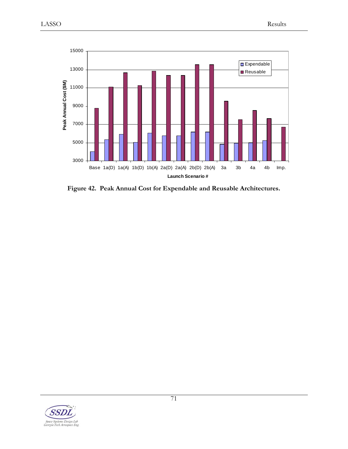

**Figure 42. Peak Annual Cost for Expendable and Reusable Architectures.** 

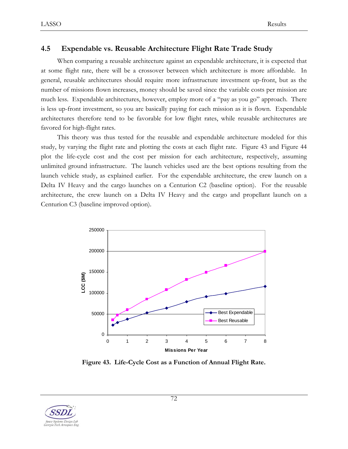### **4.5 Expendable vs. Reusable Architecture Flight Rate Trade Study**

When comparing a reusable architecture against an expendable architecture, it is expected that at some flight rate, there will be a crossover between which architecture is more affordable. In general, reusable architectures should require more infrastructure investment up-front, but as the number of missions flown increases, money should be saved since the variable costs per mission are much less. Expendable architectures, however, employ more of a "pay as you go" approach. There is less up-front investment, so you are basically paying for each mission as it is flown. Expendable architectures therefore tend to be favorable for low flight rates, while reusable architectures are favored for high-flight rates.

This theory was thus tested for the reusable and expendable architecture modeled for this study, by varying the flight rate and plotting the costs at each flight rate. Figure 43 and Figure 44 plot the life-cycle cost and the cost per mission for each architecture, respectively, assuming unlimited ground infrastructure. The launch vehicles used are the best options resulting from the launch vehicle study, as explained earlier. For the expendable architecture, the crew launch on a Delta IV Heavy and the cargo launches on a Centurion C2 (baseline option). For the reusable architecture, the crew launch on a Delta IV Heavy and the cargo and propellant launch on a Centurion C3 (baseline improved option).



**Figure 43. Life-Cycle Cost as a Function of Annual Flight Rate.** 

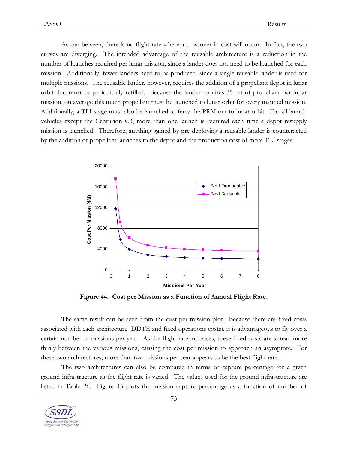As can be seen, there is no flight rate where a crossover in cost will occur. In fact, the two curves are diverging. The intended advantage of the reusable architecture is a reduction in the number of launches required per lunar mission, since a lander does not need to be launched for each mission. Additionally, fewer landers need to be produced, since a single reusable lander is used for multiple missions. The reusable lander, however, requires the addition of a propellant depot in lunar orbit that must be periodically refilled. Because the lander requires 35 mt of propellant per lunar mission, on average this much propellant must be launched to lunar orbit for every manned mission. Additionally, a TLI stage must also be launched to ferry the PRM out to lunar orbit. For all launch vehicles except the Centurion C3, more than one launch is required each time a depot resupply mission is launched. Therefore, anything gained by pre-deploying a reusable lander is counteracted by the addition of propellant launches to the depot and the production cost of more TLI stages.



**Figure 44. Cost per Mission as a Function of Annual Flight Rate.** 

The same result can be seen from the cost per mission plot. Because there are fixed costs associated with each architecture (DDTE and fixed operations costs), it is advantageous to fly over a certain number of missions per year. As the flight rate increases, these fixed costs are spread more thinly between the various missions, causing the cost per mission to approach an asymptote. For these two architectures, more than two missions per year appears to be the best flight rate.

The two architectures can also be compared in terms of capture percentage for a given ground infrastructure as the flight rate is varied. The values used for the ground infrastructure are listed in Table 26. Figure 45 plots the mission capture percentage as a function of number of

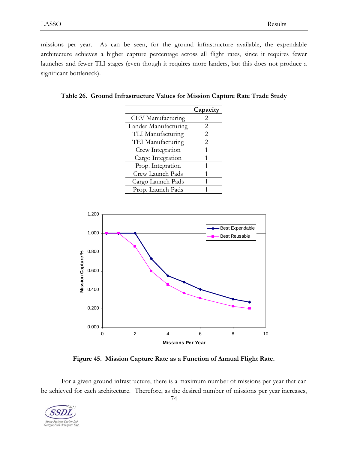missions per year. As can be seen, for the ground infrastructure available, the expendable architecture achieves a higher capture percentage across all flight rates, since it requires fewer launches and fewer TLI stages (even though it requires more landers, but this does not produce a significant bottleneck).

|                      | Capacity              |
|----------------------|-----------------------|
| CEV Manufacturing    | $\mathcal{D}_{\cdot}$ |
| Lander Manufacturing | $\mathcal{D}_{\cdot}$ |
| TLI Manufacturing    | 2                     |
| TEI Manufacturing    | 2                     |
| Crew Integration     |                       |
| Cargo Integration    | 1                     |
| Prop. Integration    | 1                     |
| Crew Launch Pads     |                       |
| Cargo Launch Pads    |                       |
| Prop. Launch Pads    |                       |

**Table 26. Ground Infrastructure Values for Mission Capture Rate Trade Study** 



**Figure 45. Mission Capture Rate as a Function of Annual Flight Rate.** 

For a given ground infrastructure, there is a maximum number of missions per year that can be achieved for each architecture. Therefore, as the desired number of missions per year increases,

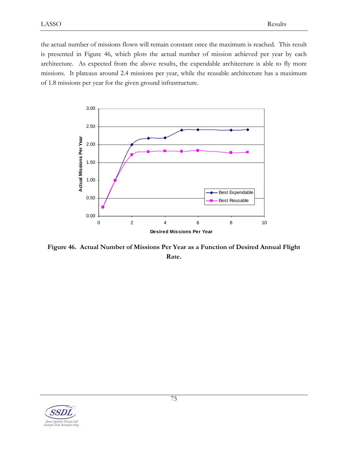the actual number of missions flown will remain constant once the maximum is reached. This result is presented in Figure 46, which plots the actual number of mission achieved per year by each architecture. As expected from the above results, the expendable architecture is able to fly more missions. It plateaus around 2.4 missions per year, while the reusable architecture has a maximum of 1.8 missions per year for the given ground infrastructure.



**Figure 46. Actual Number of Missions Per Year as a Function of Desired Annual Flight Rate.** 

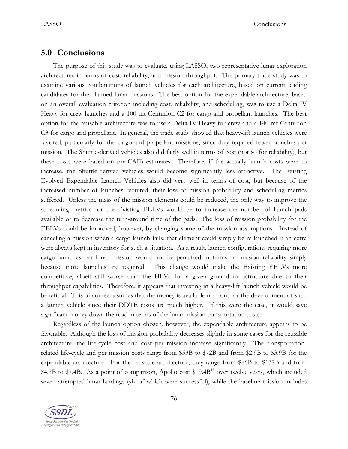## **5.0 Conclusions**

The purpose of this study was to evaluate, using LASSO, two representative lunar exploration architectures in terms of cost, reliability, and mission throughput. The primary trade study was to examine various combinations of launch vehicles for each architecture, based on current leading candidates for the planned lunar missions. The best option for the expendable architecture, based on an overall evaluation criterion including cost, reliability, and scheduling, was to use a Delta IV Heavy for crew launches and a 100 mt Centurion C2 for cargo and propellant launches. The best option for the reusable architecture was to use a Delta IV Heavy for crew and a 140 mt Centurion C3 for cargo and propellant. In general, the trade study showed that heavy-lift launch vehicles were favored, particularly for the cargo and propellant missions, since they required fewer launches per mission. The Shuttle-derived vehicles also did fairly well in terms of cost (not so for reliability), but these costs were based on pre-CAIB estimates. Therefore, if the actually launch costs were to increase, the Shuttle-derived vehicles would become significantly less attractive. The Existing Evolved Expendable Launch Vehicles also did very well in terms of cost, but because of the increased number of launches required, their loss of mission probability and scheduling metrics suffered. Unless the mass of the mission elements could be reduced, the only way to improve the scheduling metrics for the Existing EELVs would be to increase the number of launch pads available or to decrease the turn-around time of the pads. The loss of mission probability for the EELVs could be improved, however, by changing some of the mission assumptions. Instead of canceling a mission when a cargo launch fails, that element could simply be re-launched if an extra were always kept in inventory for such a situation. As a result, launch configurations requiring more cargo launches per lunar mission would not be penalized in terms of mission reliability simply because more launches are required. This change would make the Existing EELVs more competitive, albeit still worse than the HLVs for a given ground infrastructure due to their throughput capabilities. Therefore, it appears that investing in a heavy-lift launch vehicle would be beneficial. This of course assumes that the money is available up-front for the development of such a launch vehicle since their DDTE costs are much higher. If this were the case, it would save significant money down the road in terms of the lunar mission transportation costs.

Regardless of the launch option chosen, however, the expendable architecture appears to be favorable. Although the loss of mission probability decreases slightly in some cases for the reusable architecture, the life-cycle cost and cost per mission increase significantly. The transportationrelated life-cycle and per mission costs range from \$53B to \$72B and from \$2.9B to \$3.9B for the expendable architecture. For the reusable architecture, they range from \$86B to \$137B and from \$4.7B to \$7.4B. As a point of comparison, Apollo cost \$19.4B<sup>15</sup> over twelve years, which included seven attempted lunar landings (six of which were successful), while the baseline mission includes

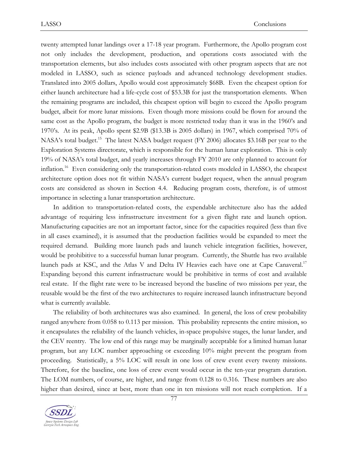twenty attempted lunar landings over a 17-18 year program. Furthermore, the Apollo program cost not only includes the development, production, and operations costs associated with the transportation elements, but also includes costs associated with other program aspects that are not modeled in LASSO, such as science payloads and advanced technology development studies. Translated into 2005 dollars, Apollo would cost approximately \$68B. Even the cheapest option for either launch architecture had a life-cycle cost of \$53.3B for just the transportation elements. When the remaining programs are included, this cheapest option will begin to exceed the Apollo program budget, albeit for more lunar missions. Even though more missions could be flown for around the same cost as the Apollo program, the budget is more restricted today than it was in the 1960's and 1970's. At its peak, Apollo spent \$2.9B (\$13.3B is 2005 dollars) in 1967, which comprised 70% of NASA's total budget.<sup>15</sup> The latest NASA budget request (FY 2006) allocates \$3.16B per year to the Exploration Systems directorate, which is responsible for the human lunar exploration. This is only 19% of NASA's total budget, and yearly increases through FY 2010 are only planned to account for inflation.<sup>16</sup> Even considering only the transportation-related costs modeled in LASSO, the cheapest architecture option does not fit within NASA's current budget request, when the annual program costs are considered as shown in Section 4.4. Reducing program costs, therefore, is of utmost importance in selecting a lunar transportation architecture.

In addition to transportation-related costs, the expendable architecture also has the added advantage of requiring less infrastructure investment for a given flight rate and launch option. Manufacturing capacities are not an important factor, since for the capacities required (less than five in all cases examined), it is assumed that the production facilities would be expanded to meet the required demand. Building more launch pads and launch vehicle integration facilities, however, would be prohibitive to a successful human lunar program. Currently, the Shuttle has two available launch pads at KSC, and the Atlas V and Delta IV Heavies each have one at Cape Canaveral.<sup>17</sup> Expanding beyond this current infrastructure would be prohibitive in terms of cost and available real estate. If the flight rate were to be increased beyond the baseline of two missions per year, the reusable would be the first of the two architectures to require increased launch infrastructure beyond what is currently available.

The reliability of both architectures was also examined. In general, the loss of crew probability ranged anywhere from 0.058 to 0.113 per mission. This probability represents the entire mission, so it encapsulates the reliability of the launch vehicles, in-space propulsive stages, the lunar lander, and the CEV reentry. The low end of this range may be marginally acceptable for a limited human lunar program, but any LOC number approaching or exceeding 10% might prevent the program from proceeding. Statistically, a 5% LOC will result in one loss of crew event every twenty missions. Therefore, for the baseline, one loss of crew event would occur in the ten-year program duration. The LOM numbers, of course, are higher, and range from 0.128 to 0.316. These numbers are also higher than desired, since at best, more than one in ten missions will not reach completion. If a

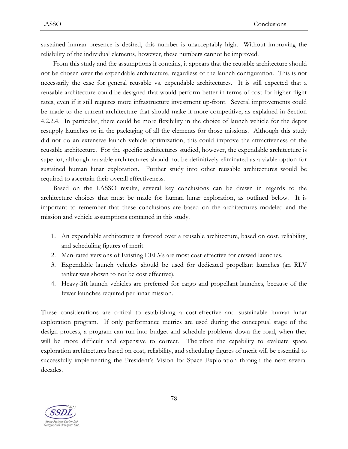sustained human presence is desired, this number is unacceptably high. Without improving the reliability of the individual elements, however, these numbers cannot be improved.

From this study and the assumptions it contains, it appears that the reusable architecture should not be chosen over the expendable architecture, regardless of the launch configuration. This is not necessarily the case for general reusable vs. expendable architectures. It is still expected that a reusable architecture could be designed that would perform better in terms of cost for higher flight rates, even if it still requires more infrastructure investment up-front. Several improvements could be made to the current architecture that should make it more competitive, as explained in Section 4.2.2.4. In particular, there could be more flexibility in the choice of launch vehicle for the depot resupply launches or in the packaging of all the elements for those missions. Although this study did not do an extensive launch vehicle optimization, this could improve the attractiveness of the reusable architecture. For the specific architectures studied, however, the expendable architecture is superior, although reusable architectures should not be definitively eliminated as a viable option for sustained human lunar exploration. Further study into other reusable architectures would be required to ascertain their overall effectiveness.

Based on the LASSO results, several key conclusions can be drawn in regards to the architecture choices that must be made for human lunar exploration, as outlined below. It is important to remember that these conclusions are based on the architectures modeled and the mission and vehicle assumptions contained in this study.

- 1. An expendable architecture is favored over a reusable architecture, based on cost, reliability, and scheduling figures of merit.
- 2. Man-rated versions of Existing EELVs are most cost-effective for crewed launches.
- 3. Expendable launch vehicles should be used for dedicated propellant launches (an RLV tanker was shown to not be cost effective).
- 4. Heavy-lift launch vehicles are preferred for cargo and propellant launches, because of the fewer launches required per lunar mission.

These considerations are critical to establishing a cost-effective and sustainable human lunar exploration program. If only performance metrics are used during the conceptual stage of the design process, a program can run into budget and schedule problems down the road, when they will be more difficult and expensive to correct. Therefore the capability to evaluate space exploration architectures based on cost, reliability, and scheduling figures of merit will be essential to successfully implementing the President's Vision for Space Exploration through the next several decades.

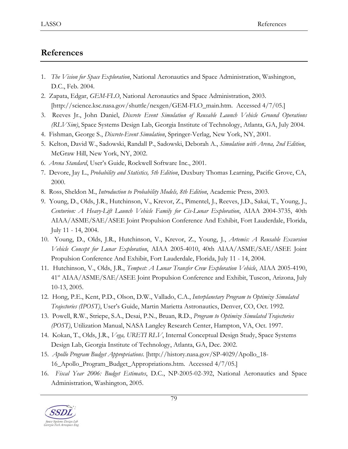# **References**

- 1. *The Vision for Space Exploration*, National Aeronautics and Space Administration, Washington, D.C., Feb. 2004.
- 2. Zapata, Edgar, *GEM-FLO*, National Aeronautics and Space Administration, 2003. [http://science.ksc.nasa.gov/shuttle/nexgen/GEM-FLO\_main.htm. Accessed 4/7/05.]
- 3. Reeves Jr., John Daniel, *Discrete Event Simulation of Reusable Launch Vehicle Ground Operations (RLVSim)*, Space Systems Design Lab, Georgia Institute of Technology, Atlanta, GA, July 2004.
- 4. Fishman, George S., *Discrete-Event Simulation*, Springer-Verlag, New York, NY, 2001.
- 5. Kelton, David W., Sadowski, Randall P., Sadowski, Deborah A., *Simulation with Arena, 2nd Edition*, McGraw Hill, New York, NY, 2002.
- 6. *Arena Standard*, User's Guide, Rockwell Software Inc., 2001.
- 7. Devore, Jay L., *Probability and Statistics, 5th Edition*, Duxbury Thomas Learning, Pacific Grove, CA, 2000.
- 8. Ross, Sheldon M., *Introduction to Probability Models, 8th Edition*, Academic Press, 2003.
- 9. Young, D., Olds, J.R., Hutchinson, V., Krevor, Z., Pimentel, J., Reeves, J.D., Sakai, T., Young, J., *Centurion: A Heavy-Lift Launch Vehicle Family for Cis-Lunar Exploration*, AIAA 2004-3735, 40th AIAA/ASME/SAE/ASEE Joint Propulsion Conference And Exhibit, Fort Lauderdale, Florida, July 11 - 14, 2004.
- 10. Young, D., Olds, J.R., Hutchinson, V., Krevor, Z., Young, J., *Artemis: A Reusable Excursion Vehicle Concept for Lunar Exploration*, AIAA 2005-4010, 40th AIAA/ASME/SAE/ASEE Joint Propulsion Conference And Exhibit, Fort Lauderdale, Florida, July 11 - 14, 2004.
- 11. Hutchinson, V., Olds, J.R., *Tempest: A Lunar Transfer Crew Exploration Vehicle*, AIAA 2005-4190, 41<sup>st</sup> AIAA/ASME/SAE/ASEE Joint Propulsion Conference and Exhibit, Tuscon, Arizona, July 10-13, 2005.
- 12. Hong, P.E., Kent, P.D., Olson, D.W., Vallado, C.A., *Interplanetary Program to Optimize Simulated Trajectories (IPOST)*, User's Guide, Martin Marietta Astronautics, Denver, CO, Oct. 1992.
- 13. Powell, R.W., Striepe, S.A., Desai, P.N., Bruan, R.D., *Program to Optimize Simulated Trajectories (POST)*, Utilization Manual, NASA Langley Research Center, Hampton, VA, Oct. 1997.
- 14. Kokan, T., Olds, J.R., *Vega, URETI RLV*, Internal Conceptual Design Study, Space Systems Design Lab, Georgia Institute of Technology, Atlanta, GA, Dec. 2002.
- 15. *Apollo Program Budget Appropriations*. [http://history.nasa.gov/SP-4029/Apollo\_18- 16\_Apollo\_Program\_Budget\_Appropriations.htm. Accessed 4/7/05.]
- 16. *Fiscal Year 2006: Budget Estimates*, D.C., NP-2005-02-392, National Aeronautics and Space Administration, Washington, 2005.

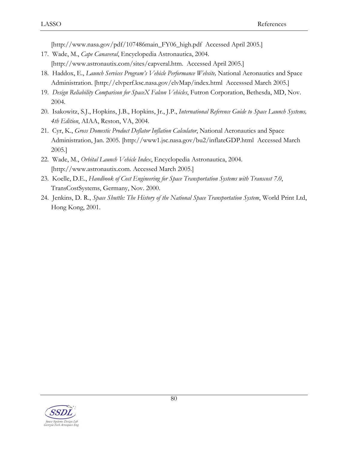[http://www.nasa.gov/pdf/107486main\_FY06\_high.pdf Accessed April 2005.]

- 17. Wade, M., *Cape Canaveral*, Encyclopedia Astronautica, 2004. [http://www.astronautix.com/sites/capveral.htm. Accessed April 2005.]
- 18. Haddox, E., *Launch Services Program's Vehicle Performance Website,* National Aeronautics and Space Administration. [http://elvperf.ksc.nasa.gov/elvMap/index.html Accesssed March 2005.]
- 19. *Design Reliability Comparison for SpaceX Falcon Vehicles*, Futron Corporation, Bethesda, MD, Nov. 2004.
- 20. Isakowitz, S.J., Hopkins, J.B., Hopkins, Jr., J.P., *International Reference Guide to Space Launch Systems, 4th Edition*, AIAA, Reston, VA, 2004.
- 21. Cyr, K., *Gross Domestic Product Deflator Inflation Calculator*, National Aeronautics and Space Administration, Jan. 2005. [http://www1.jsc.nasa.gov/bu2/inflateGDP.html Accessed March 2005.]
- 22. Wade, M., *Orbital Launch Vehicle Index*, Encyclopedia Astronautica, 2004. [http://www.astronautix.com. Accessed March 2005.]
- 23. Koelle, D.E., *Handbook of Cost Engineering for Space Transportation Systems with Transcost 7.0*, TransCostSystems, Germany, Nov. 2000.
- 24. Jenkins, D. R., *Space Shuttle: The History of the National Space Transportation System*, World Print Ltd, Hong Kong, 2001.

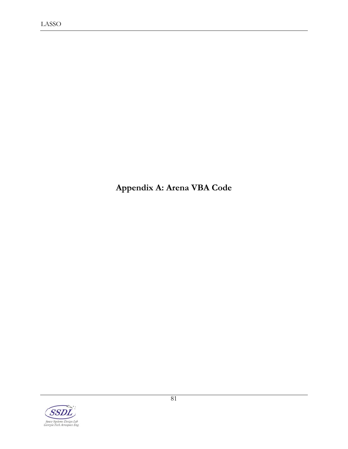**Appendix A: Arena VBA Code** 

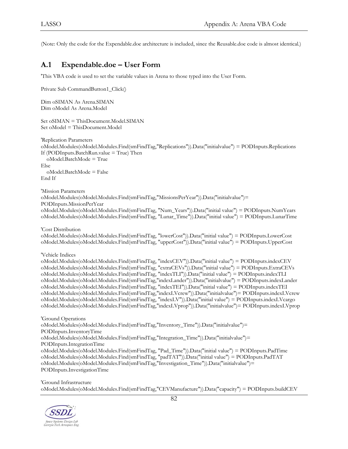(Note: Only the code for the Expendable.doe architecture is included, since the Reusable.doe code is almost identical.)

### **A.1 Expendable.doe – User Form**

'This VBA code is used to set the variable values in Arena to those typed into the User Form.

Private Sub CommandButton1\_Click()

Dim oSIMAN As Arena.SIMAN Dim oModel As Arena.Model

Set oSIMAN = ThisDocument.Model.SIMAN Set oModel = ThisDocument.Model

'Replication Parameters oModel.Modules(oModel.Modules.Find(smFindTag,"Replications")).Data("initialvalue") = PODInputs.Replications If (PODInputs.BatchRun.value = True) Then oModel.BatchMode = True Else oModel.BatchMode = False End If

'Mission Parameters oModel.Modules(oModel.Modules.Find(smFindTag,"MissionsPerYear")).Data("initialvalue")= PODInputs.MissionPerYear oModel.Modules(oModel.Modules.Find(smFindTag, "Num\_Years")).Data("initial value") = PODInputs.NumYears oModel.Modules(oModel.Modules.Find(smFindTag, "Lunar\_Time")).Data("initial value") = PODInputs.LunarTime

'Cost Distribution

oModel.Modules(oModel.Modules.Find(smFindTag, "lowerCost")).Data("initial value") = PODInputs.LowerCost oModel.Modules(oModel.Modules.Find(smFindTag, "upperCost")).Data("initial value") = PODInputs.UpperCost

'Vehicle Indices

oModel.Modules(oModel.Modules.Find(smFindTag, "indexCEV")).Data("initial value") = PODInputs.indexCEV oModel.Modules(oModel.Modules.Find(smFindTag, "extraCEVs")).Data("initial value") = PODInputs.ExtraCEVs oModel.Modules(oModel.Modules.Find(smFindTag, "indexTLI")).Data("initial value") = PODInputs.indexTLI oModel.Modules(oModel.Modules.Find(smFindTag,"indexLander")).Data("initialvalue") = PODInputs.indexLander oModel.Modules(oModel.Modules.Find(smFindTag, "indexTEI")).Data("initial value") = PODInputs.indexTEI oModel.Modules(oModel.Modules.Find(smFindTag,"indexLVcrew")).Data("initialvalue")= PODInputs.indexLVcrew oModel.Modules(oModel.Modules.Find(smFindTag, "indexLV")).Data("initial value") = PODInputs.indexLVcargo oModel.Modules(oModel.Modules.Find(smFindTag,"indexLVprop")).Data("initialvalue")= PODInputs.indexLVprop

'Ground Operations oModel.Modules(oModel.Modules.Find(smFindTag,"Inventory\_Time")).Data("initialvalue")= PODInputs.InventoryTime oModel.Modules(oModel.Modules.Find(smFindTag,"Integration\_Time")).Data("initialvalue")= PODInputs.IntegrationTime oModel.Modules(oModel.Modules.Find(smFindTag, "Pad\_Time")).Data("initial value") = PODInputs.PadTime oModel.Modules(oModel.Modules.Find(smFindTag, "padTAT")).Data("initial value") = PODInputs.PadTAT oModel.Modules(oModel.Modules.Find(smFindTag,"Investigation\_Time")).Data("initialvalue")= PODInputs.InvestigationTime

## 'Ground Infrastructure

oModel.Modules(oModel.Modules.Find(smFindTag,"CEVManufacture")).Data("capacity") = PODInputs.buildCEV

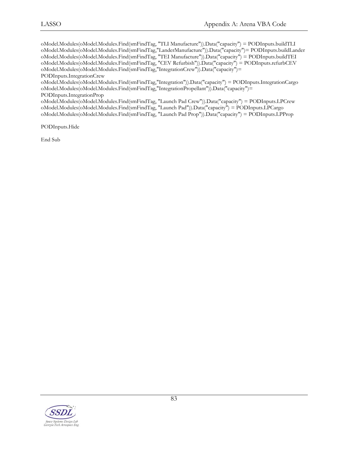oModel.Modules(oModel.Modules.Find(smFindTag, "TLI Manufacture")).Data("capacity") = PODInputs.buildTLI oModel.Modules(oModel.Modules.Find(smFindTag,"LanderManufacture")).Data("capacity")= PODInputs.buildLander oModel.Modules(oModel.Modules.Find(smFindTag, "TEI Manufacture")).Data("capacity") = PODInputs.buildTEI oModel.Modules(oModel.Modules.Find(smFindTag, "CEV Refurbish")).Data("capacity") = PODInputs.refurbCEV oModel.Modules(oModel.Modules.Find(smFindTag,"IntegrationCrew")).Data("capacity")= PODInputs.IntegrationCrew

oModel.Modules(oModel.Modules.Find(smFindTag,"Integration")).Data("capacity") = PODInputs.IntegrationCargo oModel.Modules(oModel.Modules.Find(smFindTag,"IntegrationPropellant")).Data("capacity")= PODInputs.IntegrationProp

oModel.Modules(oModel.Modules.Find(smFindTag, "Launch Pad Crew")).Data("capacity") = PODInputs.LPCrew oModel.Modules(oModel.Modules.Find(smFindTag, "Launch Pad")).Data("capacity") = PODInputs.LPCargo oModel.Modules(oModel.Modules.Find(smFindTag, "Launch Pad Prop")).Data("capacity") = PODInputs.LPProp

PODInputs.Hide

End Sub

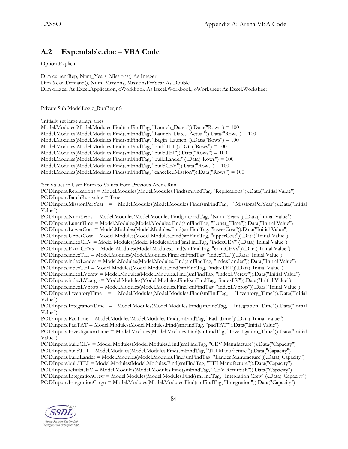## **A.2 Expendable.doe – VBA Code**

Option Explicit

Dim currentRep, Num\_Years, Missions() As Integer Dim Year\_Demand(), Num\_Missions, MissionsPerYear As Double Dim oExcel As Excel.Application, oWorkbook As Excel.Workbook, oWorksheet As Excel.Worksheet

Private Sub ModelLogic\_RunBegin()

'Initially set large arrays sizes

Model.Modules(Model.Modules.Find(smFindTag, "Launch\_Dates")).Data("Rows") = 100 Model.Modules(Model.Modules.Find(smFindTag, "Launch\_Dates\_Actual")).Data("Rows") = 100 Model.Modules(Model.Modules.Find(smFindTag, "Begin\_Launch")).Data("Rows") = 100 Model.Modules(Model.Modules.Find(smFindTag, "buildTLI")).Data("Rows") = 100 Model.Modules(Model.Modules.Find(smFindTag, "buildTEI")).Data("Rows") = 100 Model.Modules(Model.Modules.Find(smFindTag, "buildLander")).Data("Rows") = 100 Model.Modules(Model.Modules.Find(smFindTag, "buildCEV")).Data("Rows") = 100 Model.Modules(Model.Modules.Find(smFindTag, "cancelledMission")).Data("Rows") = 100 'Set Values in User Form to Values from Previous Arena Run PODInputs.Replications = Model.Modules(Model.Modules.Find(smFindTag, "Replications")).Data("Initial Value") PODInputs.BatchRun.value = True PODInputs.MissionPerYear = Model.Modules(Model.Modules.Find(smFindTag, "MissionsPerYear")).Data("Initial Value") PODInputs.NumYears = Model.Modules(Model.Modules.Find(smFindTag, "Num\_Years")).Data("Initial Value") PODInputs.LunarTime = Model.Modules(Model.Modules.Find(smFindTag, "Lunar\_Time")).Data("Initial Value") PODInputs.LowerCost = Model.Modules(Model.Modules.Find(smFindTag, "lowerCost")).Data("Initial Value") PODInputs.UpperCost = Model.Modules(Model.Modules.Find(smFindTag, "upperCost")).Data("Initial Value") PODInputs.indexCEV = Model.Modules(Model.Modules.Find(smFindTag, "indexCEV")).Data("Initial Value") PODInputs.ExtraCEVs = Model.Modules(Model.Modules.Find(smFindTag, "extraCEVs")).Data("Initial Value") PODInputs.indexTLI = Model.Modules(Model.Modules.Find(smFindTag, "indexTLI")).Data("Initial Value") PODInputs.indexLander = Model.Modules(Model.Modules.Find(smFindTag, "indexLander")).Data("Initial Value") PODInputs.indexTEI = Model.Modules(Model.Modules.Find(smFindTag, "indexTEI")).Data("Initial Value") PODInputs.indexLVcrew = Model.Modules(Model.Modules.Find(smFindTag, "indexLVcrew")).Data("Initial Value") PODInputs.indexLVcargo = Model.Modules(Model.Modules.Find(smFindTag, "indexLV")).Data("Initial Value") PODInputs.indexLVprop = Model.Modules(Model.Modules.Find(smFindTag, "indexLVprop")).Data("Initial Value") PODInputs.InventoryTime = Model.Modules(Model.Modules.Find(smFindTag, "Inventory\_Time")).Data("Initial Value") PODInputs.IntegrationTime = Model.Modules(Model.Modules.Find(smFindTag, "Integration\_Time")).Data("Initial Value") PODInputs.PadTime = Model.Modules(Model.Modules.Find(smFindTag, "Pad\_Time")).Data("Initial Value") PODInputs.PadTAT = Model.Modules(Model.Modules.Find(smFindTag, "padTAT")).Data("Initial Value") PODInputs.InvestigationTime = Model.Modules(Model.Modules.Find(smFindTag, "Investigation\_Time")).Data("Initial Value") PODInputs.buildCEV = Model.Modules(Model.Modules.Find(smFindTag, "CEV Manufacture")).Data("Capacity")

PODInputs.buildTLI = Model.Modules(Model.Modules.Find(smFindTag, "TLI Manufacture")).Data("Capacity") PODInputs.buildLander = Model.Modules(Model.Modules.Find(smFindTag, "Lander Manufacture")).Data("Capacity") PODInputs.buildTEI = Model.Modules(Model.Modules.Find(smFindTag, "TEI Manufacture")).Data("Capacity") PODInputs.refurbCEV = Model.Modules(Model.Modules.Find(smFindTag, "CEV Refurbish")).Data("Capacity") PODInputs.IntegrationCrew = Model.Modules(Model.Modules.Find(smFindTag, "Integration Crew")).Data("Capacity") PODInputs.IntegrationCargo = Model.Modules(Model.Modules.Find(smFindTag, "Integration")).Data("Capacity")

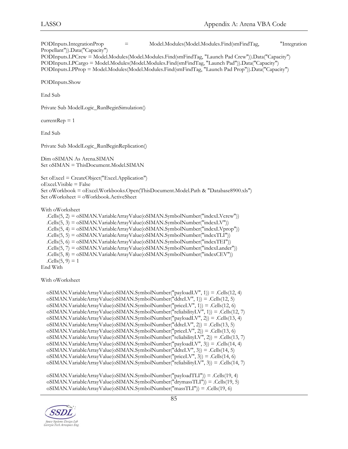PODInputs.IntegrationProp = Model.Modules(Model.Modules.Find(smFindTag, "Integration Propellant")).Data("Capacity")

PODInputs.LPCrew = Model.Modules(Model.Modules.Find(smFindTag, "Launch Pad Crew")).Data("Capacity") PODInputs.LPCargo = Model.Modules(Model.Modules.Find(smFindTag, "Launch Pad")).Data("Capacity") PODInputs.LPProp = Model.Modules(Model.Modules.Find(smFindTag, "Launch Pad Prop")).Data("Capacity")

PODInputs.Show

End Sub

Private Sub ModelLogic\_RunBeginSimulation()

 $currentRep = 1$ 

End Sub

Private Sub ModelLogic\_RunBeginReplication()

Dim oSIMAN As Arena.SIMAN Set oSIMAN = ThisDocument.Model.SIMAN

Set oExcel = CreateObject("Excel.Application")

oExcel.Visible = False

Set oWorkbook = oExcel.Workbooks.Open(ThisDocument.Model.Path & "Database8900.xls") Set oWorksheet = oWorkbook.ActiveSheet

With oWorksheet

 .Cells(5, 2) = oSIMAN.VariableArrayValue(oSIMAN.SymbolNumber("indexLVcrew"))  $\text{.Cells}(5, 3) = \text{.SIMAN}.\text{VariableArrayValue}(\text{.SIMAN}.\text{SymbolNumber}("indexLV"))$  .Cells(5, 4) = oSIMAN.VariableArrayValue(oSIMAN.SymbolNumber("indexLVprop")) .Cells(5, 5) = oSIMAN.VariableArrayValue(oSIMAN.SymbolNumber("indexTLI")) .Cells(5, 6) = oSIMAN.VariableArrayValue(oSIMAN.SymbolNumber("indexTEI")) .Cells(5, 7) = oSIMAN.VariableArrayValue(oSIMAN.SymbolNumber("indexLander")) .Cells(5, 8) = oSIMAN.VariableArrayValue(oSIMAN.SymbolNumber("indexCEV")) .Cells(5, 9) = 1 End With

With oWorksheet

 oSIMAN.VariableArrayValue(oSIMAN.SymbolNumber("payloadLV", 1)) = .Cells(12, 4) oSIMAN.VariableArrayValue(oSIMAN.SymbolNumber("ddteLV", 1)) = .Cells(12, 5) oSIMAN.VariableArrayValue(oSIMAN.SymbolNumber("priceLV", 1)) = .Cells(12, 6) oSIMAN.VariableArrayValue(oSIMAN.SymbolNumber("reliabilityLV", 1)) = .Cells(12, 7) oSIMAN.VariableArrayValue(oSIMAN.SymbolNumber("payloadLV", 2)) = .Cells(13, 4) oSIMAN.VariableArrayValue(oSIMAN.SymbolNumber("ddteLV", 2)) = .Cells(13, 5) oSIMAN.VariableArrayValue(oSIMAN.SymbolNumber("priceLV", 2)) = .Cells(13, 6) oSIMAN.VariableArrayValue(oSIMAN.SymbolNumber("reliabilityLV", 2)) = .Cells(13, 7) oSIMAN.VariableArrayValue(oSIMAN.SymbolNumber("payloadLV", 3)) = .Cells(14, 4) oSIMAN.VariableArrayValue(oSIMAN.SymbolNumber("ddteLV", 3)) = .Cells(14, 5) oSIMAN.VariableArrayValue(oSIMAN.SymbolNumber("priceLV", 3)) = .Cells(14, 6) oSIMAN.VariableArrayValue(oSIMAN.SymbolNumber("reliabilityLV", 3)) = .Cells(14, 7)

 oSIMAN.VariableArrayValue(oSIMAN.SymbolNumber("payloadTLI")) = .Cells(19, 4) oSIMAN.VariableArrayValue(oSIMAN.SymbolNumber("drymassTLI")) = .Cells(19, 5) oSIMAN.VariableArrayValue(oSIMAN.SymbolNumber("massTLI")) = .Cells(19, 6)

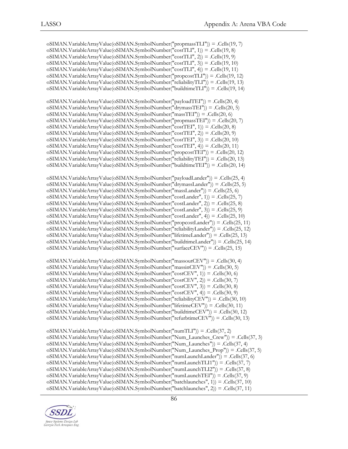- oSIMAN.VariableArrayValue(oSIMAN.SymbolNumber("propmassTLI")) = .Cells(19, 7) oSIMAN.VariableArrayValue(oSIMAN.SymbolNumber("costTLI", 1)) = .Cells(19, 8) oSIMAN.VariableArrayValue(oSIMAN.SymbolNumber("costTLI", 2)) = .Cells(19, 9) oSIMAN.VariableArrayValue(oSIMAN.SymbolNumber("costTLI", 3)) = .Cells(19, 10) oSIMAN.VariableArrayValue(oSIMAN.SymbolNumber("costTLI", 4)) = .Cells(19, 11) oSIMAN.VariableArrayValue(oSIMAN.SymbolNumber("propcostTLI")) = .Cells(19, 12) oSIMAN.VariableArrayValue(oSIMAN.SymbolNumber("reliabilityTLI")) = .Cells(19, 13) oSIMAN.VariableArrayValue(oSIMAN.SymbolNumber("buildtimeTLI")) = .Cells(19, 14) oSIMAN.VariableArrayValue(oSIMAN.SymbolNumber("payloadTEI")) = .Cells(20, 4) oSIMAN.VariableArrayValue(oSIMAN.SymbolNumber("drymassTEI")) = .Cells(20, 5) oSIMAN.VariableArrayValue(oSIMAN.SymbolNumber("massTEI")) = .Cells(20, 6) oSIMAN.VariableArrayValue(oSIMAN.SymbolNumber("propmassTEI")) = .Cells(20, 7) oSIMAN.VariableArrayValue(oSIMAN.SymbolNumber("costTEI", 1)) = .Cells(20, 8) oSIMAN.VariableArrayValue(oSIMAN.SymbolNumber("costTEI", 2)) = .Cells(20, 9) oSIMAN.VariableArrayValue(oSIMAN.SymbolNumber("costTEI", 3)) = .Cells(20, 10) oSIMAN.VariableArrayValue(oSIMAN.SymbolNumber("costTEI", 4)) = .Cells(20, 11) oSIMAN.VariableArrayValue(oSIMAN.SymbolNumber("propcostTEI")) = .Cells(20, 12) oSIMAN.VariableArrayValue(oSIMAN.SymbolNumber("reliabilityTEI")) = .Cells(20, 13) oSIMAN.VariableArrayValue(oSIMAN.SymbolNumber("buildtimeTEI")) = .Cells(20, 14) oSIMAN.VariableArrayValue(oSIMAN.SymbolNumber("payloadLander")) = .Cells(25, 4) oSIMAN.VariableArrayValue(oSIMAN.SymbolNumber("drymassLander")) = .Cells(25, 5) oSIMAN.VariableArrayValue(oSIMAN.SymbolNumber("massLander")) = .Cells(25, 6) oSIMAN.VariableArrayValue(oSIMAN.SymbolNumber("costLander", 1)) = .Cells(25, 7) oSIMAN.VariableArrayValue(oSIMAN.SymbolNumber("costLander", 2)) = .Cells(25, 8) oSIMAN.VariableArrayValue(oSIMAN.SymbolNumber("costLander", 3)) = .Cells(25, 9) oSIMAN.VariableArrayValue(oSIMAN.SymbolNumber("costLander", 4)) = .Cells(25, 10) oSIMAN.VariableArrayValue(oSIMAN.SymbolNumber("propcostLander")) = .Cells(25, 11) oSIMAN.VariableArrayValue(oSIMAN.SymbolNumber("reliabilityLander")) = .Cells(25, 12) oSIMAN.VariableArrayValue(oSIMAN.SymbolNumber("lifetimeLander")) = .Cells(25, 13) oSIMAN.VariableArrayValue(oSIMAN.SymbolNumber("buildtimeLander")) = .Cells(25, 14) oSIMAN.VariableArrayValue(oSIMAN.SymbolNumber("surfaceCEV")) = .Cells(25, 15) oSIMAN.VariableArrayValue(oSIMAN.SymbolNumber("massoutCEV")) = .Cells(30, 4) oSIMAN.VariableArrayValue(oSIMAN.SymbolNumber("massinCEV")) = .Cells(30, 5) oSIMAN.VariableArrayValue(oSIMAN.SymbolNumber("costCEV", 1)) = .Cells(30, 6) oSIMAN.VariableArrayValue(oSIMAN.SymbolNumber("costCEV", 2)) = .Cells(30, 7) oSIMAN.VariableArrayValue(oSIMAN.SymbolNumber("costCEV", 3)) = .Cells(30, 8) oSIMAN.VariableArrayValue(oSIMAN.SymbolNumber("costCEV", 4)) = .Cells(30, 9) oSIMAN.VariableArrayValue(oSIMAN.SymbolNumber("reliabilityCEV")) = .Cells(30, 10) oSIMAN.VariableArrayValue(oSIMAN.SymbolNumber("lifetimeCEV")) = .Cells(30, 11) oSIMAN.VariableArrayValue(oSIMAN.SymbolNumber("buildtimeCEV")) = .Cells(30, 12) oSIMAN.VariableArrayValue(oSIMAN.SymbolNumber("refurbtimeCEV")) = .Cells(30, 13) oSIMAN.VariableArrayValue(oSIMAN.SymbolNumber("numTLI")) = .Cells(37, 2) oSIMAN.VariableArrayValue(oSIMAN.SymbolNumber("Num\_Launches\_Crew")) = .Cells(37, 3) oSIMAN.VariableArrayValue(oSIMAN.SymbolNumber("Num\_Launches")) = .Cells(37, 4) oSIMAN.VariableArrayValue(oSIMAN.SymbolNumber("Num\_Launches\_Prop")) = .Cells(37, 5) oSIMAN.VariableArrayValue(oSIMAN.SymbolNumber("numLaunchLander")) = .Cells(37, 6) oSIMAN.VariableArrayValue(oSIMAN.SymbolNumber("numLaunchTLI1")) = .Cells(37, 7) oSIMAN.VariableArrayValue(oSIMAN.SymbolNumber("numLaunchTLI2")) = .Cells(37, 8)
- oSIMAN.VariableArrayValue(oSIMAN.SymbolNumber("numLaunchTEI")) = .Cells(37, 9) oSIMAN.VariableArrayValue(oSIMAN.SymbolNumber("batchlaunches", 1)) = .Cells(37, 10)
- oSIMAN.VariableArrayValue(oSIMAN.SymbolNumber("batchlaunches", 2)) = .Cells(37, 11)

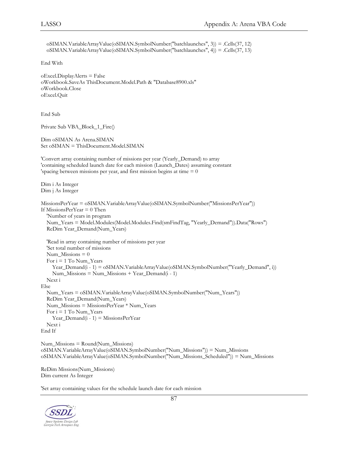```
 oSIMAN.VariableArrayValue(oSIMAN.SymbolNumber("batchlaunches", 3)) = .Cells(37, 12) 
   oSIMAN.VariableArrayValue(oSIMAN.SymbolNumber("batchlaunches", 4)) = .Cells(37, 13) 
End With 
oExcel.DisplayAlerts = False 
oWorkbook.SaveAs ThisDocument.Model.Path & "Database8900.xls" 
oWorkbook.Close 
oExcel.Quit 
End Sub 
Private Sub VBA_Block_1_Fire() 
Dim oSIMAN As Arena.SIMAN 
Set oSIMAN = ThisDocument.Model.SIMAN 
'Convert array containing number of missions per year (Yearly_Demand) to array 
'containing scheduled launch date for each mission (Launch_Dates) assuming constant 
'spacing between missions per year, and first mission begins at time = 0Dim i As Integer 
Dim j As Integer 
MissionsPerYear = oSIMAN.VariableArrayValue(oSIMAN.SymbolNumber("MissionsPerYear")) 
If MissionsPerYear = 0 Then 
   'Number of years in program 
   Num_Years = Model.Modules(Model.Modules.Find(smFindTag, "Yearly_Demand")).Data("Rows") 
   ReDim Year_Demand(Num_Years) 
   'Read in array containing number of missions per year 
   'Set total number of missions 
  Num Missions = 0For i = 1 To Num Years
    Year_Demand(i - 1) = oSIMAN.VariableArrayValue(oSIMAN.SymbolNumber("Yearly_Demand", i))
    Num\_Missions = Num\_Missions + Year\_Denand(i - 1) Next i 
Else 
   Num_Years = oSIMAN.VariableArrayValue(oSIMAN.SymbolNumber("Num_Years")) 
   ReDim Year_Demand(Num_Years) 
   Num_Missions = MissionsPerYear * Num_Years 
  For i = 1 To Num_Years
    Year_Demand(i - 1) = MissionsPerYear
   Next i 
End If 
Num_Missions = Round(Num_Missions) 
oSIMAN.VariableArrayValue(oSIMAN.SymbolNumber("Num_Missions")) = Num_Missions 
oSIMAN.VariableArrayValue(oSIMAN.SymbolNumber("Num_Missions_Scheduled")) = Num_Missions
```
ReDim Missions(Num\_Missions) Dim current As Integer

'Set array containing values for the schedule launch date for each mission

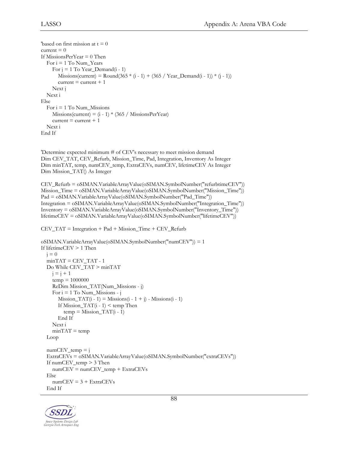```
'based on first mission at t = 0current = 0If MissionsPerYear = 0 Then 
  For i = 1 To Num Years
     For j = 1 To Year_Demand(i - 1)Missions(current) = Round(365 * (i - 1) + (365 / Year_Demand(i - 1)) * (j - 1))
       current = current + 1 Next j 
   Next i 
Else 
  For i = 1 To Num Missions
     Missions(current) = (i - 1) * (365 / MissionsPerYear)current = current + 1 Next i 
End If
```
'Determine expected minimum # of CEV's necessary to meet mission demand Dim CEV\_TAT, CEV\_Refurb, Mission\_Time, Pad, Integration, Inventory As Integer Dim minTAT, temp, numCEV\_temp, ExtraCEVs, numCEV, lifetimeCEV As Integer Dim Mission\_TAT() As Integer

```
CEV_Refurb = oSIMAN.VariableArrayValue(oSIMAN.SymbolNumber("refurbtimeCEV")) 
Mission_Time = oSIMAN.VariableArrayValue(oSIMAN.SymbolNumber("Mission_Time")) 
Pad = oSIMAN.VariableArrayValue(oSIMAN.SymbolNumber("Pad_Time")) 
Integration = oSIMAN.VariableArrayValue(oSIMAN.SymbolNumber("Integration_Time")) 
Inventory = oSIMAN.VariableArrayValue(oSIMAN.SymbolNumber("Inventory_Time")) 
lifetimeCEV = oSIMAN.VariableArrayValue(oSIMAN.SymbolNumber("lifetimeCEV"))
```
CEV TAT = Integration + Pad + Mission Time + CEV\_Refurb

```
oSIMAN.VariableArrayValue(oSIMAN.SymbolNumber("numCEV")) = 1 
If lifetimeCEV > 1 Then 
  j = 0minTAT = CEV TAT - 1 Do While CEV_TAT > minTAT 
    j = j + 1temp = 1000000 ReDim Mission_TAT(Num_Missions - j) 
    For i = 1 To Num_Missions - j
      Mission_TAT(i - 1) = Missions(i - 1 + j) - Missions(i - 1)If Mission_TAT(i - 1) < temp Then
         temp = Mission_TAT(i - 1) End If 
     Next i 
    minTAT = temp Loop 
  numCEV temp = i ExtraCEVs = oSIMAN.VariableArrayValue(oSIMAN.SymbolNumber("extraCEVs")) 
   If numCEV_temp > 3 Then 
    numCEV = numCEV_temp + ExtraCEVs Else 
    numCEV = 3 + ExtractEVs End If
```
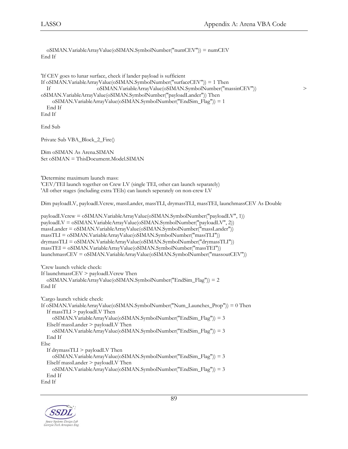```
 oSIMAN.VariableArrayValue(oSIMAN.SymbolNumber("numCEV")) = numCEV 
End If 
'If CEV goes to lunar surface, check if lander payload is sufficient 
If oSIMAN.VariableArrayValue(oSIMAN.SymbolNumber("surfaceCEV")) = 1 Then 
   If oSIMAN.VariableArrayValue(oSIMAN.SymbolNumber("massinCEV")) > 
oSIMAN.VariableArrayValue(oSIMAN.SymbolNumber("payloadLander")) Then 
     oSIMAN.VariableArrayValue(oSIMAN.SymbolNumber("EndSim_Flag")) = 1 
   End If 
End If 
End Sub 
Private Sub VBA_Block_2_Fire() 
Dim oSIMAN As Arena.SIMAN 
Set oSIMAN = ThisDocument.Model.SIMAN 
'Determine maximum launch mass: 
'CEV/TEI launch together on Crew LV (single TEI, other can launch separately) 
'All other stages (including extra TEIs) can launch seperately on non-crew LV 
Dim payloadLV, payloadLVcrew, massLander, massTLI, drymassTLI, massTEI, launchmassCEV As Double 
payloadLVcrew = oSIMAN.VariableArrayValue(oSIMAN.SymbolNumber("payloadLV", 1)) 
payloadLV = oSIMAN.VariableArrayValue(oSIMAN.SymbolNumber("payloadLV", 2)) 
massLander = oSIMAN.VariableArrayValue(oSIMAN.SymbolNumber("massLander")) 
massTLI = oSIMAN.VariableArrayValue(oSIMAN.SymbolNumber("massTLI")) 
drymassTLI = oSIMAN.VariableArrayValue(oSIMAN.SymbolNumber("drymassTLI")) 
massTEI = oSIMAN.VariableArrayValue(oSIMAN.SymbolNumber("massTEI")) 
launchmassCEV = oSIMAN.VariableArrayValue(oSIMAN.SymbolNumber("massoutCEV")) 
'Crew launch vehicle check: 
If launchmassCEV > payloadLVcrew Then 
   oSIMAN.VariableArrayValue(oSIMAN.SymbolNumber("EndSim_Flag")) = 2 
End If 
'Cargo launch vehicle check: 
If oSIMAN.VariableArrayValue(oSIMAN.SymbolNumber("Num_Launches_Prop")) = 0 Then 
   If massTLI > payloadLV Then 
     oSIMAN.VariableArrayValue(oSIMAN.SymbolNumber("EndSim_Flag")) = 3 
   ElseIf massLander > payloadLV Then 
     oSIMAN.VariableArrayValue(oSIMAN.SymbolNumber("EndSim_Flag")) = 3 
   End If 
Else 
   If drymassTLI > payloadLV Then 
     oSIMAN.VariableArrayValue(oSIMAN.SymbolNumber("EndSim_Flag")) = 3 
   ElseIf massLander > payloadLV Then 
     oSIMAN.VariableArrayValue(oSIMAN.SymbolNumber("EndSim_Flag")) = 3 
   End If 
End If
```
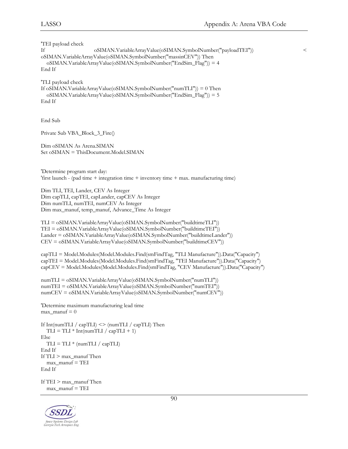'TEI payload check If oSIMAN.VariableArrayValue(oSIMAN.SymbolNumber("payloadTEI")) < oSIMAN.VariableArrayValue(oSIMAN.SymbolNumber("massinCEV")) Then oSIMAN.VariableArrayValue(oSIMAN.SymbolNumber("EndSim\_Flag")) = 4 End If

'TLI payload check If oSIMAN.VariableArrayValue(oSIMAN.SymbolNumber("numTLI")) = 0 Then oSIMAN.VariableArrayValue(oSIMAN.SymbolNumber("EndSim\_Flag")) = 5 End If

End Sub

Private Sub VBA\_Block\_3\_Fire()

Dim oSIMAN As Arena.SIMAN Set oSIMAN = ThisDocument.Model.SIMAN

'Determine program start day: 'first launch - (pad time + integration time + inventory time + max. manufacturing time)

Dim TLI, TEI, Lander, CEV As Integer Dim capTLI, capTEI, capLander, capCEV As Integer Dim numTLI, numTEI, numCEV As Integer Dim max\_manuf, temp\_manuf, Advance\_Time As Integer

TLI = oSIMAN.VariableArrayValue(oSIMAN.SymbolNumber("buildtimeTLI")) TEI = oSIMAN.VariableArrayValue(oSIMAN.SymbolNumber("buildtimeTEI")) Lander = oSIMAN.VariableArrayValue(oSIMAN.SymbolNumber("buildtimeLander")) CEV = oSIMAN.VariableArrayValue(oSIMAN.SymbolNumber("buildtimeCEV"))

capTLI = Model.Modules(Model.Modules.Find(smFindTag, "TLI Manufacture")).Data("Capacity") capTEI = Model.Modules(Model.Modules.Find(smFindTag, "TEI Manufacture")).Data("Capacity") capCEV = Model.Modules(Model.Modules.Find(smFindTag, "CEV Manufacture")).Data("Capacity")

numTLI = oSIMAN.VariableArrayValue(oSIMAN.SymbolNumber("numTLI")) numTEI = oSIMAN.VariableArrayValue(oSIMAN.SymbolNumber("numTEI")) numCEV = oSIMAN.VariableArrayValue(oSIMAN.SymbolNumber("numCEV"))

'Determine maximum manufacturing lead time max manuf  $= 0$ 

If  $Int(numTLI / capTLI) \iff (numTLI / capTLI)$  Then  $TLI = TLI * Int(numTLI / capTLI + 1)$ Else  $TLI = TLI * (numTLI / capTLI)$ End If If  $TLI$  > max manuf Then max\_manuf = TEI End If

If TEI > max\_manuf Then max\_manuf = TEI

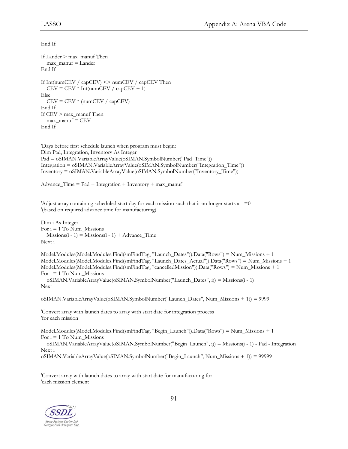End If

If Lander > max\_manuf Then

```
max manuf = Lander
End If 
If Int(numCEV / capCEV) <> numCEV / capCEV Then 
  CEV = CEV * Int(numCEV / capCEV + 1)Else 
  CEV = CEV * (numCEV / capCEV)End If 
If CEV > max_manuf Then 
   max_manuf = CEV 
End If
```
'Days before first schedule launch when program must begin: Dim Pad, Integration, Inventory As Integer Pad = oSIMAN.VariableArrayValue(oSIMAN.SymbolNumber("Pad\_Time")) Integration = oSIMAN.VariableArrayValue(oSIMAN.SymbolNumber("Integration\_Time")) Inventory = oSIMAN.VariableArrayValue(oSIMAN.SymbolNumber("Inventory\_Time"))

Advance\_Time =  $Pad + Integration + Inventory + max_name$ 

'Adjust array containing scheduled start day for each mission such that it no longer starts at  $t=0$ '(based on required advance time for manufacturing)

Dim i As Integer For  $i = 1$  To Num\_Missions  $Missions(i - 1) = Missions(i - 1) + Advance_Time$ Next i

Model.Modules(Model.Modules.Find(smFindTag, "Launch\_Dates")).Data("Rows") = Num\_Missions + 1 Model.Modules(Model.Modules.Find(smFindTag, "Launch\_Dates\_Actual")).Data("Rows") = Num\_Missions + 1 Model.Modules(Model.Modules.Find(smFindTag, "cancelledMission")).Data("Rows") = Num\_Missions + 1 For  $i = 1$  To Num\_Missions

```
 oSIMAN.VariableArrayValue(oSIMAN.SymbolNumber("Launch_Dates", i)) = Missions(i - 1) 
Next i
```
oSIMAN.VariableArrayValue(oSIMAN.SymbolNumber("Launch\_Dates", Num\_Missions + 1)) = 9999

'Convert array with launch dates to array with start date for integration process 'for each mission

Model.Modules(Model.Modules.Find(smFindTag, "Begin\_Launch")).Data("Rows") = Num\_Missions + 1 For  $i = 1$  To Num\_Missions

 oSIMAN.VariableArrayValue(oSIMAN.SymbolNumber("Begin\_Launch", i)) = Missions(i - 1) - Pad - Integration Next i

oSIMAN.VariableArrayValue(oSIMAN.SymbolNumber("Begin\_Launch", Num\_Missions + 1)) = 99999

'Convert array with launch dates to array with start date for manufacturing for 'each mission element

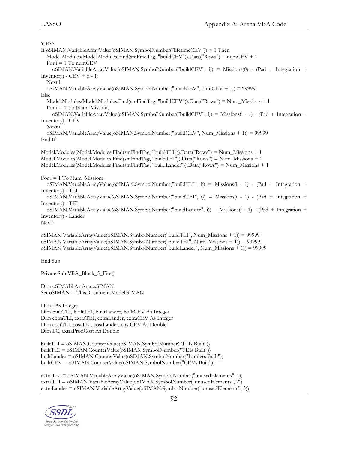#### 'CEV:

If oSIMAN.VariableArrayValue(oSIMAN.SymbolNumber("lifetimeCEV")) > 1 Then Model.Modules(Model.Modules.Find(smFindTag, "buildCEV")).Data("Rows") = numCEV + 1 For  $i = 1$  To numCEV oSIMAN.VariableArrayValue(oSIMAN.SymbolNumber("buildCEV", i)) = Missions(0) - (Pad + Integration +  $Inventory) - CEV + (i - 1)$  Next i oSIMAN.VariableArrayValue(oSIMAN.SymbolNumber("buildCEV", numCEV + 1)) = 99999 Else Model.Modules(Model.Modules.Find(smFindTag, "buildCEV")).Data("Rows") = Num\_Missions + 1 For  $i = 1$  To Num Missions oSIMAN.VariableArrayValue(oSIMAN.SymbolNumber("buildCEV", i)) = Missions(i - 1) - (Pad + Integration + Inventory) - CEV Next i oSIMAN.VariableArrayValue(oSIMAN.SymbolNumber("buildCEV", Num\_Missions + 1)) = 99999 End If Model.Modules(Model.Modules.Find(smFindTag, "buildTLI")).Data("Rows") = Num\_Missions + 1 Model.Modules(Model.Modules.Find(smFindTag, "buildTEI")).Data("Rows") = Num\_Missions + 1 Model.Modules(Model.Modules.Find(smFindTag, "buildLander")).Data("Rows") = Num\_Missions + 1 For  $i = 1$  To Num\_Missions oSIMAN.VariableArrayValue(oSIMAN.SymbolNumber("buildTLI", i)) = Missions(i - 1) - (Pad + Integration + Inventory) - TLI oSIMAN.VariableArrayValue(oSIMAN.SymbolNumber("buildTEI", i)) = Missions(i - 1) - (Pad + Integration + Inventory) - TEI oSIMAN.VariableArrayValue(oSIMAN.SymbolNumber("buildLander", i)) = Missions(i - 1) - (Pad + Integration + Inventory) - Lander Next i oSIMAN.VariableArrayValue(oSIMAN.SymbolNumber("buildTLI", Num\_Missions + 1)) = 99999 oSIMAN.VariableArrayValue(oSIMAN.SymbolNumber("buildTEI", Num\_Missions + 1)) = 99999 oSIMAN.VariableArrayValue(oSIMAN.SymbolNumber("buildLander", Num\_Missions + 1)) = 99999 End Sub Private Sub VBA\_Block\_5\_Fire()

Dim oSIMAN As Arena.SIMAN Set oSIMAN = ThisDocument.Model.SIMAN

Dim i As Integer Dim builtTLI, builtTEI, builtLander, builtCEV As Integer Dim extraTLI, extraTEI, extraLander, extraCEV As Integer Dim costTLI, costTEI, costLander, costCEV As Double Dim LC, extraProdCost As Double

builtTLI = oSIMAN.CounterValue(oSIMAN.SymbolNumber("TLIs Built")) builtTEI = oSIMAN.CounterValue(oSIMAN.SymbolNumber("TEIs Built")) builtLander = oSIMAN.CounterValue(oSIMAN.SymbolNumber("Landers Built")) builtCEV = oSIMAN.CounterValue(oSIMAN.SymbolNumber("CEVs Built"))

extraTEI = oSIMAN.VariableArrayValue(oSIMAN.SymbolNumber("unusedElements", 1)) extraTLI = oSIMAN.VariableArrayValue(oSIMAN.SymbolNumber("unusedElements", 2)) extraLander = oSIMAN.VariableArrayValue(oSIMAN.SymbolNumber("unusedElements", 3))

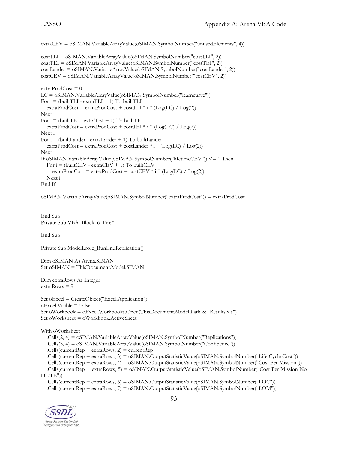extraCEV = oSIMAN.VariableArrayValue(oSIMAN.SymbolNumber("unusedElements", 4))

```
costTLI = oSIMAN.VariableArrayValue(oSIMAN.SymbolNumber("costTLI", 2)) 
costTEI = oSIMAN.VariableArrayValue(oSIMAN.SymbolNumber("costTEI", 2)) 
costLander = oSIMAN.VariableArrayValue(oSIMAN.SymbolNumber("costLander", 2)) 
costCEV = oSIMAN.VariableArrayValue(oSIMAN.SymbolNumber("costCEV", 2)) 
extraProdCost = 0LC = oSIMAN.VariableArrayValue(oSIMAN.SymbolNumber("learncurve")) 
For i = (builtTLI - extraTLI + 1) To built TLIextraProdCost = extraProdCost + costTLI * i \hat{C} (Log(LC) / Log(2))
Next i 
For i = (built TEI - extraTEI + 1) To built TEI
  extraProdCost = extraProdCost + costTEI * i \hat{L} (Log(LC) / Log(2))
Next i 
For i = (builtLander - extraLander + 1) To builtLander
  extraProdCost = extraProdCost + costLander * i \hat{ } (Log(LC) / Log(2))
Next i 
If oSIMAN.VariableArrayValue(oSIMAN.SymbolNumber("lifetimeCEV")) <= 1 Then 
  For i = (builtCEV - extraCEV + 1) To builtCEV
    extraProdCost = extraProdCost + costCEV * i \hat{C} (Log(LC) / Log(2))
   Next i 
End If 
oSIMAN.VariableArrayValue(oSIMAN.SymbolNumber("extraProdCost")) = extraProdCost 
End Sub 
Private Sub VBA_Block_6_Fire() 
End Sub 
Private Sub ModelLogic_RunEndReplication() 
Dim oSIMAN As Arena.SIMAN 
Set oSIMAN = ThisDocument.Model.SIMAN 
Dim extraRows As Integer 
extraRows = 9Set oExcel = CreateObject("Excel.Application") 
oExcel.Visible = False 
Set oWorkbook = oExcel.Workbooks.Open(ThisDocument.Model.Path & "Results.xls") 
Set oWorksheet = oWorkbook.ActiveSheet 
With oWorksheet 
   .Cells(2, 4) = oSIMAN.VariableArrayValue(oSIMAN.SymbolNumber("Replications")) 
   .Cells(3, 4) = oSIMAN.VariableArrayValue(oSIMAN.SymbolNumber("Confidence")) 
  .Cells(currentRep + extraRows, 2) = currentRep
   .Cells(currentRep + extraRows, 3) = oSIMAN.OutputStatisticValue(oSIMAN.SymbolNumber("Life Cycle Cost")) 
   .Cells(currentRep + extraRows, 4) = oSIMAN.OutputStatisticValue(oSIMAN.SymbolNumber("Cost Per Mission")) 
   .Cells(currentRep + extraRows, 5) = oSIMAN.OutputStatisticValue(oSIMAN.SymbolNumber("Cost Per Mission No
```
DDTE")) .Cells(currentRep + extraRows, 6) = oSIMAN.OutputStatisticValue(oSIMAN.SymbolNumber("LOC")) .Cells(currentRep + extraRows, 7) = oSIMAN.OutputStatisticValue(oSIMAN.SymbolNumber("LOM"))

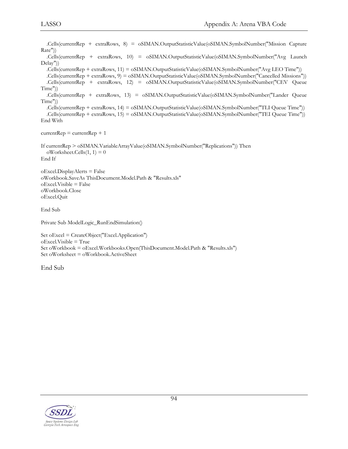.Cells(currentRep + extraRows, 8) = oSIMAN.OutputStatisticValue(oSIMAN.SymbolNumber("Mission Capture Rate")) .Cells(currentRep + extraRows, 10) = oSIMAN.OutputStatisticValue(oSIMAN.SymbolNumber("Avg Launch Delay")) .Cells(currentRep + extraRows, 11) = oSIMAN.OutputStatisticValue(oSIMAN.SymbolNumber("Avg LEO Time")) .Cells(currentRep + extraRows, 9) = oSIMAN.OutputStatisticValue(oSIMAN.SymbolNumber("Cancelled Missions")) .Cells(currentRep + extraRows, 12) = oSIMAN.OutputStatisticValue(oSIMAN.SymbolNumber("CEV Queue Time")) .Cells(currentRep + extraRows, 13) = oSIMAN.OutputStatisticValue(oSIMAN.SymbolNumber("Lander Queue Time")) .Cells(currentRep + extraRows, 14) = oSIMAN.OutputStatisticValue(oSIMAN.SymbolNumber("TLI Queue Time")) .Cells(currentRep + extraRows, 15) = oSIMAN.OutputStatisticValue(oSIMAN.SymbolNumber("TEI Queue Time")) End With  $currentRep = currentRep + 1$ If currentRep > oSIMAN.VariableArrayValue(oSIMAN.SymbolNumber("Replications")) Then oWorksheet.Cells $(1, 1) = 0$ End If oExcel.DisplayAlerts = False oWorkbook.SaveAs ThisDocument.Model.Path & "Results.xls" oExcel.Visible = False oWorkbook.Close oExcel.Quit End Sub Private Sub ModelLogic\_RunEndSimulation() Set oExcel = CreateObject("Excel.Application") oExcel.Visible = True Set oWorkbook = oExcel.Workbooks.Open(ThisDocument.Model.Path & "Results.xls") Set oWorksheet = oWorkbook.ActiveSheet

End Sub

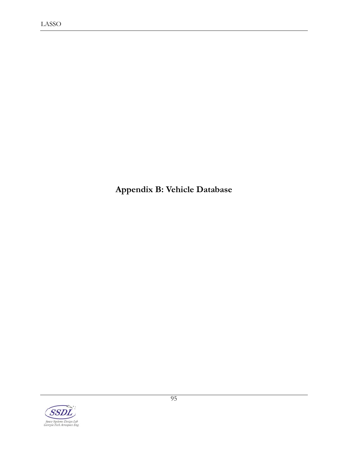**Appendix B: Vehicle Database** 

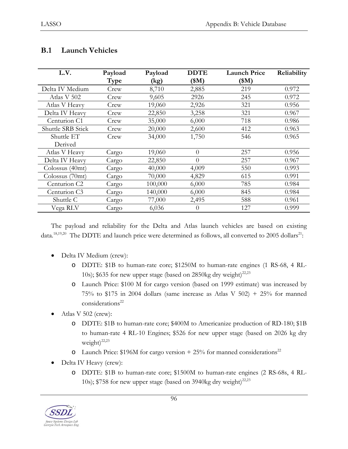| L.V.                     | Payload | Payload | <b>DDTE</b> | <b>Launch Price</b> | Reliability |
|--------------------------|---------|---------|-------------|---------------------|-------------|
|                          | Type    | (kg)    | \$M\$)      | \$M\$               |             |
| Delta IV Medium          | Crew    | 8,710   | 2,885       | 219                 | 0.972       |
| Atlas V 502              | Crew    | 9,605   | 2926        | 245                 | 0.972       |
| Atlas V Heavy            | Crew    | 19,060  | 2,926       | 321                 | 0.956       |
| Delta IV Heavy           | Crew    | 22,850  | 3,258       | 321                 | 0.967       |
| Centurion C1             | Crew    | 35,000  | 6,000       | 718                 | 0.986       |
| Shuttle SRB Stick        | Crew    | 20,000  | 2,600       | 412                 | 0.963       |
| Shuttle ET               | Crew    | 34,000  | 1,750       | 546                 | 0.965       |
| Derived                  |         |         |             |                     |             |
| Atlas V Heavy            | Cargo   | 19,060  | $\theta$    | 257                 | 0.956       |
| Delta IV Heavy           | Cargo   | 22,850  | $\theta$    | 257                 | 0.967       |
| Colossus (40mt)          | Cargo   | 40,000  | 4,009       | 550                 | 0.993       |
| Colossus (70mt)          | Cargo   | 70,000  | 4,829       | 615                 | 0.991       |
| Centurion C <sub>2</sub> | Cargo   | 100,000 | 6,000       | 785                 | 0.984       |
| Centurion C <sub>3</sub> | Cargo   | 140,000 | 6,000       | 845                 | 0.984       |
| Shuttle C                | Cargo   | 77,000  | 2,495       | 588                 | 0.961       |
| Vega RLV                 | Cargo   | 6,036   | $\theta$    | 127                 | 0.999       |

# **B.1 Launch Vehicles**

The payload and reliability for the Delta and Atlas launch vehicles are based on existing data.<sup>18,19,20</sup> The DDTE and launch price were determined as follows, all converted to 2005 dollars<sup>21</sup>:

- Delta IV Medium (crew):
	- o DDTE: \$1B to human-rate core; \$1250M to human-rate engines (1 RS-68, 4 RL-10s); \$635 for new upper stage (based on 2850kg dry weight)<sup>22,23</sup>
	- o Launch Price: \$100 M for cargo version (based on 1999 estimate) was increased by 75% to \$175 in 2004 dollars (same increase as Atlas V 502) + 25% for manned considerations<sup>22</sup>
- Atlas V 502 (crew):
	- o DDTE: \$1B to human-rate core; \$400M to Americanize production of RD-180; \$1B to human-rate 4 RL-10 Engines; \$526 for new upper stage (based on 2026 kg dry weight $)^{22,23}$
	- o Launch Price:  $$196M$  for cargo version + 25% for manned considerations<sup>22</sup>
- Delta IV Heavy (crew):
	- o DDTE: \$1B to human-rate core; \$1500M to human-rate engines (2 RS-68s, 4 RL-10s); \$758 for new upper stage (based on 3940kg dry weight)<sup>22,23</sup>

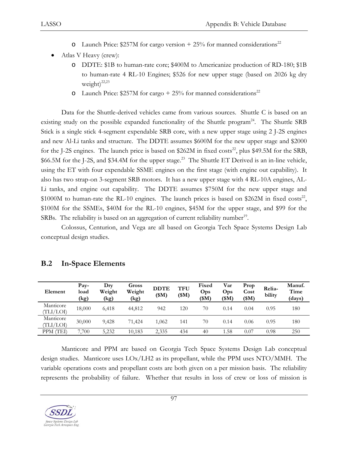- o Launch Price: \$257M for cargo version  $+ 25\%$  for manned considerations<sup>22</sup>
- Atlas V Heavy (crew):
	- o DDTE: \$1B to human-rate core; \$400M to Americanize production of RD-180; \$1B to human-rate 4 RL-10 Engines; \$526 for new upper stage (based on 2026 kg dry weight $)^{22,23}$
	- o Launch Price: \$257M for cargo  $+ 25\%$  for manned considerations<sup>22</sup>

Data for the Shuttle-derived vehicles came from various sources. Shuttle C is based on an existing study on the possible expanded functionality of the Shuttle program<sup>24</sup>. The Shuttle SRB Stick is a single stick 4-segment expendable SRB core, with a new upper stage using 2 J-2S engines and new Al-Li tanks and structure. The DDTE assumes \$600M for the new upper stage and \$2000 for the J-2S engines. The launch price is based on \$262M in fixed costs<sup>22</sup>, plus \$49.5M for the SRB, \$66.5M for the J-2S, and \$34.4M for the upper stage.<sup>23</sup> The Shuttle ET Derived is an in-line vehicle, using the ET with four expendable SSME engines on the first stage (with engine out capability). It also has two strap-on 3-segment SRB motors. It has a new upper stage with 4 RL-10A engines, AL-Li tanks, and engine out capability. The DDTE assumes \$750M for the new upper stage and  $$1000M$  to human-rate the RL-10 engines. The launch prices is based on \$262M in fixed costs<sup>22</sup>, \$100M for the SSMEs, \$40M for the RL-10 engines, \$45M for the upper stage, and \$99 for the SRBs. The reliability is based on an aggregation of current reliability number<sup>19</sup>.

Colossus, Centurion, and Vega are all based on Georgia Tech Space Systems Design Lab conceptual design studies.

| Element               | Pay-<br>load<br>(kg) | Dry<br>Weight<br>(kg) | Gross<br>Weight<br>(kg) | <b>DDTE</b><br>$(*M)$ | <b>TFU</b><br>\$M\$ | Fixed<br>Ops<br>(SM) | Var<br>Ops<br>(SM) | Prop<br>Cost<br>\$M) | Relia-<br>bility | Manuf.<br>Time<br>(days) |
|-----------------------|----------------------|-----------------------|-------------------------|-----------------------|---------------------|----------------------|--------------------|----------------------|------------------|--------------------------|
| Manticore<br>TLI/LOI) | 18,000               | 6,418                 | 44,812                  | 942                   | 120                 | 70                   | 0.14               | 0.04                 | 0.95             | 180                      |
| Manticore<br>TLI/LOI) | 30,000               | 9,428                 | 71,424                  | 1,062                 | 141                 | 70                   | 0.14               | 0.06                 | 0.95             | 180                      |
| PPM (TEI)             | .700                 | 5,232                 | 10,183                  | 2,335                 | 434                 | 40                   | 1.58               | 0.07                 | 0.98             | 250                      |

## **B.2 In-Space Elements**

Manticore and PPM are based on Georgia Tech Space Systems Design Lab conceptual design studies. Manticore uses LOx/LH2 as its propellant, while the PPM uses NTO/MMH. The variable operations costs and propellant costs are both given on a per mission basis. The reliability represents the probability of failure. Whether that results in loss of crew or loss of mission is